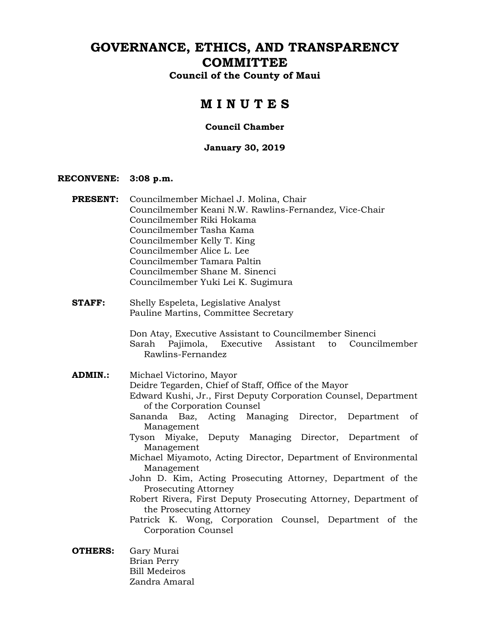# **GOVERNANCE, ETHICS, AND TRANSPARENCY COMMITTEE**

**Council of the County of Maui** 

# **M I N U T E S**

### **Council Chamber**

### **January 30, 2019**

### **RECONVENE: 3:08 p.m.**

| <b>PRESENT:</b> | Councilmember Michael J. Molina, Chair<br>Councilmember Keani N.W. Rawlins-Fernandez, Vice-Chair<br>Councilmember Riki Hokama<br>Councilmember Tasha Kama<br>Councilmember Kelly T. King<br>Councilmember Alice L. Lee<br>Councilmember Tamara Paltin<br>Councilmember Shane M. Sinenci<br>Councilmember Yuki Lei K. Sugimura                                                                                                                                                                                                                                                                                                                                                                             |
|-----------------|-----------------------------------------------------------------------------------------------------------------------------------------------------------------------------------------------------------------------------------------------------------------------------------------------------------------------------------------------------------------------------------------------------------------------------------------------------------------------------------------------------------------------------------------------------------------------------------------------------------------------------------------------------------------------------------------------------------|
| <b>STAFF:</b>   | Shelly Espeleta, Legislative Analyst<br>Pauline Martins, Committee Secretary                                                                                                                                                                                                                                                                                                                                                                                                                                                                                                                                                                                                                              |
|                 | Don Atay, Executive Assistant to Councilmember Sinenci<br>Pajimola, Executive Assistant to<br>Sarah<br>Councilmember<br>Rawlins-Fernandez                                                                                                                                                                                                                                                                                                                                                                                                                                                                                                                                                                 |
| <b>ADMIN.:</b>  | Michael Victorino, Mayor<br>Deidre Tegarden, Chief of Staff, Office of the Mayor<br>Edward Kushi, Jr., First Deputy Corporation Counsel, Department<br>of the Corporation Counsel<br>Sananda Baz, Acting Managing Director, Department<br>of<br>Management<br>Miyake,<br>Deputy Managing Director, Department<br>of<br>Tyson<br>Management<br>Michael Miyamoto, Acting Director, Department of Environmental<br>Management<br>John D. Kim, Acting Prosecuting Attorney, Department of the<br>Prosecuting Attorney<br>Robert Rivera, First Deputy Prosecuting Attorney, Department of<br>the Prosecuting Attorney<br>Patrick K. Wong, Corporation Counsel, Department of the<br><b>Corporation Counsel</b> |
|                 | $\bigcap$ $\bigcap$ $\bigcap$ $\bigcap$                                                                                                                                                                                                                                                                                                                                                                                                                                                                                                                                                                                                                                                                   |

**OTHERS:** Gary Murai Brian Perry Bill Medeiros Zandra Amaral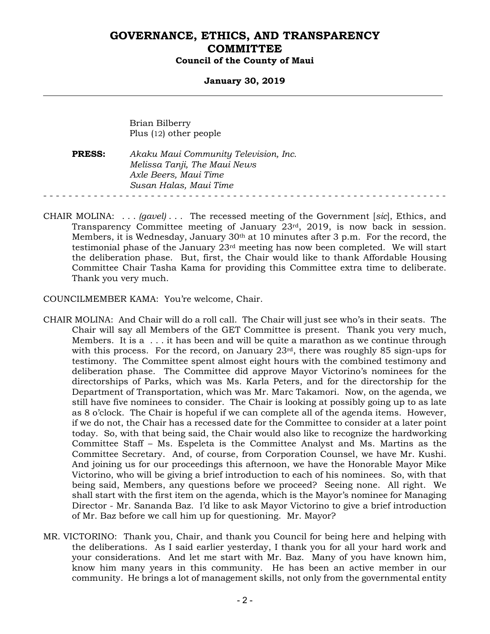#### **January 30, 2019**

Brian Bilberry Plus (12) other people

**PRESS:** *Akaku Maui Community Television, Inc. Melissa Tanji, The Maui News Axle Beers, Maui Time Susan Halas, Maui Time*  - - - - - - - - - - - - - - - - - - - - - - - - - - - - - - - - - - - - - - - - - - - - - - - - - - - - - - - - - - - - - - - -

CHAIR MOLINA: . . . *(gavel)* . . . The recessed meeting of the Government [*sic*], Ethics, and Transparency Committee meeting of January  $23<sup>rd</sup>$ , 2019, is now back in session. Members, it is Wednesday, January 30th at 10 minutes after 3 p.m. For the record, the testimonial phase of the January 23rd meeting has now been completed. We will start the deliberation phase. But, first, the Chair would like to thank Affordable Housing Committee Chair Tasha Kama for providing this Committee extra time to deliberate. Thank you very much.

COUNCILMEMBER KAMA: You're welcome, Chair.

- CHAIR MOLINA: And Chair will do a roll call. The Chair will just see who's in their seats. The Chair will say all Members of the GET Committee is present. Thank you very much, Members. It is a . . . it has been and will be quite a marathon as we continue through with this process. For the record, on January  $23<sup>rd</sup>$ , there was roughly 85 sign-ups for testimony. The Committee spent almost eight hours with the combined testimony and deliberation phase. The Committee did approve Mayor Victorino's nominees for the directorships of Parks, which was Ms. Karla Peters, and for the directorship for the Department of Transportation, which was Mr. Marc Takamori. Now, on the agenda, we still have five nominees to consider. The Chair is looking at possibly going up to as late as 8 o'clock. The Chair is hopeful if we can complete all of the agenda items. However, if we do not, the Chair has a recessed date for the Committee to consider at a later point today. So, with that being said, the Chair would also like to recognize the hardworking Committee Staff – Ms. Espeleta is the Committee Analyst and Ms. Martins as the Committee Secretary. And, of course, from Corporation Counsel, we have Mr. Kushi. And joining us for our proceedings this afternoon, we have the Honorable Mayor Mike Victorino, who will be giving a brief introduction to each of his nominees. So, with that being said, Members, any questions before we proceed? Seeing none. All right. We shall start with the first item on the agenda, which is the Mayor's nominee for Managing Director - Mr. Sananda Baz. I'd like to ask Mayor Victorino to give a brief introduction of Mr. Baz before we call him up for questioning. Mr. Mayor?
- MR. VICTORINO: Thank you, Chair, and thank you Council for being here and helping with the deliberations. As I said earlier yesterday, I thank you for all your hard work and your considerations. And let me start with Mr. Baz. Many of you have known him, know him many years in this community. He has been an active member in our community. He brings a lot of management skills, not only from the governmental entity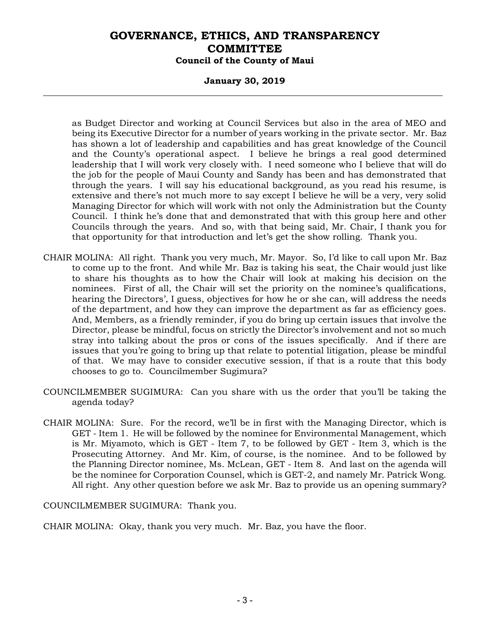### **January 30, 2019**

as Budget Director and working at Council Services but also in the area of MEO and being its Executive Director for a number of years working in the private sector. Mr. Baz has shown a lot of leadership and capabilities and has great knowledge of the Council and the County's operational aspect. I believe he brings a real good determined leadership that I will work very closely with. I need someone who I believe that will do the job for the people of Maui County and Sandy has been and has demonstrated that through the years. I will say his educational background, as you read his resume, is extensive and there's not much more to say except I believe he will be a very, very solid Managing Director for which will work with not only the Administration but the County Council. I think he's done that and demonstrated that with this group here and other Councils through the years. And so, with that being said, Mr. Chair, I thank you for that opportunity for that introduction and let's get the show rolling. Thank you.

- CHAIR MOLINA: All right. Thank you very much, Mr. Mayor. So, I'd like to call upon Mr. Baz to come up to the front. And while Mr. Baz is taking his seat, the Chair would just like to share his thoughts as to how the Chair will look at making his decision on the nominees. First of all, the Chair will set the priority on the nominee's qualifications, hearing the Directors', I guess, objectives for how he or she can, will address the needs of the department, and how they can improve the department as far as efficiency goes. And, Members, as a friendly reminder, if you do bring up certain issues that involve the Director, please be mindful, focus on strictly the Director's involvement and not so much stray into talking about the pros or cons of the issues specifically. And if there are issues that you're going to bring up that relate to potential litigation, please be mindful of that. We may have to consider executive session, if that is a route that this body chooses to go to. Councilmember Sugimura?
- COUNCILMEMBER SUGIMURA: Can you share with us the order that you'll be taking the agenda today?
- CHAIR MOLINA: Sure. For the record, we'll be in first with the Managing Director, which is GET - Item 1. He will be followed by the nominee for Environmental Management, which is Mr. Miyamoto, which is GET - Item 7, to be followed by GET - Item 3, which is the Prosecuting Attorney. And Mr. Kim, of course, is the nominee. And to be followed by the Planning Director nominee, Ms. McLean, GET - Item 8. And last on the agenda will be the nominee for Corporation Counsel, which is GET-2, and namely Mr. Patrick Wong. All right. Any other question before we ask Mr. Baz to provide us an opening summary?

COUNCILMEMBER SUGIMURA: Thank you.

CHAIR MOLINA: Okay, thank you very much. Mr. Baz, you have the floor.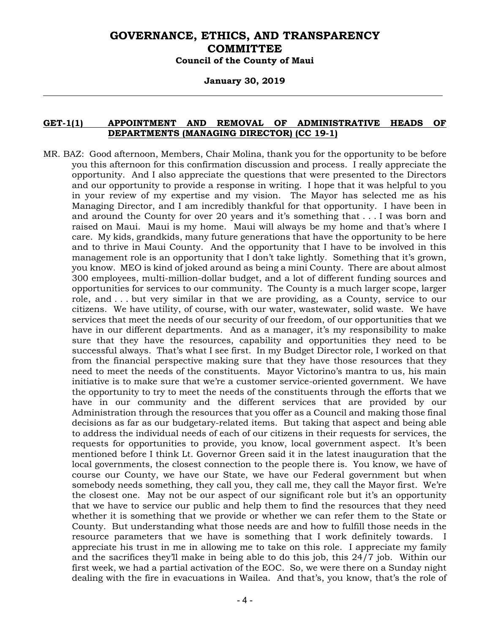#### **January 30, 2019**

#### **GET-1(1) APPOINTMENT AND REMOVAL OF ADMINISTRATIVE HEADS OF DEPARTMENTS (MANAGING DIRECTOR) (CC 19-1)**

MR. BAZ: Good afternoon, Members, Chair Molina, thank you for the opportunity to be before you this afternoon for this confirmation discussion and process. I really appreciate the opportunity. And I also appreciate the questions that were presented to the Directors and our opportunity to provide a response in writing. I hope that it was helpful to you in your review of my expertise and my vision. The Mayor has selected me as his Managing Director, and I am incredibly thankful for that opportunity. I have been in and around the County for over 20 years and it's something that . . . I was born and raised on Maui. Maui is my home. Maui will always be my home and that's where I care. My kids, grandkids, many future generations that have the opportunity to be here and to thrive in Maui County. And the opportunity that I have to be involved in this management role is an opportunity that I don't take lightly. Something that it's grown, you know. MEO is kind of joked around as being a mini County. There are about almost 300 employees, multi-million-dollar budget, and a lot of different funding sources and opportunities for services to our community. The County is a much larger scope, larger role, and . . . but very similar in that we are providing, as a County, service to our citizens. We have utility, of course, with our water, wastewater, solid waste. We have services that meet the needs of our security of our freedom, of our opportunities that we have in our different departments. And as a manager, it's my responsibility to make sure that they have the resources, capability and opportunities they need to be successful always. That's what I see first. In my Budget Director role, I worked on that from the financial perspective making sure that they have those resources that they need to meet the needs of the constituents. Mayor Victorino's mantra to us, his main initiative is to make sure that we're a customer service-oriented government. We have the opportunity to try to meet the needs of the constituents through the efforts that we have in our community and the different services that are provided by our Administration through the resources that you offer as a Council and making those final decisions as far as our budgetary-related items. But taking that aspect and being able to address the individual needs of each of our citizens in their requests for services, the requests for opportunities to provide, you know, local government aspect. It's been mentioned before I think Lt. Governor Green said it in the latest inauguration that the local governments, the closest connection to the people there is. You know, we have of course our County, we have our State, we have our Federal government but when somebody needs something, they call you, they call me, they call the Mayor first. We're the closest one. May not be our aspect of our significant role but it's an opportunity that we have to service our public and help them to find the resources that they need whether it is something that we provide or whether we can refer them to the State or County. But understanding what those needs are and how to fulfill those needs in the resource parameters that we have is something that I work definitely towards. I appreciate his trust in me in allowing me to take on this role. I appreciate my family and the sacrifices they'll make in being able to do this job, this 24/7 job. Within our first week, we had a partial activation of the EOC. So, we were there on a Sunday night dealing with the fire in evacuations in Wailea. And that's, you know, that's the role of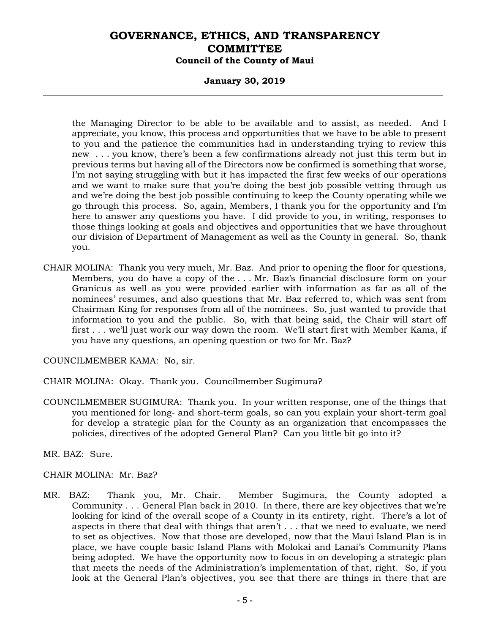### **January 30, 2019**

the Managing Director to be able to be available and to assist, as needed. And I appreciate, you know, this process and opportunities that we have to be able to present to you and the patience the communities had in understanding trying to review this new . . . you know, there's been a few confirmations already not just this term but in previous terms but having all of the Directors now be confirmed is something that worse, I'm not saying struggling with but it has impacted the first few weeks of our operations and we want to make sure that you're doing the best job possible vetting through us and we're doing the best job possible continuing to keep the County operating while we go through this process. So, again, Members, I thank you for the opportunity and I'm here to answer any questions you have. I did provide to you, in writing, responses to those things looking at goals and objectives and opportunities that we have throughout our division of Department of Management as well as the County in general. So, thank you.

CHAIR MOLINA: Thank you very much, Mr. Baz. And prior to opening the floor for questions, Members, you do have a copy of the . . . Mr. Baz's financial disclosure form on your Granicus as well as you were provided earlier with information as far as all of the nominees' resumes, and also questions that Mr. Baz referred to, which was sent from Chairman King for responses from all of the nominees. So, just wanted to provide that information to you and the public. So, with that being said, the Chair will start off first . . . we'll just work our way down the room. We'll start first with Member Kama, if you have any questions, an opening question or two for Mr. Baz?

COUNCILMEMBER KAMA: No, sir.

- CHAIR MOLINA: Okay. Thank you. Councilmember Sugimura?
- COUNCILMEMBER SUGIMURA: Thank you. In your written response, one of the things that you mentioned for long- and short-term goals, so can you explain your short-term goal for develop a strategic plan for the County as an organization that encompasses the policies, directives of the adopted General Plan? Can you little bit go into it?

MR. BAZ: Sure.

### CHAIR MOLINA: Mr. Baz?

MR. BAZ: Thank you, Mr. Chair. Member Sugimura, the County adopted a Community . . . General Plan back in 2010. In there, there are key objectives that we're looking for kind of the overall scope of a County in its entirety, right. There's a lot of aspects in there that deal with things that aren't . . . that we need to evaluate, we need to set as objectives. Now that those are developed, now that the Maui Island Plan is in place, we have couple basic Island Plans with Molokai and Lanai's Community Plans being adopted. We have the opportunity now to focus in on developing a strategic plan that meets the needs of the Administration's implementation of that, right. So, if you look at the General Plan's objectives, you see that there are things in there that are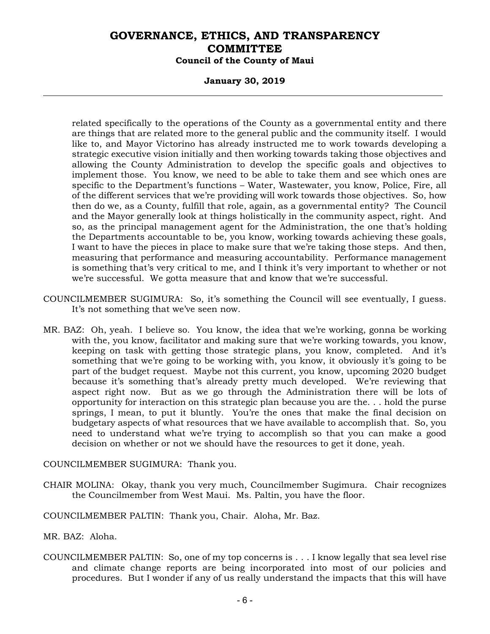### **January 30, 2019**

related specifically to the operations of the County as a governmental entity and there are things that are related more to the general public and the community itself. I would like to, and Mayor Victorino has already instructed me to work towards developing a strategic executive vision initially and then working towards taking those objectives and allowing the County Administration to develop the specific goals and objectives to implement those. You know, we need to be able to take them and see which ones are specific to the Department's functions – Water, Wastewater, you know, Police, Fire, all of the different services that we're providing will work towards those objectives. So, how then do we, as a County, fulfill that role, again, as a governmental entity? The Council and the Mayor generally look at things holistically in the community aspect, right. And so, as the principal management agent for the Administration, the one that's holding the Departments accountable to be, you know, working towards achieving these goals, I want to have the pieces in place to make sure that we're taking those steps. And then, measuring that performance and measuring accountability. Performance management is something that's very critical to me, and I think it's very important to whether or not we're successful. We gotta measure that and know that we're successful.

- COUNCILMEMBER SUGIMURA: So, it's something the Council will see eventually, I guess. It's not something that we've seen now.
- MR. BAZ: Oh, yeah. I believe so. You know, the idea that we're working, gonna be working with the, you know, facilitator and making sure that we're working towards, you know, keeping on task with getting those strategic plans, you know, completed. And it's something that we're going to be working with, you know, it obviously it's going to be part of the budget request. Maybe not this current, you know, upcoming 2020 budget because it's something that's already pretty much developed. We're reviewing that aspect right now. But as we go through the Administration there will be lots of opportunity for interaction on this strategic plan because you are the. . . hold the purse springs, I mean, to put it bluntly. You're the ones that make the final decision on budgetary aspects of what resources that we have available to accomplish that. So, you need to understand what we're trying to accomplish so that you can make a good decision on whether or not we should have the resources to get it done, yeah.

COUNCILMEMBER SUGIMURA: Thank you.

CHAIR MOLINA: Okay, thank you very much, Councilmember Sugimura. Chair recognizes the Councilmember from West Maui. Ms. Paltin, you have the floor.

COUNCILMEMBER PALTIN: Thank you, Chair. Aloha, Mr. Baz.

- MR. BAZ: Aloha.
- COUNCILMEMBER PALTIN: So, one of my top concerns is . . . I know legally that sea level rise and climate change reports are being incorporated into most of our policies and procedures. But I wonder if any of us really understand the impacts that this will have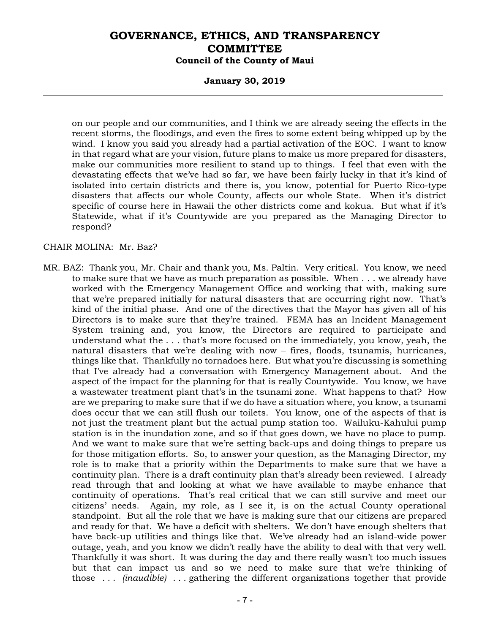#### **January 30, 2019**

on our people and our communities, and I think we are already seeing the effects in the recent storms, the floodings, and even the fires to some extent being whipped up by the wind. I know you said you already had a partial activation of the EOC. I want to know in that regard what are your vision, future plans to make us more prepared for disasters, make our communities more resilient to stand up to things. I feel that even with the devastating effects that we've had so far, we have been fairly lucky in that it's kind of isolated into certain districts and there is, you know, potential for Puerto Rico-type disasters that affects our whole County, affects our whole State. When it's district specific of course here in Hawaii the other districts come and kokua. But what if it's Statewide, what if it's Countywide are you prepared as the Managing Director to respond?

#### CHAIR MOLINA: Mr. Baz?

MR. BAZ: Thank you, Mr. Chair and thank you, Ms. Paltin. Very critical. You know, we need to make sure that we have as much preparation as possible. When . . . we already have worked with the Emergency Management Office and working that with, making sure that we're prepared initially for natural disasters that are occurring right now. That's kind of the initial phase. And one of the directives that the Mayor has given all of his Directors is to make sure that they're trained. FEMA has an Incident Management System training and, you know, the Directors are required to participate and understand what the . . . that's more focused on the immediately, you know, yeah, the natural disasters that we're dealing with now – fires, floods, tsunamis, hurricanes, things like that. Thankfully no tornadoes here. But what you're discussing is something that I've already had a conversation with Emergency Management about. And the aspect of the impact for the planning for that is really Countywide. You know, we have a wastewater treatment plant that's in the tsunami zone. What happens to that? How are we preparing to make sure that if we do have a situation where, you know, a tsunami does occur that we can still flush our toilets. You know, one of the aspects of that is not just the treatment plant but the actual pump station too. Wailuku-Kahului pump station is in the inundation zone, and so if that goes down, we have no place to pump. And we want to make sure that we're setting back-ups and doing things to prepare us for those mitigation efforts. So, to answer your question, as the Managing Director, my role is to make that a priority within the Departments to make sure that we have a continuity plan. There is a draft continuity plan that's already been reviewed. I already read through that and looking at what we have available to maybe enhance that continuity of operations. That's real critical that we can still survive and meet our citizens' needs. Again, my role, as I see it, is on the actual County operational standpoint. But all the role that we have is making sure that our citizens are prepared and ready for that. We have a deficit with shelters. We don't have enough shelters that have back-up utilities and things like that. We've already had an island-wide power outage, yeah, and you know we didn't really have the ability to deal with that very well. Thankfully it was short. It was during the day and there really wasn't too much issues but that can impact us and so we need to make sure that we're thinking of those *. . . (inaudible) . . .* gathering the different organizations together that provide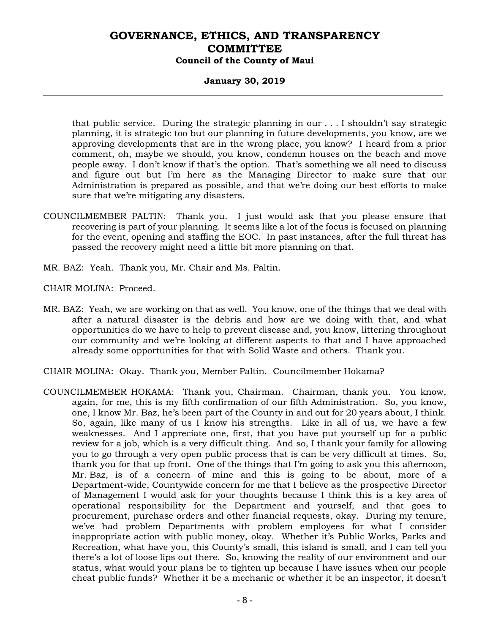### **January 30, 2019**

that public service. During the strategic planning in our . . . I shouldn't say strategic planning, it is strategic too but our planning in future developments, you know, are we approving developments that are in the wrong place, you know? I heard from a prior comment, oh, maybe we should, you know, condemn houses on the beach and move people away. I don't know if that's the option. That's something we all need to discuss and figure out but I'm here as the Managing Director to make sure that our Administration is prepared as possible, and that we're doing our best efforts to make sure that we're mitigating any disasters.

- COUNCILMEMBER PALTIN: Thank you. I just would ask that you please ensure that recovering is part of your planning. It seems like a lot of the focus is focused on planning for the event, opening and staffing the EOC. In past instances, after the full threat has passed the recovery might need a little bit more planning on that.
- MR. BAZ: Yeah. Thank you, Mr. Chair and Ms. Paltin.

CHAIR MOLINA: Proceed.

- MR. BAZ: Yeah, we are working on that as well. You know, one of the things that we deal with after a natural disaster is the debris and how are we doing with that, and what opportunities do we have to help to prevent disease and, you know, littering throughout our community and we're looking at different aspects to that and I have approached already some opportunities for that with Solid Waste and others. Thank you.
- CHAIR MOLINA: Okay. Thank you, Member Paltin. Councilmember Hokama?
- COUNCILMEMBER HOKAMA: Thank you, Chairman. Chairman, thank you. You know, again, for me, this is my fifth confirmation of our fifth Administration. So, you know, one, I know Mr. Baz, he's been part of the County in and out for 20 years about, I think. So, again, like many of us I know his strengths. Like in all of us, we have a few weaknesses. And I appreciate one, first, that you have put yourself up for a public review for a job, which is a very difficult thing. And so, I thank your family for allowing you to go through a very open public process that is can be very difficult at times. So, thank you for that up front. One of the things that I'm going to ask you this afternoon, Mr. Baz, is of a concern of mine and this is going to be about, more of a Department-wide, Countywide concern for me that I believe as the prospective Director of Management I would ask for your thoughts because I think this is a key area of operational responsibility for the Department and yourself, and that goes to procurement, purchase orders and other financial requests, okay. During my tenure, we've had problem Departments with problem employees for what I consider inappropriate action with public money, okay. Whether it's Public Works, Parks and Recreation, what have you, this County's small, this island is small, and I can tell you there's a lot of loose lips out there. So, knowing the reality of our environment and our status, what would your plans be to tighten up because I have issues when our people cheat public funds? Whether it be a mechanic or whether it be an inspector, it doesn't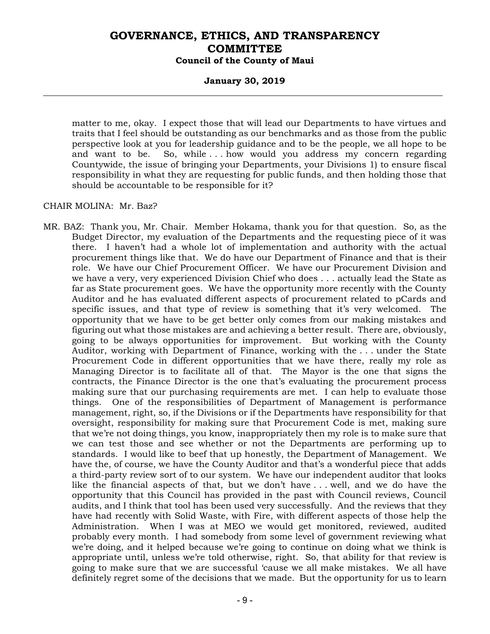#### **January 30, 2019**

matter to me, okay. I expect those that will lead our Departments to have virtues and traits that I feel should be outstanding as our benchmarks and as those from the public perspective look at you for leadership guidance and to be the people, we all hope to be and want to be. So, while . . . how would you address my concern regarding Countywide, the issue of bringing your Departments, your Divisions 1) to ensure fiscal responsibility in what they are requesting for public funds, and then holding those that should be accountable to be responsible for it?

#### CHAIR MOLINA: Mr. Baz?

MR. BAZ: Thank you, Mr. Chair. Member Hokama, thank you for that question. So, as the Budget Director, my evaluation of the Departments and the requesting piece of it was there. I haven't had a whole lot of implementation and authority with the actual procurement things like that. We do have our Department of Finance and that is their role. We have our Chief Procurement Officer. We have our Procurement Division and we have a very, very experienced Division Chief who does . . . actually lead the State as far as State procurement goes. We have the opportunity more recently with the County Auditor and he has evaluated different aspects of procurement related to pCards and specific issues, and that type of review is something that it's very welcomed. The opportunity that we have to be get better only comes from our making mistakes and figuring out what those mistakes are and achieving a better result. There are, obviously, going to be always opportunities for improvement. But working with the County Auditor, working with Department of Finance, working with the . . . under the State Procurement Code in different opportunities that we have there, really my role as Managing Director is to facilitate all of that. The Mayor is the one that signs the contracts, the Finance Director is the one that's evaluating the procurement process making sure that our purchasing requirements are met. I can help to evaluate those things. One of the responsibilities of Department of Management is performance management, right, so, if the Divisions or if the Departments have responsibility for that oversight, responsibility for making sure that Procurement Code is met, making sure that we're not doing things, you know, inappropriately then my role is to make sure that we can test those and see whether or not the Departments are performing up to standards. I would like to beef that up honestly, the Department of Management. We have the, of course, we have the County Auditor and that's a wonderful piece that adds a third-party review sort of to our system. We have our independent auditor that looks like the financial aspects of that, but we don't have . . . well, and we do have the opportunity that this Council has provided in the past with Council reviews, Council audits, and I think that tool has been used very successfully. And the reviews that they have had recently with Solid Waste, with Fire, with different aspects of those help the Administration. When I was at MEO we would get monitored, reviewed, audited probably every month. I had somebody from some level of government reviewing what we're doing, and it helped because we're going to continue on doing what we think is appropriate until, unless we're told otherwise, right. So, that ability for that review is going to make sure that we are successful 'cause we all make mistakes. We all have definitely regret some of the decisions that we made. But the opportunity for us to learn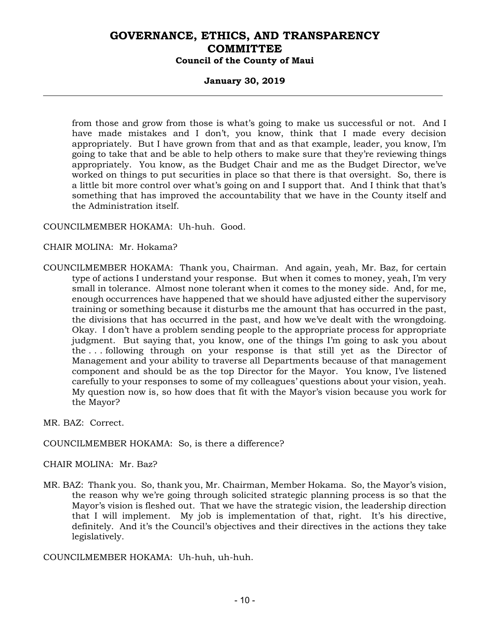### **January 30, 2019**

from those and grow from those is what's going to make us successful or not. And I have made mistakes and I don't, you know, think that I made every decision appropriately. But I have grown from that and as that example, leader, you know, I'm going to take that and be able to help others to make sure that they're reviewing things appropriately. You know, as the Budget Chair and me as the Budget Director, we've worked on things to put securities in place so that there is that oversight. So, there is a little bit more control over what's going on and I support that. And I think that that's something that has improved the accountability that we have in the County itself and the Administration itself.

#### COUNCILMEMBER HOKAMA: Uh-huh. Good.

#### CHAIR MOLINA: Mr. Hokama?

COUNCILMEMBER HOKAMA: Thank you, Chairman. And again, yeah, Mr. Baz, for certain type of actions I understand your response. But when it comes to money, yeah, I'm very small in tolerance. Almost none tolerant when it comes to the money side. And, for me, enough occurrences have happened that we should have adjusted either the supervisory training or something because it disturbs me the amount that has occurred in the past, the divisions that has occurred in the past, and how we've dealt with the wrongdoing. Okay. I don't have a problem sending people to the appropriate process for appropriate judgment. But saying that, you know, one of the things I'm going to ask you about the . . . following through on your response is that still yet as the Director of Management and your ability to traverse all Departments because of that management component and should be as the top Director for the Mayor. You know, I've listened carefully to your responses to some of my colleagues' questions about your vision, yeah. My question now is, so how does that fit with the Mayor's vision because you work for the Mayor?

MR. BAZ: Correct.

#### COUNCILMEMBER HOKAMA: So, is there a difference?

#### CHAIR MOLINA: Mr. Baz?

MR. BAZ: Thank you. So, thank you, Mr. Chairman, Member Hokama. So, the Mayor's vision, the reason why we're going through solicited strategic planning process is so that the Mayor's vision is fleshed out. That we have the strategic vision, the leadership direction that I will implement. My job is implementation of that, right. It's his directive, definitely. And it's the Council's objectives and their directives in the actions they take legislatively.

COUNCILMEMBER HOKAMA: Uh-huh, uh-huh.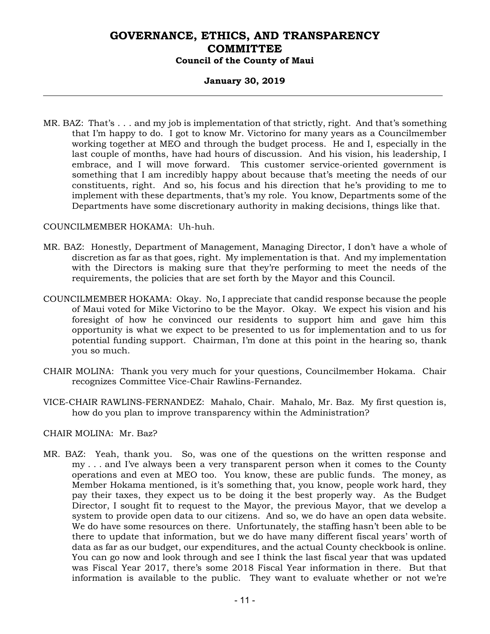### **January 30, 2019**

MR. BAZ: That's . . . and my job is implementation of that strictly, right. And that's something that I'm happy to do. I got to know Mr. Victorino for many years as a Councilmember working together at MEO and through the budget process. He and I, especially in the last couple of months, have had hours of discussion. And his vision, his leadership, I embrace, and I will move forward. This customer service-oriented government is something that I am incredibly happy about because that's meeting the needs of our constituents, right. And so, his focus and his direction that he's providing to me to implement with these departments, that's my role. You know, Departments some of the Departments have some discretionary authority in making decisions, things like that.

### COUNCILMEMBER HOKAMA: Uh-huh.

- MR. BAZ: Honestly, Department of Management, Managing Director, I don't have a whole of discretion as far as that goes, right. My implementation is that. And my implementation with the Directors is making sure that they're performing to meet the needs of the requirements, the policies that are set forth by the Mayor and this Council.
- COUNCILMEMBER HOKAMA: Okay. No, I appreciate that candid response because the people of Maui voted for Mike Victorino to be the Mayor. Okay. We expect his vision and his foresight of how he convinced our residents to support him and gave him this opportunity is what we expect to be presented to us for implementation and to us for potential funding support. Chairman, I'm done at this point in the hearing so, thank you so much.
- CHAIR MOLINA: Thank you very much for your questions, Councilmember Hokama. Chair recognizes Committee Vice-Chair Rawlins-Fernandez.
- VICE-CHAIR RAWLINS-FERNANDEZ: Mahalo, Chair. Mahalo, Mr. Baz. My first question is, how do you plan to improve transparency within the Administration?

### CHAIR MOLINA: Mr. Baz?

MR. BAZ: Yeah, thank you. So, was one of the questions on the written response and my . . . and I've always been a very transparent person when it comes to the County operations and even at MEO too. You know, these are public funds. The money, as Member Hokama mentioned, is it's something that, you know, people work hard, they pay their taxes, they expect us to be doing it the best properly way. As the Budget Director, I sought fit to request to the Mayor, the previous Mayor, that we develop a system to provide open data to our citizens. And so, we do have an open data website. We do have some resources on there. Unfortunately, the staffing hasn't been able to be there to update that information, but we do have many different fiscal years' worth of data as far as our budget, our expenditures, and the actual County checkbook is online. You can go now and look through and see I think the last fiscal year that was updated was Fiscal Year 2017, there's some 2018 Fiscal Year information in there. But that information is available to the public. They want to evaluate whether or not we're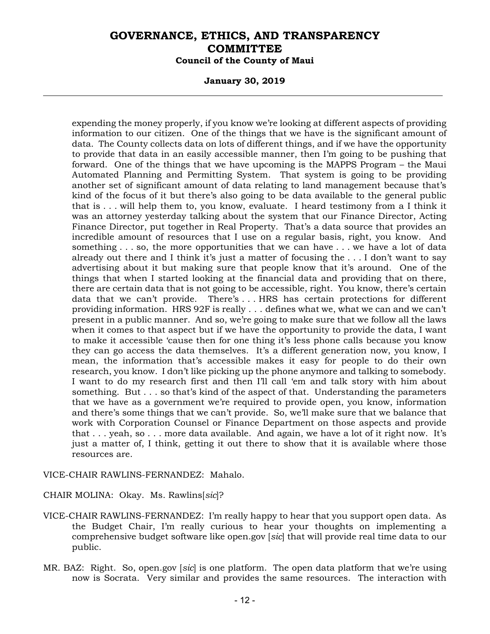#### **January 30, 2019**

expending the money properly, if you know we're looking at different aspects of providing information to our citizen. One of the things that we have is the significant amount of data. The County collects data on lots of different things, and if we have the opportunity to provide that data in an easily accessible manner, then I'm going to be pushing that forward. One of the things that we have upcoming is the MAPPS Program – the Maui Automated Planning and Permitting System. That system is going to be providing another set of significant amount of data relating to land management because that's kind of the focus of it but there's also going to be data available to the general public that is . . . will help them to, you know, evaluate. I heard testimony from a I think it was an attorney yesterday talking about the system that our Finance Director, Acting Finance Director, put together in Real Property. That's a data source that provides an incredible amount of resources that I use on a regular basis, right, you know. And something . . . so, the more opportunities that we can have . . . we have a lot of data already out there and I think it's just a matter of focusing the . . . I don't want to say advertising about it but making sure that people know that it's around. One of the things that when I started looking at the financial data and providing that on there, there are certain data that is not going to be accessible, right. You know, there's certain data that we can't provide. There's . . . HRS has certain protections for different providing information. HRS 92F is really . . . defines what we, what we can and we can't present in a public manner. And so, we're going to make sure that we follow all the laws when it comes to that aspect but if we have the opportunity to provide the data, I want to make it accessible 'cause then for one thing it's less phone calls because you know they can go access the data themselves. It's a different generation now, you know, I mean, the information that's accessible makes it easy for people to do their own research, you know. I don't like picking up the phone anymore and talking to somebody. I want to do my research first and then I'll call 'em and talk story with him about something. But . . . so that's kind of the aspect of that. Understanding the parameters that we have as a government we're required to provide open, you know, information and there's some things that we can't provide. So, we'll make sure that we balance that work with Corporation Counsel or Finance Department on those aspects and provide that . . . yeah, so . . . more data available. And again, we have a lot of it right now. It's just a matter of, I think, getting it out there to show that it is available where those resources are.

VICE-CHAIR RAWLINS-FERNANDEZ: Mahalo.

CHAIR MOLINA: Okay. Ms. Rawlins[*sic*]?

- VICE-CHAIR RAWLINS-FERNANDEZ: I'm really happy to hear that you support open data. As the Budget Chair, I'm really curious to hear your thoughts on implementing a comprehensive budget software like open.gov [*sic*] that will provide real time data to our public.
- MR. BAZ: Right. So, open.gov [*sic*] is one platform. The open data platform that we're using now is Socrata. Very similar and provides the same resources. The interaction with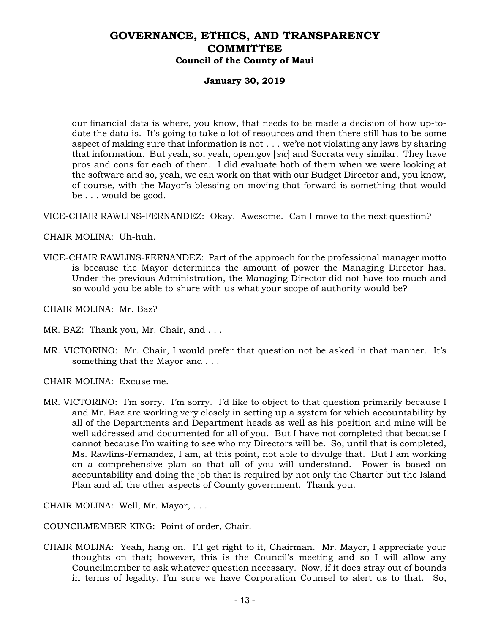### **January 30, 2019**

our financial data is where, you know, that needs to be made a decision of how up-todate the data is. It's going to take a lot of resources and then there still has to be some aspect of making sure that information is not . . . we're not violating any laws by sharing that information. But yeah, so, yeah, open.gov [*sic*] and Socrata very similar. They have pros and cons for each of them. I did evaluate both of them when we were looking at the software and so, yeah, we can work on that with our Budget Director and, you know, of course, with the Mayor's blessing on moving that forward is something that would be . . . would be good.

VICE-CHAIR RAWLINS-FERNANDEZ: Okay. Awesome. Can I move to the next question?

CHAIR MOLINA: Uh-huh.

VICE-CHAIR RAWLINS-FERNANDEZ: Part of the approach for the professional manager motto is because the Mayor determines the amount of power the Managing Director has. Under the previous Administration, the Managing Director did not have too much and so would you be able to share with us what your scope of authority would be?

CHAIR MOLINA: Mr. Baz?

- MR. BAZ: Thank you, Mr. Chair, and ...
- MR. VICTORINO: Mr. Chair, I would prefer that question not be asked in that manner. It's something that the Mayor and . . .

CHAIR MOLINA: Excuse me.

MR. VICTORINO: I'm sorry. I'm sorry. I'd like to object to that question primarily because I and Mr. Baz are working very closely in setting up a system for which accountability by all of the Departments and Department heads as well as his position and mine will be well addressed and documented for all of you. But I have not completed that because I cannot because I'm waiting to see who my Directors will be. So, until that is completed, Ms. Rawlins-Fernandez, I am, at this point, not able to divulge that. But I am working on a comprehensive plan so that all of you will understand. Power is based on accountability and doing the job that is required by not only the Charter but the Island Plan and all the other aspects of County government. Thank you.

CHAIR MOLINA: Well, Mr. Mayor, . . .

COUNCILMEMBER KING: Point of order, Chair.

CHAIR MOLINA: Yeah, hang on. I'll get right to it, Chairman. Mr. Mayor, I appreciate your thoughts on that; however, this is the Council's meeting and so I will allow any Councilmember to ask whatever question necessary. Now, if it does stray out of bounds in terms of legality, I'm sure we have Corporation Counsel to alert us to that. So,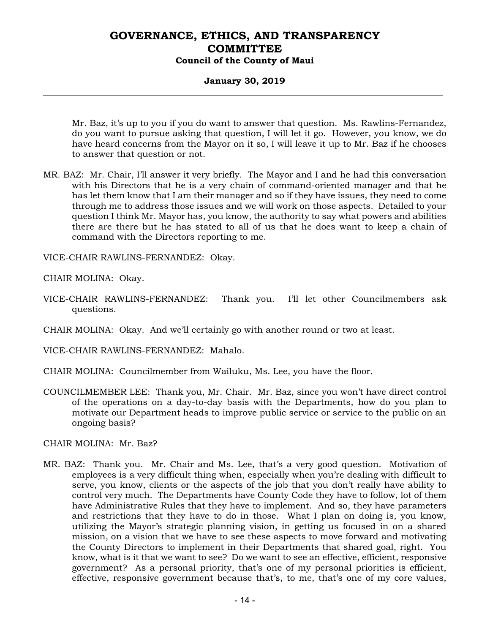### **January 30, 2019**

Mr. Baz, it's up to you if you do want to answer that question. Ms. Rawlins-Fernandez, do you want to pursue asking that question, I will let it go. However, you know, we do have heard concerns from the Mayor on it so, I will leave it up to Mr. Baz if he chooses to answer that question or not.

MR. BAZ: Mr. Chair, I'll answer it very briefly. The Mayor and I and he had this conversation with his Directors that he is a very chain of command-oriented manager and that he has let them know that I am their manager and so if they have issues, they need to come through me to address those issues and we will work on those aspects. Detailed to your question I think Mr. Mayor has, you know, the authority to say what powers and abilities there are there but he has stated to all of us that he does want to keep a chain of command with the Directors reporting to me.

VICE-CHAIR RAWLINS-FERNANDEZ: Okay.

CHAIR MOLINA: Okay.

- VICE-CHAIR RAWLINS-FERNANDEZ: Thank you. I'll let other Councilmembers ask questions.
- CHAIR MOLINA: Okay. And we'll certainly go with another round or two at least.

VICE-CHAIR RAWLINS-FERNANDEZ: Mahalo.

- CHAIR MOLINA: Councilmember from Wailuku, Ms. Lee, you have the floor.
- COUNCILMEMBER LEE: Thank you, Mr. Chair. Mr. Baz, since you won't have direct control of the operations on a day-to-day basis with the Departments, how do you plan to motivate our Department heads to improve public service or service to the public on an ongoing basis?

CHAIR MOLINA: Mr. Baz?

MR. BAZ: Thank you. Mr. Chair and Ms. Lee, that's a very good question. Motivation of employees is a very difficult thing when, especially when you're dealing with difficult to serve, you know, clients or the aspects of the job that you don't really have ability to control very much. The Departments have County Code they have to follow, lot of them have Administrative Rules that they have to implement. And so, they have parameters and restrictions that they have to do in those. What I plan on doing is, you know, utilizing the Mayor's strategic planning vision, in getting us focused in on a shared mission, on a vision that we have to see these aspects to move forward and motivating the County Directors to implement in their Departments that shared goal, right. You know, what is it that we want to see? Do we want to see an effective, efficient, responsive government? As a personal priority, that's one of my personal priorities is efficient, effective, responsive government because that's, to me, that's one of my core values,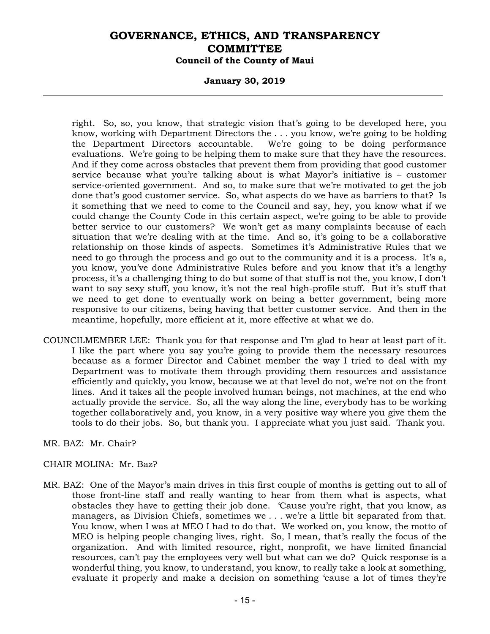### **January 30, 2019**

right. So, so, you know, that strategic vision that's going to be developed here, you know, working with Department Directors the . . . you know, we're going to be holding the Department Directors accountable. We're going to be doing performance evaluations. We're going to be helping them to make sure that they have the resources. And if they come across obstacles that prevent them from providing that good customer service because what you're talking about is what Mayor's initiative is – customer service-oriented government. And so, to make sure that we're motivated to get the job done that's good customer service. So, what aspects do we have as barriers to that? Is it something that we need to come to the Council and say, hey, you know what if we could change the County Code in this certain aspect, we're going to be able to provide better service to our customers? We won't get as many complaints because of each situation that we're dealing with at the time. And so, it's going to be a collaborative relationship on those kinds of aspects. Sometimes it's Administrative Rules that we need to go through the process and go out to the community and it is a process. It's a, you know, you've done Administrative Rules before and you know that it's a lengthy process, it's a challenging thing to do but some of that stuff is not the, you know, I don't want to say sexy stuff, you know, it's not the real high-profile stuff. But it's stuff that we need to get done to eventually work on being a better government, being more responsive to our citizens, being having that better customer service. And then in the meantime, hopefully, more efficient at it, more effective at what we do.

COUNCILMEMBER LEE: Thank you for that response and I'm glad to hear at least part of it. I like the part where you say you're going to provide them the necessary resources because as a former Director and Cabinet member the way I tried to deal with my Department was to motivate them through providing them resources and assistance efficiently and quickly, you know, because we at that level do not, we're not on the front lines. And it takes all the people involved human beings, not machines, at the end who actually provide the service. So, all the way along the line, everybody has to be working together collaboratively and, you know, in a very positive way where you give them the tools to do their jobs. So, but thank you. I appreciate what you just said. Thank you.

#### MR. BAZ: Mr. Chair?

### CHAIR MOLINA: Mr. Baz?

MR. BAZ: One of the Mayor's main drives in this first couple of months is getting out to all of those front-line staff and really wanting to hear from them what is aspects, what obstacles they have to getting their job done. 'Cause you're right, that you know, as managers, as Division Chiefs, sometimes we . . . we're a little bit separated from that. You know, when I was at MEO I had to do that. We worked on, you know, the motto of MEO is helping people changing lives, right. So, I mean, that's really the focus of the organization. And with limited resource, right, nonprofit, we have limited financial resources, can't pay the employees very well but what can we do? Quick response is a wonderful thing, you know, to understand, you know, to really take a look at something, evaluate it properly and make a decision on something 'cause a lot of times they're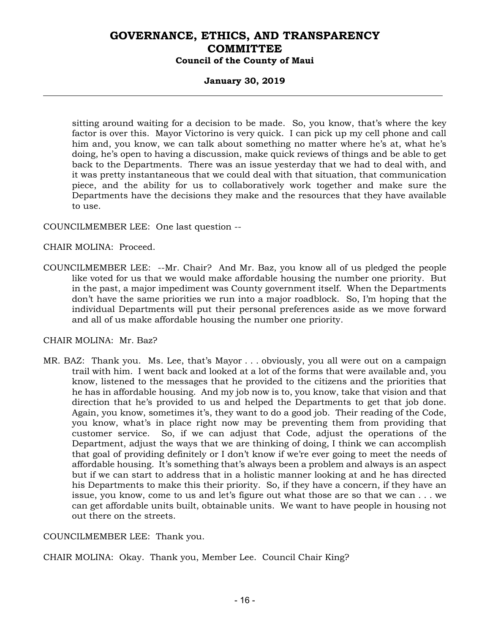### **January 30, 2019**

sitting around waiting for a decision to be made. So, you know, that's where the key factor is over this. Mayor Victorino is very quick. I can pick up my cell phone and call him and, you know, we can talk about something no matter where he's at, what he's doing, he's open to having a discussion, make quick reviews of things and be able to get back to the Departments. There was an issue yesterday that we had to deal with, and it was pretty instantaneous that we could deal with that situation, that communication piece, and the ability for us to collaboratively work together and make sure the Departments have the decisions they make and the resources that they have available to use.

COUNCILMEMBER LEE: One last question --

CHAIR MOLINA: Proceed.

COUNCILMEMBER LEE: --Mr. Chair? And Mr. Baz, you know all of us pledged the people like voted for us that we would make affordable housing the number one priority. But in the past, a major impediment was County government itself. When the Departments don't have the same priorities we run into a major roadblock. So, I'm hoping that the individual Departments will put their personal preferences aside as we move forward and all of us make affordable housing the number one priority.

### CHAIR MOLINA: Mr. Baz?

MR. BAZ: Thank you. Ms. Lee, that's Mayor . . . obviously, you all were out on a campaign trail with him. I went back and looked at a lot of the forms that were available and, you know, listened to the messages that he provided to the citizens and the priorities that he has in affordable housing. And my job now is to, you know, take that vision and that direction that he's provided to us and helped the Departments to get that job done. Again, you know, sometimes it's, they want to do a good job. Their reading of the Code, you know, what's in place right now may be preventing them from providing that customer service. So, if we can adjust that Code, adjust the operations of the Department, adjust the ways that we are thinking of doing, I think we can accomplish that goal of providing definitely or I don't know if we're ever going to meet the needs of affordable housing. It's something that's always been a problem and always is an aspect but if we can start to address that in a holistic manner looking at and he has directed his Departments to make this their priority. So, if they have a concern, if they have an issue, you know, come to us and let's figure out what those are so that we can . . . we can get affordable units built, obtainable units. We want to have people in housing not out there on the streets.

### COUNCILMEMBER LEE: Thank you.

CHAIR MOLINA: Okay. Thank you, Member Lee. Council Chair King?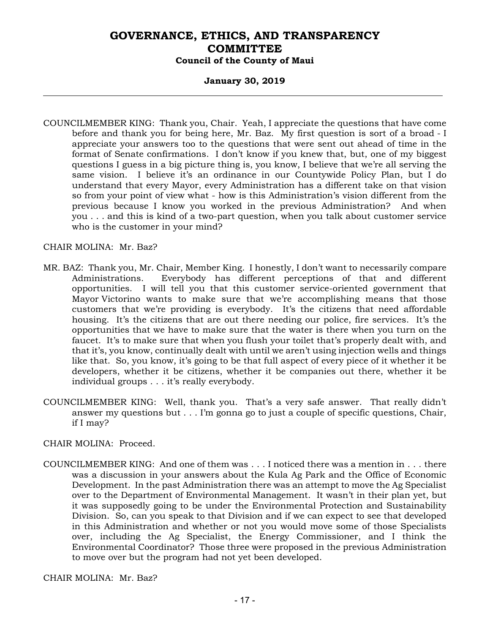### **January 30, 2019**

COUNCILMEMBER KING: Thank you, Chair. Yeah, I appreciate the questions that have come before and thank you for being here, Mr. Baz. My first question is sort of a broad - I appreciate your answers too to the questions that were sent out ahead of time in the format of Senate confirmations. I don't know if you knew that, but, one of my biggest questions I guess in a big picture thing is, you know, I believe that we're all serving the same vision. I believe it's an ordinance in our Countywide Policy Plan, but I do understand that every Mayor, every Administration has a different take on that vision so from your point of view what - how is this Administration's vision different from the previous because I know you worked in the previous Administration? And when you . . . and this is kind of a two-part question, when you talk about customer service who is the customer in your mind?

#### CHAIR MOLINA: Mr. Baz?

- MR. BAZ: Thank you, Mr. Chair, Member King. I honestly, I don't want to necessarily compare Administrations. Everybody has different perceptions of that and different opportunities. I will tell you that this customer service-oriented government that Mayor Victorino wants to make sure that we're accomplishing means that those customers that we're providing is everybody. It's the citizens that need affordable housing. It's the citizens that are out there needing our police, fire services. It's the opportunities that we have to make sure that the water is there when you turn on the faucet. It's to make sure that when you flush your toilet that's properly dealt with, and that it's, you know, continually dealt with until we aren't using injection wells and things like that. So, you know, it's going to be that full aspect of every piece of it whether it be developers, whether it be citizens, whether it be companies out there, whether it be individual groups . . . it's really everybody.
- COUNCILMEMBER KING: Well, thank you. That's a very safe answer. That really didn't answer my questions but . . . I'm gonna go to just a couple of specific questions, Chair, if I may?

CHAIR MOLINA: Proceed.

COUNCILMEMBER KING: And one of them was . . . I noticed there was a mention in . . . there was a discussion in your answers about the Kula Ag Park and the Office of Economic Development. In the past Administration there was an attempt to move the Ag Specialist over to the Department of Environmental Management. It wasn't in their plan yet, but it was supposedly going to be under the Environmental Protection and Sustainability Division. So, can you speak to that Division and if we can expect to see that developed in this Administration and whether or not you would move some of those Specialists over, including the Ag Specialist, the Energy Commissioner, and I think the Environmental Coordinator? Those three were proposed in the previous Administration to move over but the program had not yet been developed.

CHAIR MOLINA: Mr. Baz?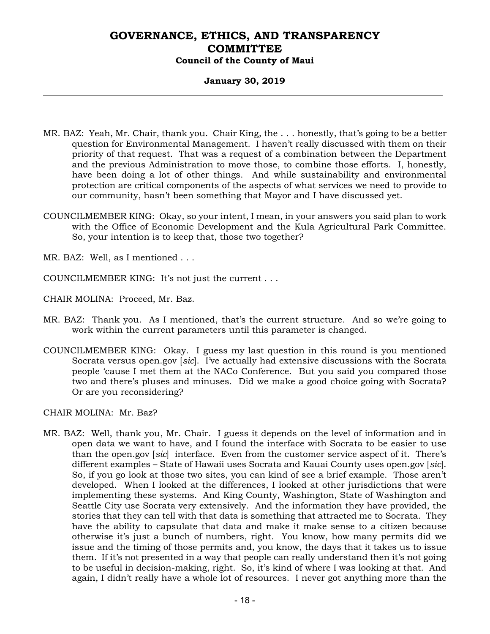### **January 30, 2019**

- MR. BAZ: Yeah, Mr. Chair, thank you. Chair King, the . . . honestly, that's going to be a better question for Environmental Management. I haven't really discussed with them on their priority of that request. That was a request of a combination between the Department and the previous Administration to move those, to combine those efforts. I, honestly, have been doing a lot of other things. And while sustainability and environmental protection are critical components of the aspects of what services we need to provide to our community, hasn't been something that Mayor and I have discussed yet.
- COUNCILMEMBER KING: Okay, so your intent, I mean, in your answers you said plan to work with the Office of Economic Development and the Kula Agricultural Park Committee. So, your intention is to keep that, those two together?
- MR. BAZ: Well, as I mentioned . . .
- COUNCILMEMBER KING: It's not just the current . . .
- CHAIR MOLINA: Proceed, Mr. Baz.
- MR. BAZ: Thank you. As I mentioned, that's the current structure. And so we're going to work within the current parameters until this parameter is changed.
- COUNCILMEMBER KING: Okay. I guess my last question in this round is you mentioned Socrata versus open.gov [*sic*]. I've actually had extensive discussions with the Socrata people 'cause I met them at the NACo Conference. But you said you compared those two and there's pluses and minuses. Did we make a good choice going with Socrata? Or are you reconsidering?

CHAIR MOLINA: Mr. Baz?

MR. BAZ: Well, thank you, Mr. Chair. I guess it depends on the level of information and in open data we want to have, and I found the interface with Socrata to be easier to use than the open.gov [*sic*] interface. Even from the customer service aspect of it. There's different examples – State of Hawaii uses Socrata and Kauai County uses open.gov [*sic*]. So, if you go look at those two sites, you can kind of see a brief example. Those aren't developed. When I looked at the differences, I looked at other jurisdictions that were implementing these systems. And King County, Washington, State of Washington and Seattle City use Socrata very extensively. And the information they have provided, the stories that they can tell with that data is something that attracted me to Socrata. They have the ability to capsulate that data and make it make sense to a citizen because otherwise it's just a bunch of numbers, right. You know, how many permits did we issue and the timing of those permits and, you know, the days that it takes us to issue them. If it's not presented in a way that people can really understand then it's not going to be useful in decision-making, right. So, it's kind of where I was looking at that. And again, I didn't really have a whole lot of resources. I never got anything more than the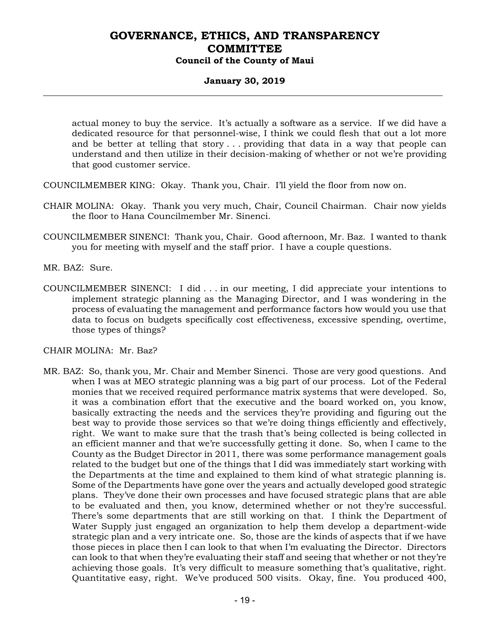### **January 30, 2019**

actual money to buy the service. It's actually a software as a service. If we did have a dedicated resource for that personnel-wise, I think we could flesh that out a lot more and be better at telling that story . . . providing that data in a way that people can understand and then utilize in their decision-making of whether or not we're providing that good customer service.

COUNCILMEMBER KING: Okay. Thank you, Chair. I'll yield the floor from now on.

- CHAIR MOLINA: Okay. Thank you very much, Chair, Council Chairman. Chair now yields the floor to Hana Councilmember Mr. Sinenci.
- COUNCILMEMBER SINENCI: Thank you, Chair. Good afternoon, Mr. Baz. I wanted to thank you for meeting with myself and the staff prior. I have a couple questions.
- MR. BAZ: Sure.
- COUNCILMEMBER SINENCI: I did . . . in our meeting, I did appreciate your intentions to implement strategic planning as the Managing Director, and I was wondering in the process of evaluating the management and performance factors how would you use that data to focus on budgets specifically cost effectiveness, excessive spending, overtime, those types of things?

CHAIR MOLINA: Mr. Baz?

MR. BAZ: So, thank you, Mr. Chair and Member Sinenci. Those are very good questions. And when I was at MEO strategic planning was a big part of our process. Lot of the Federal monies that we received required performance matrix systems that were developed. So, it was a combination effort that the executive and the board worked on, you know, basically extracting the needs and the services they're providing and figuring out the best way to provide those services so that we're doing things efficiently and effectively, right. We want to make sure that the trash that's being collected is being collected in an efficient manner and that we're successfully getting it done. So, when I came to the County as the Budget Director in 2011, there was some performance management goals related to the budget but one of the things that I did was immediately start working with the Departments at the time and explained to them kind of what strategic planning is. Some of the Departments have gone over the years and actually developed good strategic plans. They've done their own processes and have focused strategic plans that are able to be evaluated and then, you know, determined whether or not they're successful. There's some departments that are still working on that. I think the Department of Water Supply just engaged an organization to help them develop a department-wide strategic plan and a very intricate one. So, those are the kinds of aspects that if we have those pieces in place then I can look to that when I'm evaluating the Director. Directors can look to that when they're evaluating their staff and seeing that whether or not they're achieving those goals. It's very difficult to measure something that's qualitative, right. Quantitative easy, right. We've produced 500 visits. Okay, fine. You produced 400,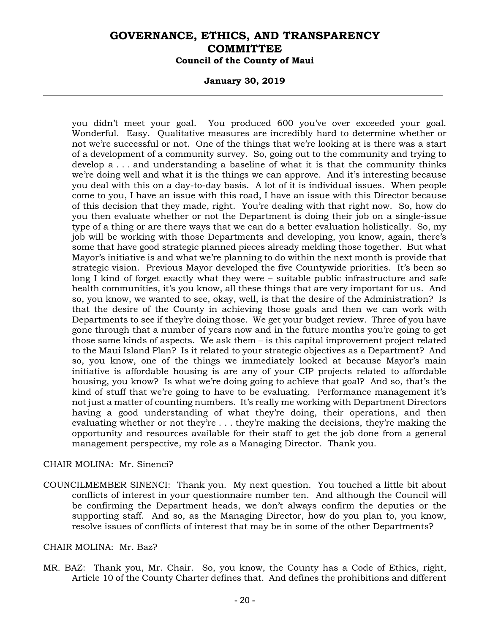#### **January 30, 2019**

you didn't meet your goal. You produced 600 you've over exceeded your goal. Wonderful. Easy. Qualitative measures are incredibly hard to determine whether or not we're successful or not. One of the things that we're looking at is there was a start of a development of a community survey. So, going out to the community and trying to develop a . . . and understanding a baseline of what it is that the community thinks we're doing well and what it is the things we can approve. And it's interesting because you deal with this on a day-to-day basis. A lot of it is individual issues. When people come to you, I have an issue with this road, I have an issue with this Director because of this decision that they made, right. You're dealing with that right now. So, how do you then evaluate whether or not the Department is doing their job on a single-issue type of a thing or are there ways that we can do a better evaluation holistically. So, my job will be working with those Departments and developing, you know, again, there's some that have good strategic planned pieces already melding those together. But what Mayor's initiative is and what we're planning to do within the next month is provide that strategic vision. Previous Mayor developed the five Countywide priorities. It's been so long I kind of forget exactly what they were – suitable public infrastructure and safe health communities, it's you know, all these things that are very important for us. And so, you know, we wanted to see, okay, well, is that the desire of the Administration? Is that the desire of the County in achieving those goals and then we can work with Departments to see if they're doing those. We get your budget review. Three of you have gone through that a number of years now and in the future months you're going to get those same kinds of aspects. We ask them – is this capital improvement project related to the Maui Island Plan? Is it related to your strategic objectives as a Department? And so, you know, one of the things we immediately looked at because Mayor's main initiative is affordable housing is are any of your CIP projects related to affordable housing, you know? Is what we're doing going to achieve that goal? And so, that's the kind of stuff that we're going to have to be evaluating. Performance management it's not just a matter of counting numbers. It's really me working with Department Directors having a good understanding of what they're doing, their operations, and then evaluating whether or not they're . . . they're making the decisions, they're making the opportunity and resources available for their staff to get the job done from a general management perspective, my role as a Managing Director. Thank you.

#### CHAIR MOLINA: Mr. Sinenci?

COUNCILMEMBER SINENCI: Thank you. My next question. You touched a little bit about conflicts of interest in your questionnaire number ten. And although the Council will be confirming the Department heads, we don't always confirm the deputies or the supporting staff. And so, as the Managing Director, how do you plan to, you know, resolve issues of conflicts of interest that may be in some of the other Departments?

#### CHAIR MOLINA: Mr. Baz?

MR. BAZ: Thank you, Mr. Chair. So, you know, the County has a Code of Ethics, right, Article 10 of the County Charter defines that. And defines the prohibitions and different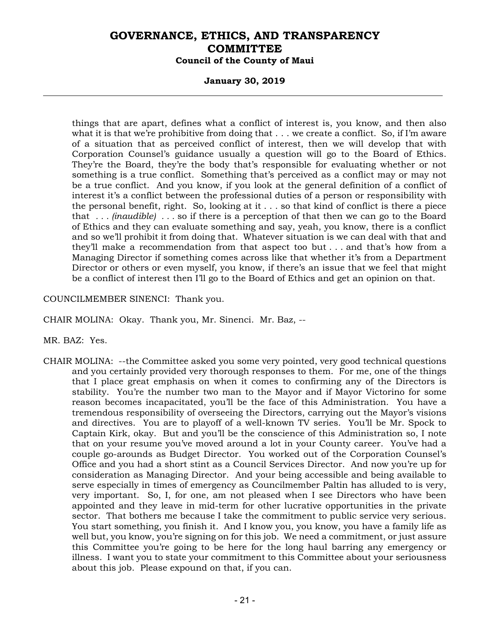### **January 30, 2019**

things that are apart, defines what a conflict of interest is, you know, and then also what it is that we're prohibitive from doing that  $\dots$  we create a conflict. So, if I'm aware of a situation that as perceived conflict of interest, then we will develop that with Corporation Counsel's guidance usually a question will go to the Board of Ethics. They're the Board, they're the body that's responsible for evaluating whether or not something is a true conflict. Something that's perceived as a conflict may or may not be a true conflict. And you know, if you look at the general definition of a conflict of interest it's a conflict between the professional duties of a person or responsibility with the personal benefit, right. So, looking at it  $\ldots$  so that kind of conflict is there a piece that *. . . (inaudible) . . .* so if there is a perception of that then we can go to the Board of Ethics and they can evaluate something and say, yeah, you know, there is a conflict and so we'll prohibit it from doing that. Whatever situation is we can deal with that and they'll make a recommendation from that aspect too but . . . and that's how from a Managing Director if something comes across like that whether it's from a Department Director or others or even myself, you know, if there's an issue that we feel that might be a conflict of interest then I'll go to the Board of Ethics and get an opinion on that.

### COUNCILMEMBER SINENCI: Thank you.

CHAIR MOLINA: Okay. Thank you, Mr. Sinenci. Mr. Baz, --

- MR. BAZ: Yes.
- CHAIR MOLINA: --the Committee asked you some very pointed, very good technical questions and you certainly provided very thorough responses to them. For me, one of the things that I place great emphasis on when it comes to confirming any of the Directors is stability. You're the number two man to the Mayor and if Mayor Victorino for some reason becomes incapacitated, you'll be the face of this Administration. You have a tremendous responsibility of overseeing the Directors, carrying out the Mayor's visions and directives. You are to playoff of a well-known TV series. You'll be Mr. Spock to Captain Kirk, okay. But and you'll be the conscience of this Administration so, I note that on your resume you've moved around a lot in your County career. You've had a couple go-arounds as Budget Director. You worked out of the Corporation Counsel's Office and you had a short stint as a Council Services Director. And now you're up for consideration as Managing Director. And your being accessible and being available to serve especially in times of emergency as Councilmember Paltin has alluded to is very, very important. So, I, for one, am not pleased when I see Directors who have been appointed and they leave in mid-term for other lucrative opportunities in the private sector. That bothers me because I take the commitment to public service very serious. You start something, you finish it. And I know you, you know, you have a family life as well but, you know, you're signing on for this job. We need a commitment, or just assure this Committee you're going to be here for the long haul barring any emergency or illness. I want you to state your commitment to this Committee about your seriousness about this job. Please expound on that, if you can.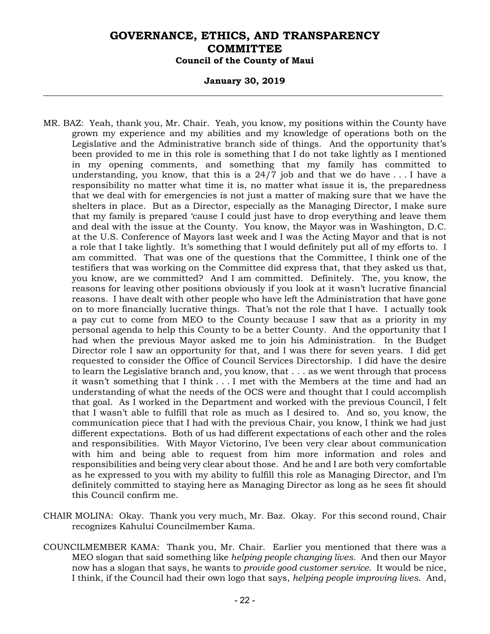#### **January 30, 2019**

- MR. BAZ: Yeah, thank you, Mr. Chair. Yeah, you know, my positions within the County have grown my experience and my abilities and my knowledge of operations both on the Legislative and the Administrative branch side of things. And the opportunity that's been provided to me in this role is something that I do not take lightly as I mentioned in my opening comments, and something that my family has committed to understanding, you know, that this is a 24/7 job and that we do have . . . I have a responsibility no matter what time it is, no matter what issue it is, the preparedness that we deal with for emergencies is not just a matter of making sure that we have the shelters in place. But as a Director, especially as the Managing Director, I make sure that my family is prepared 'cause I could just have to drop everything and leave them and deal with the issue at the County. You know, the Mayor was in Washington, D.C. at the U.S. Conference of Mayors last week and I was the Acting Mayor and that is not a role that I take lightly. It's something that I would definitely put all of my efforts to. I am committed. That was one of the questions that the Committee, I think one of the testifiers that was working on the Committee did express that, that they asked us that, you know, are we committed? And I am committed. Definitely. The, you know, the reasons for leaving other positions obviously if you look at it wasn't lucrative financial reasons. I have dealt with other people who have left the Administration that have gone on to more financially lucrative things. That's not the role that I have. I actually took a pay cut to come from MEO to the County because I saw that as a priority in my personal agenda to help this County to be a better County. And the opportunity that I had when the previous Mayor asked me to join his Administration. In the Budget Director role I saw an opportunity for that, and I was there for seven years. I did get requested to consider the Office of Council Services Directorship. I did have the desire to learn the Legislative branch and, you know, that . . . as we went through that process it wasn't something that I think . . . I met with the Members at the time and had an understanding of what the needs of the OCS were and thought that I could accomplish that goal. As I worked in the Department and worked with the previous Council, I felt that I wasn't able to fulfill that role as much as I desired to. And so, you know, the communication piece that I had with the previous Chair, you know, I think we had just different expectations. Both of us had different expectations of each other and the roles and responsibilities. With Mayor Victorino, I've been very clear about communication with him and being able to request from him more information and roles and responsibilities and being very clear about those. And he and I are both very comfortable as he expressed to you with my ability to fulfill this role as Managing Director, and I'm definitely committed to staying here as Managing Director as long as he sees fit should this Council confirm me.
- CHAIR MOLINA: Okay. Thank you very much, Mr. Baz. Okay. For this second round, Chair recognizes Kahului Councilmember Kama.
- COUNCILMEMBER KAMA: Thank you, Mr. Chair. Earlier you mentioned that there was a MEO slogan that said something like *helping people changing lives*. And then our Mayor now has a slogan that says, he wants to *provide good customer service*. It would be nice, I think, if the Council had their own logo that says, *helping people improving lives*. And,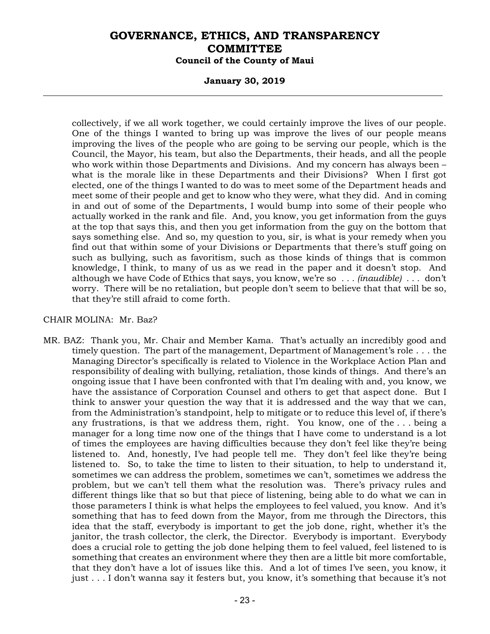### **January 30, 2019**

collectively, if we all work together, we could certainly improve the lives of our people. One of the things I wanted to bring up was improve the lives of our people means improving the lives of the people who are going to be serving our people, which is the Council, the Mayor, his team, but also the Departments, their heads, and all the people who work within those Departments and Divisions. And my concern has always been – what is the morale like in these Departments and their Divisions? When I first got elected, one of the things I wanted to do was to meet some of the Department heads and meet some of their people and get to know who they were, what they did. And in coming in and out of some of the Departments, I would bump into some of their people who actually worked in the rank and file. And, you know, you get information from the guys at the top that says this, and then you get information from the guy on the bottom that says something else. And so, my question to you, sir, is what is your remedy when you find out that within some of your Divisions or Departments that there's stuff going on such as bullying, such as favoritism, such as those kinds of things that is common knowledge, I think, to many of us as we read in the paper and it doesn't stop. And although we have Code of Ethics that says, you know, we're so *. . . (inaudible) . . .* don't worry. There will be no retaliation, but people don't seem to believe that that will be so, that they're still afraid to come forth.

#### CHAIR MOLINA: Mr. Baz?

MR. BAZ: Thank you, Mr. Chair and Member Kama. That's actually an incredibly good and timely question. The part of the management, Department of Management's role . . . the Managing Director's specifically is related to Violence in the Workplace Action Plan and responsibility of dealing with bullying, retaliation, those kinds of things. And there's an ongoing issue that I have been confronted with that I'm dealing with and, you know, we have the assistance of Corporation Counsel and others to get that aspect done. But I think to answer your question the way that it is addressed and the way that we can, from the Administration's standpoint, help to mitigate or to reduce this level of, if there's any frustrations, is that we address them, right. You know, one of the . . . being a manager for a long time now one of the things that I have come to understand is a lot of times the employees are having difficulties because they don't feel like they're being listened to. And, honestly, I've had people tell me. They don't feel like they're being listened to. So, to take the time to listen to their situation, to help to understand it, sometimes we can address the problem, sometimes we can't, sometimes we address the problem, but we can't tell them what the resolution was. There's privacy rules and different things like that so but that piece of listening, being able to do what we can in those parameters I think is what helps the employees to feel valued, you know. And it's something that has to feed down from the Mayor, from me through the Directors, this idea that the staff, everybody is important to get the job done, right, whether it's the janitor, the trash collector, the clerk, the Director. Everybody is important. Everybody does a crucial role to getting the job done helping them to feel valued, feel listened to is something that creates an environment where they then are a little bit more comfortable, that they don't have a lot of issues like this. And a lot of times I've seen, you know, it just . . . I don't wanna say it festers but, you know, it's something that because it's not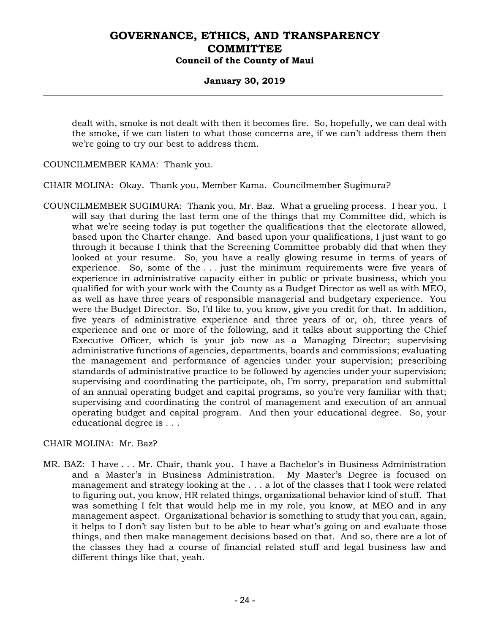### **January 30, 2019**

dealt with, smoke is not dealt with then it becomes fire. So, hopefully, we can deal with the smoke, if we can listen to what those concerns are, if we can't address them then we're going to try our best to address them.

COUNCILMEMBER KAMA: Thank you.

CHAIR MOLINA: Okay. Thank you, Member Kama. Councilmember Sugimura?

COUNCILMEMBER SUGIMURA: Thank you, Mr. Baz. What a grueling process. I hear you. I will say that during the last term one of the things that my Committee did, which is what we're seeing today is put together the qualifications that the electorate allowed, based upon the Charter change. And based upon your qualifications, I just want to go through it because I think that the Screening Committee probably did that when they looked at your resume. So, you have a really glowing resume in terms of years of experience. So, some of the  $\dots$  just the minimum requirements were five years of experience in administrative capacity either in public or private business, which you qualified for with your work with the County as a Budget Director as well as with MEO, as well as have three years of responsible managerial and budgetary experience. You were the Budget Director. So, I'd like to, you know, give you credit for that. In addition, five years of administrative experience and three years of or, oh, three years of experience and one or more of the following, and it talks about supporting the Chief Executive Officer, which is your job now as a Managing Director; supervising administrative functions of agencies, departments, boards and commissions; evaluating the management and performance of agencies under your supervision; prescribing standards of administrative practice to be followed by agencies under your supervision; supervising and coordinating the participate, oh, I'm sorry, preparation and submittal of an annual operating budget and capital programs, so you're very familiar with that; supervising and coordinating the control of management and execution of an annual operating budget and capital program. And then your educational degree. So, your educational degree is . . .

### CHAIR MOLINA: Mr. Baz?

MR. BAZ: I have . . . Mr. Chair, thank you. I have a Bachelor's in Business Administration and a Master's in Business Administration. My Master's Degree is focused on management and strategy looking at the . . . a lot of the classes that I took were related to figuring out, you know, HR related things, organizational behavior kind of stuff. That was something I felt that would help me in my role, you know, at MEO and in any management aspect. Organizational behavior is something to study that you can, again, it helps to I don't say listen but to be able to hear what's going on and evaluate those things, and then make management decisions based on that. And so, there are a lot of the classes they had a course of financial related stuff and legal business law and different things like that, yeah.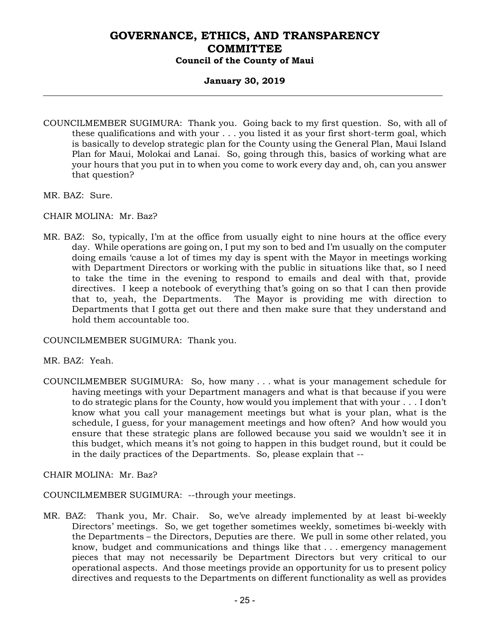### **January 30, 2019**

- COUNCILMEMBER SUGIMURA: Thank you. Going back to my first question. So, with all of these qualifications and with your . . . you listed it as your first short-term goal, which is basically to develop strategic plan for the County using the General Plan, Maui Island Plan for Maui, Molokai and Lanai. So, going through this, basics of working what are your hours that you put in to when you come to work every day and, oh, can you answer that question?
- MR. BAZ: Sure.
- CHAIR MOLINA: Mr. Baz?
- MR. BAZ: So, typically, I'm at the office from usually eight to nine hours at the office every day. While operations are going on, I put my son to bed and I'm usually on the computer doing emails 'cause a lot of times my day is spent with the Mayor in meetings working with Department Directors or working with the public in situations like that, so I need to take the time in the evening to respond to emails and deal with that, provide directives. I keep a notebook of everything that's going on so that I can then provide that to, yeah, the Departments. The Mayor is providing me with direction to Departments that I gotta get out there and then make sure that they understand and hold them accountable too.

COUNCILMEMBER SUGIMURA: Thank you.

MR. BAZ: Yeah.

COUNCILMEMBER SUGIMURA: So, how many . . . what is your management schedule for having meetings with your Department managers and what is that because if you were to do strategic plans for the County, how would you implement that with your . . . I don't know what you call your management meetings but what is your plan, what is the schedule, I guess, for your management meetings and how often? And how would you ensure that these strategic plans are followed because you said we wouldn't see it in this budget, which means it's not going to happen in this budget round, but it could be in the daily practices of the Departments. So, please explain that --

CHAIR MOLINA: Mr. Baz?

COUNCILMEMBER SUGIMURA: --through your meetings.

MR. BAZ: Thank you, Mr. Chair. So, we've already implemented by at least bi-weekly Directors' meetings. So, we get together sometimes weekly, sometimes bi-weekly with the Departments – the Directors, Deputies are there. We pull in some other related, you know, budget and communications and things like that . . . emergency management pieces that may not necessarily be Department Directors but very critical to our operational aspects. And those meetings provide an opportunity for us to present policy directives and requests to the Departments on different functionality as well as provides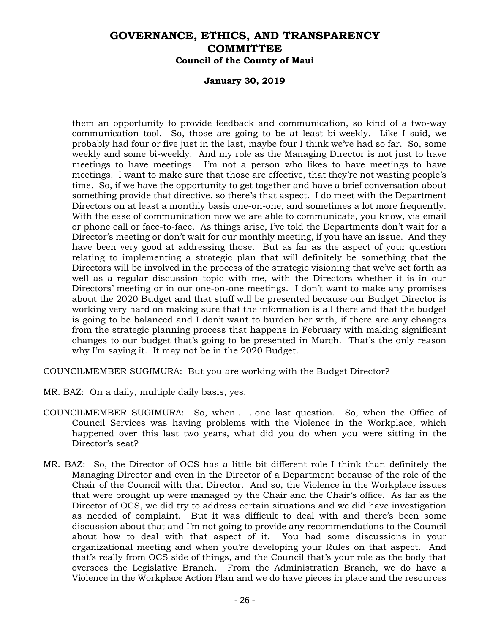### **January 30, 2019**

them an opportunity to provide feedback and communication, so kind of a two-way communication tool. So, those are going to be at least bi-weekly. Like I said, we probably had four or five just in the last, maybe four I think we've had so far. So, some weekly and some bi-weekly. And my role as the Managing Director is not just to have meetings to have meetings. I'm not a person who likes to have meetings to have meetings. I want to make sure that those are effective, that they're not wasting people's time. So, if we have the opportunity to get together and have a brief conversation about something provide that directive, so there's that aspect. I do meet with the Department Directors on at least a monthly basis one-on-one, and sometimes a lot more frequently. With the ease of communication now we are able to communicate, you know, via email or phone call or face-to-face. As things arise, I've told the Departments don't wait for a Director's meeting or don't wait for our monthly meeting, if you have an issue. And they have been very good at addressing those. But as far as the aspect of your question relating to implementing a strategic plan that will definitely be something that the Directors will be involved in the process of the strategic visioning that we've set forth as well as a regular discussion topic with me, with the Directors whether it is in our Directors' meeting or in our one-on-one meetings. I don't want to make any promises about the 2020 Budget and that stuff will be presented because our Budget Director is working very hard on making sure that the information is all there and that the budget is going to be balanced and I don't want to burden her with, if there are any changes from the strategic planning process that happens in February with making significant changes to our budget that's going to be presented in March. That's the only reason why I'm saying it. It may not be in the 2020 Budget.

COUNCILMEMBER SUGIMURA: But you are working with the Budget Director?

- MR. BAZ: On a daily, multiple daily basis, yes.
- COUNCILMEMBER SUGIMURA: So, when . . . one last question. So, when the Office of Council Services was having problems with the Violence in the Workplace, which happened over this last two years, what did you do when you were sitting in the Director's seat?
- MR. BAZ: So, the Director of OCS has a little bit different role I think than definitely the Managing Director and even in the Director of a Department because of the role of the Chair of the Council with that Director. And so, the Violence in the Workplace issues that were brought up were managed by the Chair and the Chair's office. As far as the Director of OCS, we did try to address certain situations and we did have investigation as needed of complaint. But it was difficult to deal with and there's been some discussion about that and I'm not going to provide any recommendations to the Council about how to deal with that aspect of it. You had some discussions in your organizational meeting and when you're developing your Rules on that aspect. And that's really from OCS side of things, and the Council that's your role as the body that oversees the Legislative Branch. From the Administration Branch, we do have a Violence in the Workplace Action Plan and we do have pieces in place and the resources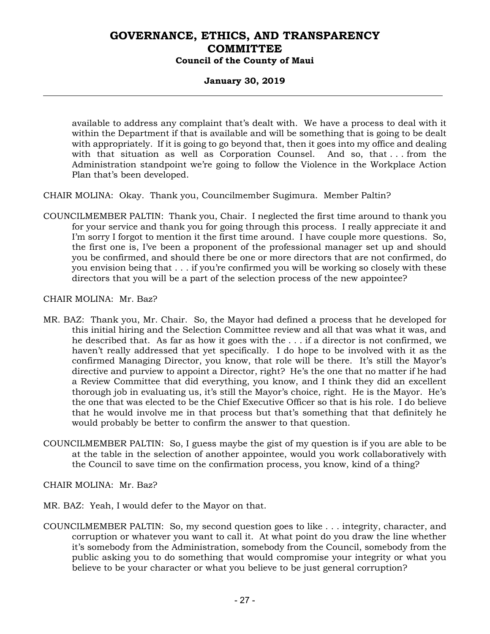### **January 30, 2019**

available to address any complaint that's dealt with. We have a process to deal with it within the Department if that is available and will be something that is going to be dealt with appropriately. If it is going to go beyond that, then it goes into my office and dealing with that situation as well as Corporation Counsel. And so, that . . . from the Administration standpoint we're going to follow the Violence in the Workplace Action Plan that's been developed.

CHAIR MOLINA: Okay. Thank you, Councilmember Sugimura. Member Paltin?

COUNCILMEMBER PALTIN: Thank you, Chair. I neglected the first time around to thank you for your service and thank you for going through this process. I really appreciate it and I'm sorry I forgot to mention it the first time around. I have couple more questions. So, the first one is, I've been a proponent of the professional manager set up and should you be confirmed, and should there be one or more directors that are not confirmed, do you envision being that . . . if you're confirmed you will be working so closely with these directors that you will be a part of the selection process of the new appointee?

CHAIR MOLINA: Mr. Baz?

- MR. BAZ: Thank you, Mr. Chair. So, the Mayor had defined a process that he developed for this initial hiring and the Selection Committee review and all that was what it was, and he described that. As far as how it goes with the . . . if a director is not confirmed, we haven't really addressed that yet specifically. I do hope to be involved with it as the confirmed Managing Director, you know, that role will be there. It's still the Mayor's directive and purview to appoint a Director, right? He's the one that no matter if he had a Review Committee that did everything, you know, and I think they did an excellent thorough job in evaluating us, it's still the Mayor's choice, right. He is the Mayor. He's the one that was elected to be the Chief Executive Officer so that is his role. I do believe that he would involve me in that process but that's something that that definitely he would probably be better to confirm the answer to that question.
- COUNCILMEMBER PALTIN: So, I guess maybe the gist of my question is if you are able to be at the table in the selection of another appointee, would you work collaboratively with the Council to save time on the confirmation process, you know, kind of a thing?

CHAIR MOLINA: Mr. Baz?

- MR. BAZ: Yeah, I would defer to the Mayor on that.
- COUNCILMEMBER PALTIN: So, my second question goes to like . . . integrity, character, and corruption or whatever you want to call it. At what point do you draw the line whether it's somebody from the Administration, somebody from the Council, somebody from the public asking you to do something that would compromise your integrity or what you believe to be your character or what you believe to be just general corruption?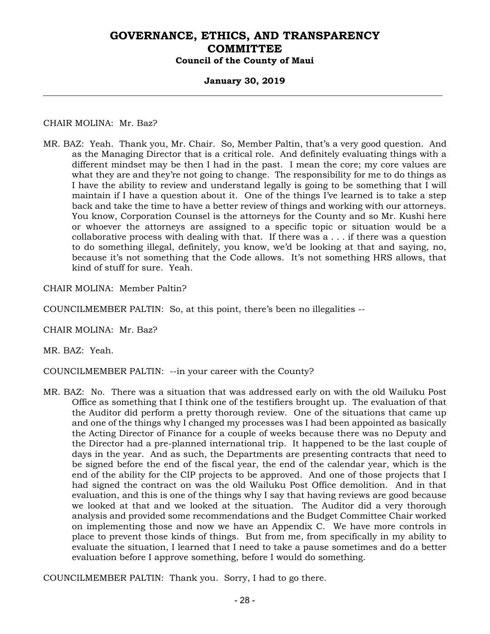### **January 30, 2019**

### CHAIR MOLINA: Mr. Baz?

MR. BAZ: Yeah. Thank you, Mr. Chair. So, Member Paltin, that's a very good question. And as the Managing Director that is a critical role. And definitely evaluating things with a different mindset may be then I had in the past. I mean the core; my core values are what they are and they're not going to change. The responsibility for me to do things as I have the ability to review and understand legally is going to be something that I will maintain if I have a question about it. One of the things I've learned is to take a step back and take the time to have a better review of things and working with our attorneys. You know, Corporation Counsel is the attorneys for the County and so Mr. Kushi here or whoever the attorneys are assigned to a specific topic or situation would be a collaborative process with dealing with that. If there was a . . . if there was a question to do something illegal, definitely, you know, we'd be looking at that and saying, no, because it's not something that the Code allows. It's not something HRS allows, that kind of stuff for sure. Yeah.

CHAIR MOLINA: Member Paltin?

COUNCILMEMBER PALTIN: So, at this point, there's been no illegalities --

CHAIR MOLINA: Mr. Baz?

MR. BAZ: Yeah.

COUNCILMEMBER PALTIN: --in your career with the County?

MR. BAZ: No. There was a situation that was addressed early on with the old Wailuku Post Office as something that I think one of the testifiers brought up. The evaluation of that the Auditor did perform a pretty thorough review. One of the situations that came up and one of the things why I changed my processes was I had been appointed as basically the Acting Director of Finance for a couple of weeks because there was no Deputy and the Director had a pre-planned international trip. It happened to be the last couple of days in the year. And as such, the Departments are presenting contracts that need to be signed before the end of the fiscal year, the end of the calendar year, which is the end of the ability for the CIP projects to be approved. And one of those projects that I had signed the contract on was the old Wailuku Post Office demolition. And in that evaluation, and this is one of the things why I say that having reviews are good because we looked at that and we looked at the situation. The Auditor did a very thorough analysis and provided some recommendations and the Budget Committee Chair worked on implementing those and now we have an Appendix C. We have more controls in place to prevent those kinds of things. But from me, from specifically in my ability to evaluate the situation, I learned that I need to take a pause sometimes and do a better evaluation before I approve something, before I would do something.

COUNCILMEMBER PALTIN: Thank you. Sorry, I had to go there.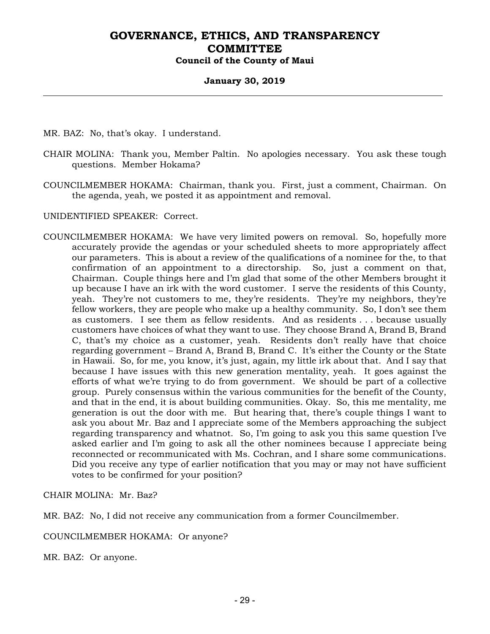### **January 30, 2019**

MR. BAZ: No, that's okay. I understand.

- CHAIR MOLINA: Thank you, Member Paltin. No apologies necessary. You ask these tough questions. Member Hokama?
- COUNCILMEMBER HOKAMA: Chairman, thank you. First, just a comment, Chairman. On the agenda, yeah, we posted it as appointment and removal.

UNIDENTIFIED SPEAKER: Correct.

COUNCILMEMBER HOKAMA: We have very limited powers on removal. So, hopefully more accurately provide the agendas or your scheduled sheets to more appropriately affect our parameters. This is about a review of the qualifications of a nominee for the, to that confirmation of an appointment to a directorship. So, just a comment on that, Chairman. Couple things here and I'm glad that some of the other Members brought it up because I have an irk with the word customer. I serve the residents of this County, yeah. They're not customers to me, they're residents. They're my neighbors, they're fellow workers, they are people who make up a healthy community. So, I don't see them as customers. I see them as fellow residents. And as residents . . . because usually customers have choices of what they want to use. They choose Brand A, Brand B, Brand C, that's my choice as a customer, yeah. Residents don't really have that choice regarding government – Brand A, Brand B, Brand C. It's either the County or the State in Hawaii. So, for me, you know, it's just, again, my little irk about that. And I say that because I have issues with this new generation mentality, yeah. It goes against the efforts of what we're trying to do from government. We should be part of a collective group. Purely consensus within the various communities for the benefit of the County, and that in the end, it is about building communities. Okay. So, this me mentality, me generation is out the door with me. But hearing that, there's couple things I want to ask you about Mr. Baz and I appreciate some of the Members approaching the subject regarding transparency and whatnot. So, I'm going to ask you this same question I've asked earlier and I'm going to ask all the other nominees because I appreciate being reconnected or recommunicated with Ms. Cochran, and I share some communications. Did you receive any type of earlier notification that you may or may not have sufficient votes to be confirmed for your position?

CHAIR MOLINA: Mr. Baz?

MR. BAZ: No, I did not receive any communication from a former Councilmember.

COUNCILMEMBER HOKAMA: Or anyone?

MR. BAZ: Or anyone.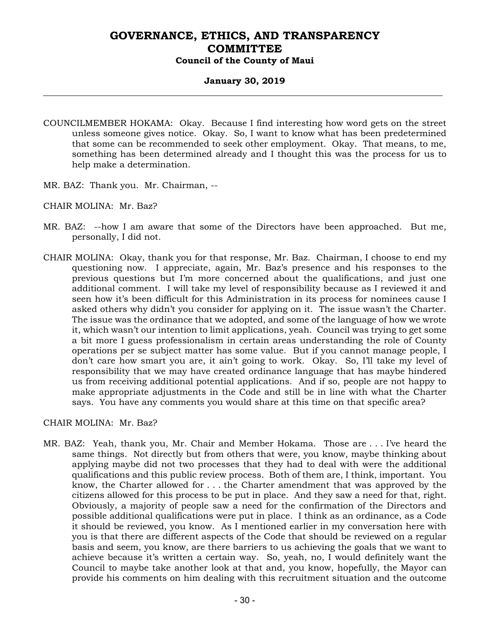### **January 30, 2019**

- COUNCILMEMBER HOKAMA: Okay. Because I find interesting how word gets on the street unless someone gives notice. Okay. So, I want to know what has been predetermined that some can be recommended to seek other employment. Okay. That means, to me, something has been determined already and I thought this was the process for us to help make a determination.
- MR. BAZ: Thank you. Mr. Chairman, --
- CHAIR MOLINA: Mr. Baz?
- MR. BAZ: --how I am aware that some of the Directors have been approached. But me, personally, I did not.
- CHAIR MOLINA: Okay, thank you for that response, Mr. Baz. Chairman, I choose to end my questioning now. I appreciate, again, Mr. Baz's presence and his responses to the previous questions but I'm more concerned about the qualifications, and just one additional comment. I will take my level of responsibility because as I reviewed it and seen how it's been difficult for this Administration in its process for nominees cause I asked others why didn't you consider for applying on it. The issue wasn't the Charter. The issue was the ordinance that we adopted, and some of the language of how we wrote it, which wasn't our intention to limit applications, yeah. Council was trying to get some a bit more I guess professionalism in certain areas understanding the role of County operations per se subject matter has some value. But if you cannot manage people, I don't care how smart you are, it ain't going to work. Okay. So, I'll take my level of responsibility that we may have created ordinance language that has maybe hindered us from receiving additional potential applications. And if so, people are not happy to make appropriate adjustments in the Code and still be in line with what the Charter says. You have any comments you would share at this time on that specific area?

CHAIR MOLINA: Mr. Baz?

MR. BAZ: Yeah, thank you, Mr. Chair and Member Hokama. Those are . . . I've heard the same things. Not directly but from others that were, you know, maybe thinking about applying maybe did not two processes that they had to deal with were the additional qualifications and this public review process. Both of them are, I think, important. You know, the Charter allowed for . . . the Charter amendment that was approved by the citizens allowed for this process to be put in place. And they saw a need for that, right. Obviously, a majority of people saw a need for the confirmation of the Directors and possible additional qualifications were put in place. I think as an ordinance, as a Code it should be reviewed, you know. As I mentioned earlier in my conversation here with you is that there are different aspects of the Code that should be reviewed on a regular basis and seem, you know, are there barriers to us achieving the goals that we want to achieve because it's written a certain way. So, yeah, no, I would definitely want the Council to maybe take another look at that and, you know, hopefully, the Mayor can provide his comments on him dealing with this recruitment situation and the outcome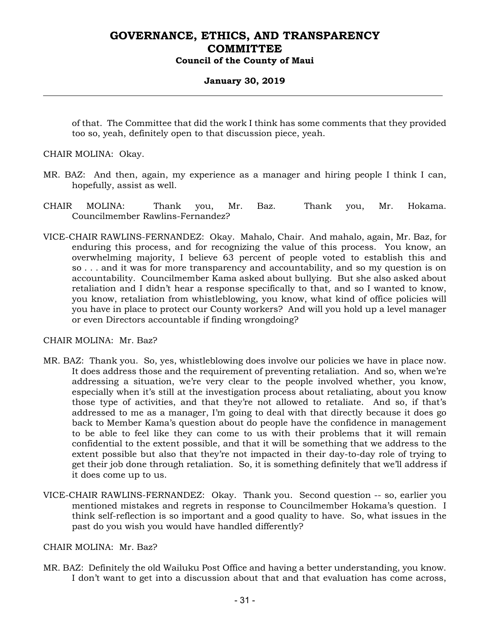### **January 30, 2019**

of that. The Committee that did the work I think has some comments that they provided too so, yeah, definitely open to that discussion piece, yeah.

CHAIR MOLINA: Okay.

- MR. BAZ: And then, again, my experience as a manager and hiring people I think I can, hopefully, assist as well.
- CHAIR MOLINA: Thank you, Mr. Baz. Thank you, Mr. Hokama. Councilmember Rawlins-Fernandez?
- VICE-CHAIR RAWLINS-FERNANDEZ: Okay. Mahalo, Chair. And mahalo, again, Mr. Baz, for enduring this process, and for recognizing the value of this process. You know, an overwhelming majority, I believe 63 percent of people voted to establish this and so . . . and it was for more transparency and accountability, and so my question is on accountability. Councilmember Kama asked about bullying. But she also asked about retaliation and I didn't hear a response specifically to that, and so I wanted to know, you know, retaliation from whistleblowing, you know, what kind of office policies will you have in place to protect our County workers? And will you hold up a level manager or even Directors accountable if finding wrongdoing?

CHAIR MOLINA: Mr. Baz?

- MR. BAZ: Thank you. So, yes, whistleblowing does involve our policies we have in place now. It does address those and the requirement of preventing retaliation. And so, when we're addressing a situation, we're very clear to the people involved whether, you know, especially when it's still at the investigation process about retaliating, about you know those type of activities, and that they're not allowed to retaliate. And so, if that's addressed to me as a manager, I'm going to deal with that directly because it does go back to Member Kama's question about do people have the confidence in management to be able to feel like they can come to us with their problems that it will remain confidential to the extent possible, and that it will be something that we address to the extent possible but also that they're not impacted in their day-to-day role of trying to get their job done through retaliation. So, it is something definitely that we'll address if it does come up to us.
- VICE-CHAIR RAWLINS-FERNANDEZ: Okay. Thank you. Second question -- so, earlier you mentioned mistakes and regrets in response to Councilmember Hokama's question. I think self-reflection is so important and a good quality to have. So, what issues in the past do you wish you would have handled differently?

CHAIR MOLINA: Mr. Baz?

MR. BAZ: Definitely the old Wailuku Post Office and having a better understanding, you know. I don't want to get into a discussion about that and that evaluation has come across,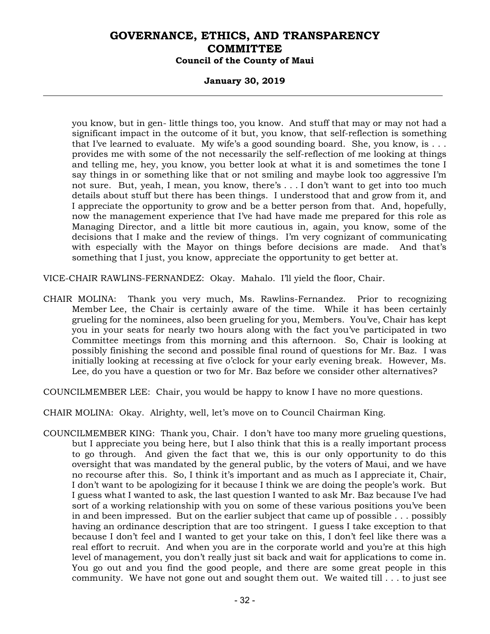### **January 30, 2019**

you know, but in gen- little things too, you know. And stuff that may or may not had a significant impact in the outcome of it but, you know, that self-reflection is something that I've learned to evaluate. My wife's a good sounding board. She, you know, is  $\dots$ provides me with some of the not necessarily the self-reflection of me looking at things and telling me, hey, you know, you better look at what it is and sometimes the tone I say things in or something like that or not smiling and maybe look too aggressive I'm not sure. But, yeah, I mean, you know, there's . . . I don't want to get into too much details about stuff but there has been things. I understood that and grow from it, and I appreciate the opportunity to grow and be a better person from that. And, hopefully, now the management experience that I've had have made me prepared for this role as Managing Director, and a little bit more cautious in, again, you know, some of the decisions that I make and the review of things. I'm very cognizant of communicating with especially with the Mayor on things before decisions are made. And that's something that I just, you know, appreciate the opportunity to get better at.

VICE-CHAIR RAWLINS-FERNANDEZ: Okay. Mahalo. I'll yield the floor, Chair.

CHAIR MOLINA: Thank you very much, Ms. Rawlins-Fernandez. Prior to recognizing Member Lee, the Chair is certainly aware of the time. While it has been certainly grueling for the nominees, also been grueling for you, Members. You've, Chair has kept you in your seats for nearly two hours along with the fact you've participated in two Committee meetings from this morning and this afternoon. So, Chair is looking at possibly finishing the second and possible final round of questions for Mr. Baz. I was initially looking at recessing at five o'clock for your early evening break. However, Ms. Lee, do you have a question or two for Mr. Baz before we consider other alternatives?

COUNCILMEMBER LEE: Chair, you would be happy to know I have no more questions.

CHAIR MOLINA: Okay. Alrighty, well, let's move on to Council Chairman King.

COUNCILMEMBER KING: Thank you, Chair. I don't have too many more grueling questions, but I appreciate you being here, but I also think that this is a really important process to go through. And given the fact that we, this is our only opportunity to do this oversight that was mandated by the general public, by the voters of Maui, and we have no recourse after this. So, I think it's important and as much as I appreciate it, Chair, I don't want to be apologizing for it because I think we are doing the people's work. But I guess what I wanted to ask, the last question I wanted to ask Mr. Baz because I've had sort of a working relationship with you on some of these various positions you've been in and been impressed. But on the earlier subject that came up of possible . . . possibly having an ordinance description that are too stringent. I guess I take exception to that because I don't feel and I wanted to get your take on this, I don't feel like there was a real effort to recruit. And when you are in the corporate world and you're at this high level of management, you don't really just sit back and wait for applications to come in. You go out and you find the good people, and there are some great people in this community. We have not gone out and sought them out. We waited till . . . to just see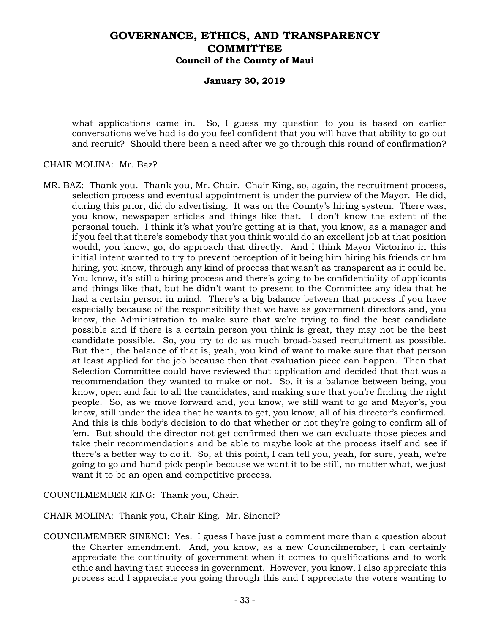### **January 30, 2019**

what applications came in. So, I guess my question to you is based on earlier conversations we've had is do you feel confident that you will have that ability to go out and recruit? Should there been a need after we go through this round of confirmation?

### CHAIR MOLINA: Mr. Baz?

MR. BAZ: Thank you. Thank you, Mr. Chair. Chair King, so, again, the recruitment process, selection process and eventual appointment is under the purview of the Mayor. He did, during this prior, did do advertising. It was on the County's hiring system. There was, you know, newspaper articles and things like that. I don't know the extent of the personal touch. I think it's what you're getting at is that, you know, as a manager and if you feel that there's somebody that you think would do an excellent job at that position would, you know, go, do approach that directly. And I think Mayor Victorino in this initial intent wanted to try to prevent perception of it being him hiring his friends or hm hiring, you know, through any kind of process that wasn't as transparent as it could be. You know, it's still a hiring process and there's going to be confidentiality of applicants and things like that, but he didn't want to present to the Committee any idea that he had a certain person in mind. There's a big balance between that process if you have especially because of the responsibility that we have as government directors and, you know, the Administration to make sure that we're trying to find the best candidate possible and if there is a certain person you think is great, they may not be the best candidate possible. So, you try to do as much broad-based recruitment as possible. But then, the balance of that is, yeah, you kind of want to make sure that that person at least applied for the job because then that evaluation piece can happen. Then that Selection Committee could have reviewed that application and decided that that was a recommendation they wanted to make or not. So, it is a balance between being, you know, open and fair to all the candidates, and making sure that you're finding the right people. So, as we move forward and, you know, we still want to go and Mayor's, you know, still under the idea that he wants to get, you know, all of his director's confirmed. And this is this body's decision to do that whether or not they're going to confirm all of 'em. But should the director not get confirmed then we can evaluate those pieces and take their recommendations and be able to maybe look at the process itself and see if there's a better way to do it. So, at this point, I can tell you, yeah, for sure, yeah, we're going to go and hand pick people because we want it to be still, no matter what, we just want it to be an open and competitive process.

COUNCILMEMBER KING: Thank you, Chair.

CHAIR MOLINA: Thank you, Chair King. Mr. Sinenci?

COUNCILMEMBER SINENCI: Yes. I guess I have just a comment more than a question about the Charter amendment. And, you know, as a new Councilmember, I can certainly appreciate the continuity of government when it comes to qualifications and to work ethic and having that success in government. However, you know, I also appreciate this process and I appreciate you going through this and I appreciate the voters wanting to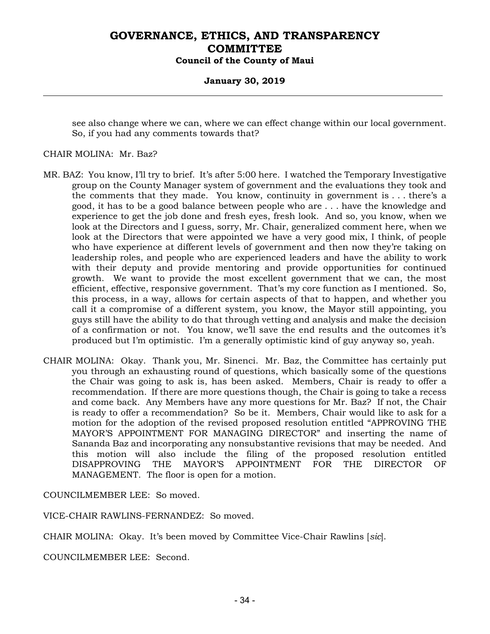### **January 30, 2019**

see also change where we can, where we can effect change within our local government. So, if you had any comments towards that?

#### CHAIR MOLINA: Mr. Baz?

- MR. BAZ: You know, I'll try to brief. It's after 5:00 here. I watched the Temporary Investigative group on the County Manager system of government and the evaluations they took and the comments that they made. You know, continuity in government is . . . there's a good, it has to be a good balance between people who are . . . have the knowledge and experience to get the job done and fresh eyes, fresh look. And so, you know, when we look at the Directors and I guess, sorry, Mr. Chair, generalized comment here, when we look at the Directors that were appointed we have a very good mix, I think, of people who have experience at different levels of government and then now they're taking on leadership roles, and people who are experienced leaders and have the ability to work with their deputy and provide mentoring and provide opportunities for continued growth. We want to provide the most excellent government that we can, the most efficient, effective, responsive government. That's my core function as I mentioned. So, this process, in a way, allows for certain aspects of that to happen, and whether you call it a compromise of a different system, you know, the Mayor still appointing, you guys still have the ability to do that through vetting and analysis and make the decision of a confirmation or not. You know, we'll save the end results and the outcomes it's produced but I'm optimistic. I'm a generally optimistic kind of guy anyway so, yeah.
- CHAIR MOLINA: Okay. Thank you, Mr. Sinenci. Mr. Baz, the Committee has certainly put you through an exhausting round of questions, which basically some of the questions the Chair was going to ask is, has been asked. Members, Chair is ready to offer a recommendation. If there are more questions though, the Chair is going to take a recess and come back. Any Members have any more questions for Mr. Baz? If not, the Chair is ready to offer a recommendation? So be it. Members, Chair would like to ask for a motion for the adoption of the revised proposed resolution entitled "APPROVING THE MAYOR'S APPOINTMENT FOR MANAGING DIRECTOR" and inserting the name of Sananda Baz and incorporating any nonsubstantive revisions that may be needed. And this motion will also include the filing of the proposed resolution entitled DISAPPROVING THE MAYOR'S APPOINTMENT FOR THE DIRECTOR OF MANAGEMENT. The floor is open for a motion.

COUNCILMEMBER LEE: So moved.

VICE-CHAIR RAWLINS-FERNANDEZ: So moved.

CHAIR MOLINA: Okay. It's been moved by Committee Vice-Chair Rawlins [*sic*].

COUNCILMEMBER LEE: Second.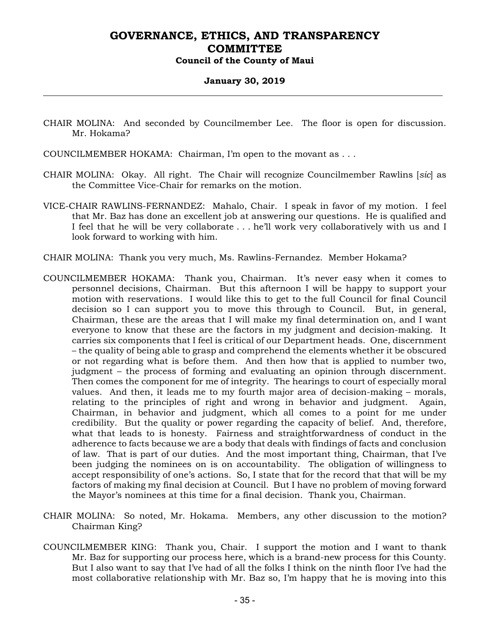#### **January 30, 2019**

- CHAIR MOLINA: And seconded by Councilmember Lee. The floor is open for discussion. Mr. Hokama?
- COUNCILMEMBER HOKAMA: Chairman, I'm open to the movant as . . .
- CHAIR MOLINA: Okay. All right. The Chair will recognize Councilmember Rawlins [*sic*] as the Committee Vice-Chair for remarks on the motion.
- VICE-CHAIR RAWLINS-FERNANDEZ: Mahalo, Chair. I speak in favor of my motion. I feel that Mr. Baz has done an excellent job at answering our questions. He is qualified and I feel that he will be very collaborate . . . he'll work very collaboratively with us and I look forward to working with him.
- CHAIR MOLINA: Thank you very much, Ms. Rawlins-Fernandez. Member Hokama?
- COUNCILMEMBER HOKAMA: Thank you, Chairman. It's never easy when it comes to personnel decisions, Chairman. But this afternoon I will be happy to support your motion with reservations. I would like this to get to the full Council for final Council decision so I can support you to move this through to Council. But, in general, Chairman, these are the areas that I will make my final determination on, and I want everyone to know that these are the factors in my judgment and decision-making. It carries six components that I feel is critical of our Department heads. One, discernment – the quality of being able to grasp and comprehend the elements whether it be obscured or not regarding what is before them. And then how that is applied to number two, judgment – the process of forming and evaluating an opinion through discernment. Then comes the component for me of integrity. The hearings to court of especially moral values. And then, it leads me to my fourth major area of decision-making – morals, relating to the principles of right and wrong in behavior and judgment. Again, Chairman, in behavior and judgment, which all comes to a point for me under credibility. But the quality or power regarding the capacity of belief. And, therefore, what that leads to is honesty. Fairness and straightforwardness of conduct in the adherence to facts because we are a body that deals with findings of facts and conclusion of law. That is part of our duties. And the most important thing, Chairman, that I've been judging the nominees on is on accountability. The obligation of willingness to accept responsibility of one's actions. So, I state that for the record that that will be my factors of making my final decision at Council. But I have no problem of moving forward the Mayor's nominees at this time for a final decision. Thank you, Chairman.
- CHAIR MOLINA: So noted, Mr. Hokama. Members, any other discussion to the motion? Chairman King?
- COUNCILMEMBER KING: Thank you, Chair. I support the motion and I want to thank Mr. Baz for supporting our process here, which is a brand-new process for this County. But I also want to say that I've had of all the folks I think on the ninth floor I've had the most collaborative relationship with Mr. Baz so, I'm happy that he is moving into this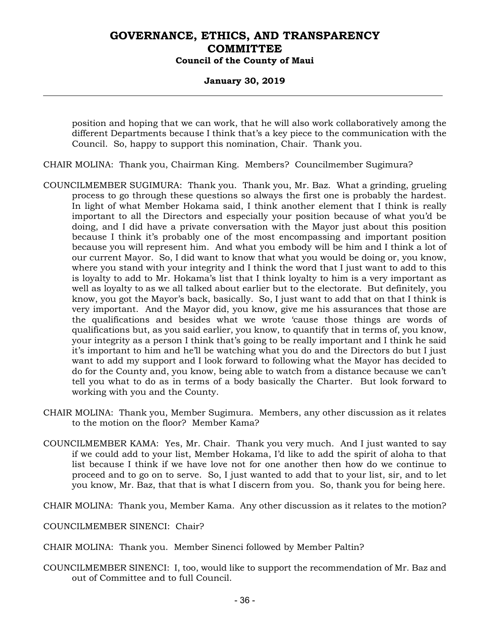### **January 30, 2019**

position and hoping that we can work, that he will also work collaboratively among the different Departments because I think that's a key piece to the communication with the Council. So, happy to support this nomination, Chair. Thank you.

- CHAIR MOLINA: Thank you, Chairman King. Members? Councilmember Sugimura?
- COUNCILMEMBER SUGIMURA: Thank you. Thank you, Mr. Baz. What a grinding, grueling process to go through these questions so always the first one is probably the hardest. In light of what Member Hokama said, I think another element that I think is really important to all the Directors and especially your position because of what you'd be doing, and I did have a private conversation with the Mayor just about this position because I think it's probably one of the most encompassing and important position because you will represent him. And what you embody will be him and I think a lot of our current Mayor. So, I did want to know that what you would be doing or, you know, where you stand with your integrity and I think the word that I just want to add to this is loyalty to add to Mr. Hokama's list that I think loyalty to him is a very important as well as loyalty to as we all talked about earlier but to the electorate. But definitely, you know, you got the Mayor's back, basically. So, I just want to add that on that I think is very important. And the Mayor did, you know, give me his assurances that those are the qualifications and besides what we wrote 'cause those things are words of qualifications but, as you said earlier, you know, to quantify that in terms of, you know, your integrity as a person I think that's going to be really important and I think he said it's important to him and he'll be watching what you do and the Directors do but I just want to add my support and I look forward to following what the Mayor has decided to do for the County and, you know, being able to watch from a distance because we can't tell you what to do as in terms of a body basically the Charter. But look forward to working with you and the County.
- CHAIR MOLINA: Thank you, Member Sugimura. Members, any other discussion as it relates to the motion on the floor? Member Kama?
- COUNCILMEMBER KAMA: Yes, Mr. Chair. Thank you very much. And I just wanted to say if we could add to your list, Member Hokama, I'd like to add the spirit of aloha to that list because I think if we have love not for one another then how do we continue to proceed and to go on to serve. So, I just wanted to add that to your list, sir, and to let you know, Mr. Baz, that that is what I discern from you. So, thank you for being here.
- CHAIR MOLINA: Thank you, Member Kama. Any other discussion as it relates to the motion?
- COUNCILMEMBER SINENCI: Chair?
- CHAIR MOLINA: Thank you. Member Sinenci followed by Member Paltin?
- COUNCILMEMBER SINENCI: I, too, would like to support the recommendation of Mr. Baz and out of Committee and to full Council.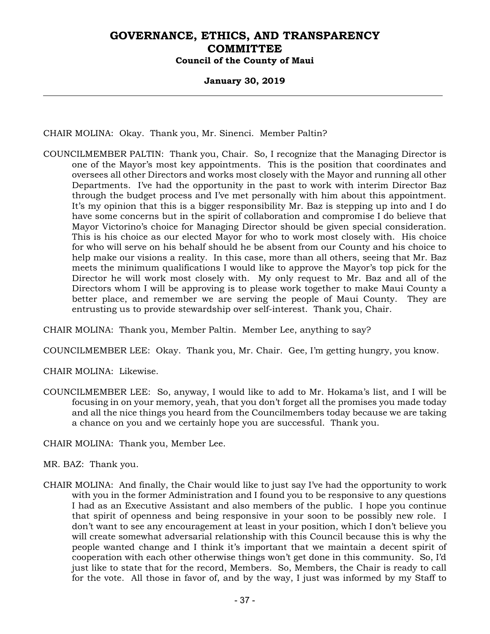### **January 30, 2019**

CHAIR MOLINA: Okay. Thank you, Mr. Sinenci. Member Paltin?

COUNCILMEMBER PALTIN: Thank you, Chair. So, I recognize that the Managing Director is one of the Mayor's most key appointments. This is the position that coordinates and oversees all other Directors and works most closely with the Mayor and running all other Departments. I've had the opportunity in the past to work with interim Director Baz through the budget process and I've met personally with him about this appointment. It's my opinion that this is a bigger responsibility Mr. Baz is stepping up into and I do have some concerns but in the spirit of collaboration and compromise I do believe that Mayor Victorino's choice for Managing Director should be given special consideration. This is his choice as our elected Mayor for who to work most closely with. His choice for who will serve on his behalf should he be absent from our County and his choice to help make our visions a reality. In this case, more than all others, seeing that Mr. Baz meets the minimum qualifications I would like to approve the Mayor's top pick for the Director he will work most closely with. My only request to Mr. Baz and all of the Directors whom I will be approving is to please work together to make Maui County a better place, and remember we are serving the people of Maui County. They are entrusting us to provide stewardship over self-interest. Thank you, Chair.

CHAIR MOLINA: Thank you, Member Paltin. Member Lee, anything to say?

COUNCILMEMBER LEE: Okay. Thank you, Mr. Chair. Gee, I'm getting hungry, you know.

CHAIR MOLINA: Likewise.

COUNCILMEMBER LEE: So, anyway, I would like to add to Mr. Hokama's list, and I will be focusing in on your memory, yeah, that you don't forget all the promises you made today and all the nice things you heard from the Councilmembers today because we are taking a chance on you and we certainly hope you are successful. Thank you.

CHAIR MOLINA: Thank you, Member Lee.

MR. BAZ: Thank you.

CHAIR MOLINA: And finally, the Chair would like to just say I've had the opportunity to work with you in the former Administration and I found you to be responsive to any questions I had as an Executive Assistant and also members of the public. I hope you continue that spirit of openness and being responsive in your soon to be possibly new role. I don't want to see any encouragement at least in your position, which I don't believe you will create somewhat adversarial relationship with this Council because this is why the people wanted change and I think it's important that we maintain a decent spirit of cooperation with each other otherwise things won't get done in this community. So, I'd just like to state that for the record, Members. So, Members, the Chair is ready to call for the vote. All those in favor of, and by the way, I just was informed by my Staff to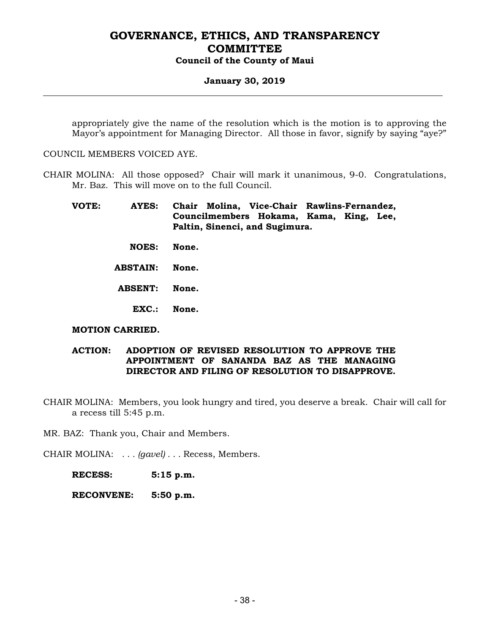#### **January 30, 2019**

appropriately give the name of the resolution which is the motion is to approving the Mayor's appointment for Managing Director. All those in favor, signify by saying "aye?"

COUNCIL MEMBERS VOICED AYE.

CHAIR MOLINA: All those opposed? Chair will mark it unanimous, 9-0. Congratulations, Mr. Baz. This will move on to the full Council.

**VOTE: AYES: Chair Molina, Vice-Chair Rawlins-Fernandez, Councilmembers Hokama, Kama, King, Lee, Paltin, Sinenci, and Sugimura.** 

 **NOES: None.** 

 **ABSTAIN: None.** 

 **ABSENT: None.** 

 **EXC.: None.** 

#### **MOTION CARRIED.**

#### **ACTION: ADOPTION OF REVISED RESOLUTION TO APPROVE THE APPOINTMENT OF SANANDA BAZ AS THE MANAGING DIRECTOR AND FILING OF RESOLUTION TO DISAPPROVE.**

CHAIR MOLINA: Members, you look hungry and tired, you deserve a break. Chair will call for a recess till 5:45 p.m.

MR. BAZ: Thank you, Chair and Members.

CHAIR MOLINA: *. . . (gavel) . . .* Recess, Members.

 **RECESS: 5:15 p.m.** 

 **RECONVENE: 5:50 p.m.**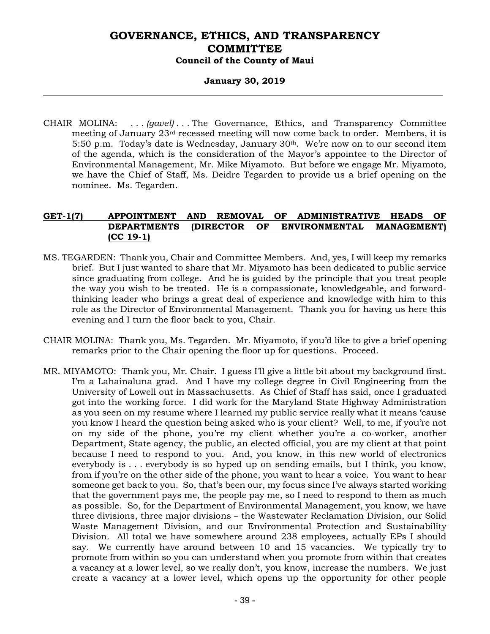### **January 30, 2019**

CHAIR MOLINA: *. . . (gavel) . . .* The Governance, Ethics, and Transparency Committee meeting of January  $23<sup>rd</sup>$  recessed meeting will now come back to order. Members, it is 5:50 p.m. Today's date is Wednesday, January 30<sup>th</sup>. We're now on to our second item of the agenda, which is the consideration of the Mayor's appointee to the Director of Environmental Management, Mr. Mike Miyamoto. But before we engage Mr. Miyamoto, we have the Chief of Staff, Ms. Deidre Tegarden to provide us a brief opening on the nominee. Ms. Tegarden.

## **GET-1(7) APPOINTMENT AND REMOVAL OF ADMINISTRATIVE HEADS OF DEPARTMENTS (DIRECTOR OF ENVIRONMENTAL MANAGEMENT) (CC 19-1)**

- MS. TEGARDEN: Thank you, Chair and Committee Members. And, yes, I will keep my remarks brief. But I just wanted to share that Mr. Miyamoto has been dedicated to public service since graduating from college. And he is guided by the principle that you treat people the way you wish to be treated. He is a compassionate, knowledgeable, and forwardthinking leader who brings a great deal of experience and knowledge with him to this role as the Director of Environmental Management. Thank you for having us here this evening and I turn the floor back to you, Chair.
- CHAIR MOLINA: Thank you, Ms. Tegarden. Mr. Miyamoto, if you'd like to give a brief opening remarks prior to the Chair opening the floor up for questions. Proceed.
- MR. MIYAMOTO: Thank you, Mr. Chair. I guess I'll give a little bit about my background first. I'm a Lahainaluna grad. And I have my college degree in Civil Engineering from the University of Lowell out in Massachusetts. As Chief of Staff has said, once I graduated got into the working force. I did work for the Maryland State Highway Administration as you seen on my resume where I learned my public service really what it means 'cause you know I heard the question being asked who is your client? Well, to me, if you're not on my side of the phone, you're my client whether you're a co-worker, another Department, State agency, the public, an elected official, you are my client at that point because I need to respond to you. And, you know, in this new world of electronics everybody is . . . everybody is so hyped up on sending emails, but I think, you know, from if you're on the other side of the phone, you want to hear a voice. You want to hear someone get back to you. So, that's been our, my focus since I've always started working that the government pays me, the people pay me, so I need to respond to them as much as possible. So, for the Department of Environmental Management, you know, we have three divisions, three major divisions – the Wastewater Reclamation Division, our Solid Waste Management Division, and our Environmental Protection and Sustainability Division. All total we have somewhere around 238 employees, actually EPs I should say. We currently have around between 10 and 15 vacancies. We typically try to promote from within so you can understand when you promote from within that creates a vacancy at a lower level, so we really don't, you know, increase the numbers. We just create a vacancy at a lower level, which opens up the opportunity for other people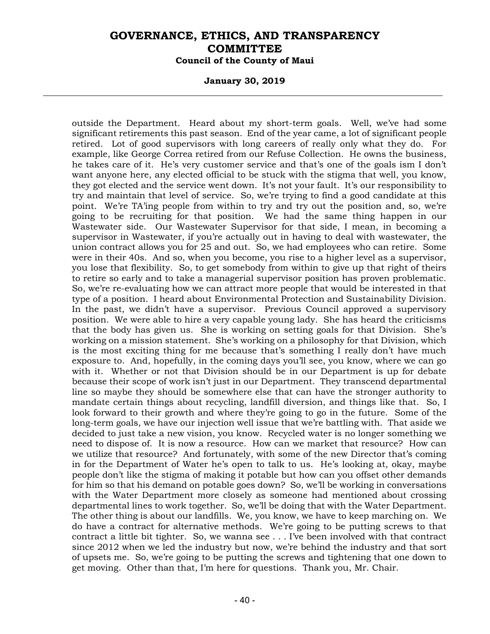#### **January 30, 2019**

outside the Department. Heard about my short-term goals. Well, we've had some significant retirements this past season. End of the year came, a lot of significant people retired. Lot of good supervisors with long careers of really only what they do. For example, like George Correa retired from our Refuse Collection. He owns the business, he takes care of it. He's very customer service and that's one of the goals ism I don't want anyone here, any elected official to be stuck with the stigma that well, you know, they got elected and the service went down. It's not your fault. It's our responsibility to try and maintain that level of service. So, we're trying to find a good candidate at this point. We're TA'ing people from within to try and try out the position and, so, we're going to be recruiting for that position. We had the same thing happen in our Wastewater side. Our Wastewater Supervisor for that side, I mean, in becoming a supervisor in Wastewater, if you're actually out in having to deal with wastewater, the union contract allows you for 25 and out. So, we had employees who can retire. Some were in their 40s. And so, when you become, you rise to a higher level as a supervisor, you lose that flexibility. So, to get somebody from within to give up that right of theirs to retire so early and to take a managerial supervisor position has proven problematic. So, we're re-evaluating how we can attract more people that would be interested in that type of a position. I heard about Environmental Protection and Sustainability Division. In the past, we didn't have a supervisor. Previous Council approved a supervisory position. We were able to hire a very capable young lady. She has heard the criticisms that the body has given us. She is working on setting goals for that Division. She's working on a mission statement. She's working on a philosophy for that Division, which is the most exciting thing for me because that's something I really don't have much exposure to. And, hopefully, in the coming days you'll see, you know, where we can go with it. Whether or not that Division should be in our Department is up for debate because their scope of work isn't just in our Department. They transcend departmental line so maybe they should be somewhere else that can have the stronger authority to mandate certain things about recycling, landfill diversion, and things like that. So, I look forward to their growth and where they're going to go in the future. Some of the long-term goals, we have our injection well issue that we're battling with. That aside we decided to just take a new vision, you know. Recycled water is no longer something we need to dispose of. It is now a resource. How can we market that resource? How can we utilize that resource? And fortunately, with some of the new Director that's coming in for the Department of Water he's open to talk to us. He's looking at, okay, maybe people don't like the stigma of making it potable but how can you offset other demands for him so that his demand on potable goes down? So, we'll be working in conversations with the Water Department more closely as someone had mentioned about crossing departmental lines to work together. So, we'll be doing that with the Water Department. The other thing is about our landfills. We, you know, we have to keep marching on. We do have a contract for alternative methods. We're going to be putting screws to that contract a little bit tighter. So, we wanna see . . . I've been involved with that contract since 2012 when we led the industry but now, we're behind the industry and that sort of upsets me. So, we're going to be putting the screws and tightening that one down to get moving. Other than that, I'm here for questions. Thank you, Mr. Chair.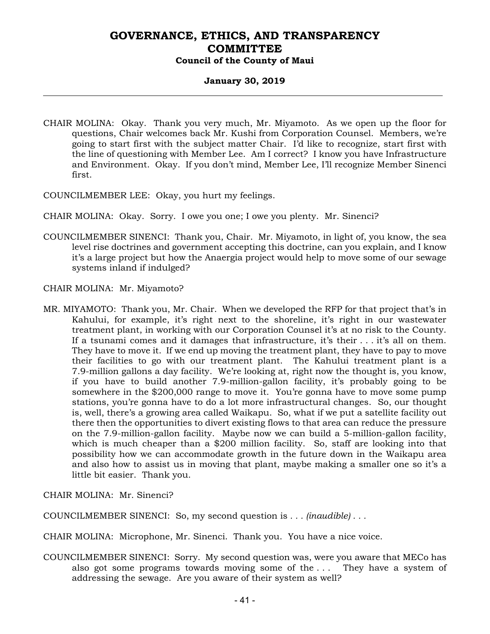## **January 30, 2019**

- CHAIR MOLINA: Okay. Thank you very much, Mr. Miyamoto. As we open up the floor for questions, Chair welcomes back Mr. Kushi from Corporation Counsel. Members, we're going to start first with the subject matter Chair. I'd like to recognize, start first with the line of questioning with Member Lee. Am I correct? I know you have Infrastructure and Environment. Okay. If you don't mind, Member Lee, I'll recognize Member Sinenci first.
- COUNCILMEMBER LEE: Okay, you hurt my feelings.

CHAIR MOLINA: Okay. Sorry. I owe you one; I owe you plenty. Mr. Sinenci?

COUNCILMEMBER SINENCI: Thank you, Chair. Mr. Miyamoto, in light of, you know, the sea level rise doctrines and government accepting this doctrine, can you explain, and I know it's a large project but how the Anaergia project would help to move some of our sewage systems inland if indulged?

CHAIR MOLINA: Mr. Miyamoto?

MR. MIYAMOTO: Thank you, Mr. Chair. When we developed the RFP for that project that's in Kahului, for example, it's right next to the shoreline, it's right in our wastewater treatment plant, in working with our Corporation Counsel it's at no risk to the County. If a tsunami comes and it damages that infrastructure, it's their . . . it's all on them. They have to move it. If we end up moving the treatment plant, they have to pay to move their facilities to go with our treatment plant. The Kahului treatment plant is a 7.9-million gallons a day facility. We're looking at, right now the thought is, you know, if you have to build another 7.9-million-gallon facility, it's probably going to be somewhere in the \$200,000 range to move it. You're gonna have to move some pump stations, you're gonna have to do a lot more infrastructural changes. So, our thought is, well, there's a growing area called Waikapu. So, what if we put a satellite facility out there then the opportunities to divert existing flows to that area can reduce the pressure on the 7.9-million-gallon facility. Maybe now we can build a 5-million-gallon facility, which is much cheaper than a \$200 million facility. So, staff are looking into that possibility how we can accommodate growth in the future down in the Waikapu area and also how to assist us in moving that plant, maybe making a smaller one so it's a little bit easier. Thank you.

CHAIR MOLINA: Mr. Sinenci?

COUNCILMEMBER SINENCI: So, my second question is *. . . (inaudible) . . .* 

CHAIR MOLINA: Microphone, Mr. Sinenci. Thank you. You have a nice voice.

COUNCILMEMBER SINENCI: Sorry. My second question was, were you aware that MECo has also got some programs towards moving some of the . . . They have a system of addressing the sewage. Are you aware of their system as well?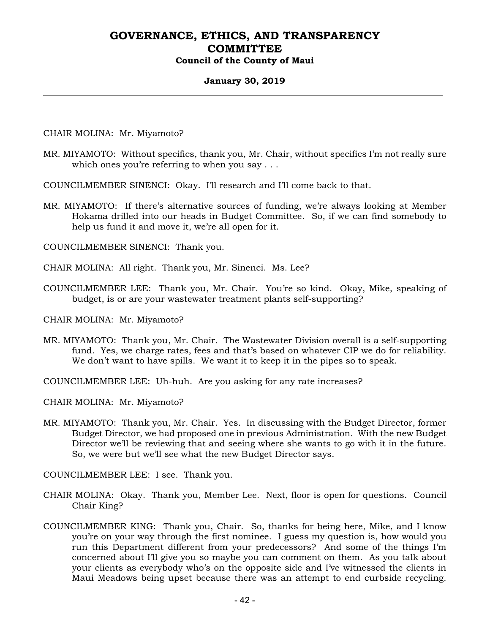## **January 30, 2019**

CHAIR MOLINA: Mr. Miyamoto?

- MR. MIYAMOTO: Without specifics, thank you, Mr. Chair, without specifics I'm not really sure which ones you're referring to when you say ...
- COUNCILMEMBER SINENCI: Okay. I'll research and I'll come back to that.
- MR. MIYAMOTO: If there's alternative sources of funding, we're always looking at Member Hokama drilled into our heads in Budget Committee. So, if we can find somebody to help us fund it and move it, we're all open for it.

COUNCILMEMBER SINENCI: Thank you.

- CHAIR MOLINA: All right. Thank you, Mr. Sinenci. Ms. Lee?
- COUNCILMEMBER LEE: Thank you, Mr. Chair. You're so kind. Okay, Mike, speaking of budget, is or are your wastewater treatment plants self-supporting?

CHAIR MOLINA: Mr. Miyamoto?

MR. MIYAMOTO: Thank you, Mr. Chair. The Wastewater Division overall is a self-supporting fund. Yes, we charge rates, fees and that's based on whatever CIP we do for reliability. We don't want to have spills. We want it to keep it in the pipes so to speak.

COUNCILMEMBER LEE: Uh-huh. Are you asking for any rate increases?

CHAIR MOLINA: Mr. Miyamoto?

MR. MIYAMOTO: Thank you, Mr. Chair. Yes. In discussing with the Budget Director, former Budget Director, we had proposed one in previous Administration. With the new Budget Director we'll be reviewing that and seeing where she wants to go with it in the future. So, we were but we'll see what the new Budget Director says.

COUNCILMEMBER LEE: I see. Thank you.

- CHAIR MOLINA: Okay. Thank you, Member Lee. Next, floor is open for questions. Council Chair King?
- COUNCILMEMBER KING: Thank you, Chair. So, thanks for being here, Mike, and I know you're on your way through the first nominee. I guess my question is, how would you run this Department different from your predecessors? And some of the things I'm concerned about I'll give you so maybe you can comment on them. As you talk about your clients as everybody who's on the opposite side and I've witnessed the clients in Maui Meadows being upset because there was an attempt to end curbside recycling.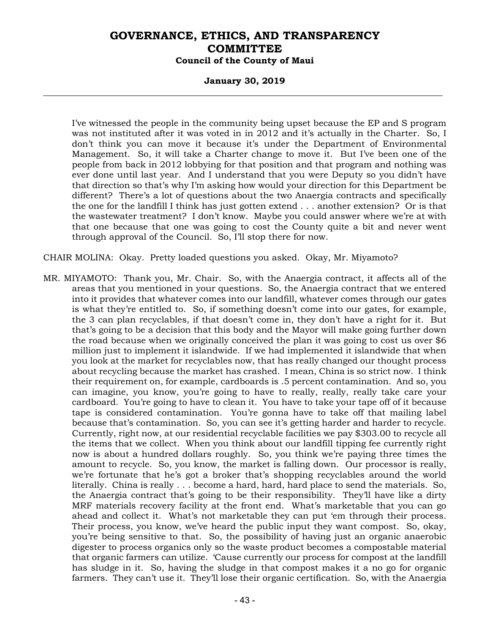#### **January 30, 2019**

I've witnessed the people in the community being upset because the EP and S program was not instituted after it was voted in in 2012 and it's actually in the Charter. So, I don't think you can move it because it's under the Department of Environmental Management. So, it will take a Charter change to move it. But I've been one of the people from back in 2012 lobbying for that position and that program and nothing was ever done until last year. And I understand that you were Deputy so you didn't have that direction so that's why I'm asking how would your direction for this Department be different? There's a lot of questions about the two Anaergia contracts and specifically the one for the landfill I think has just gotten extend . . . another extension? Or is that the wastewater treatment? I don't know. Maybe you could answer where we're at with that one because that one was going to cost the County quite a bit and never went through approval of the Council. So, I'll stop there for now.

CHAIR MOLINA: Okay. Pretty loaded questions you asked. Okay, Mr. Miyamoto?

MR. MIYAMOTO: Thank you, Mr. Chair. So, with the Anaergia contract, it affects all of the areas that you mentioned in your questions. So, the Anaergia contract that we entered into it provides that whatever comes into our landfill, whatever comes through our gates is what they're entitled to. So, if something doesn't come into our gates, for example, the 3 can plan recyclables, if that doesn't come in, they don't have a right for it. But that's going to be a decision that this body and the Mayor will make going further down the road because when we originally conceived the plan it was going to cost us over \$6 million just to implement it islandwide. If we had implemented it islandwide that when you look at the market for recyclables now, that has really changed our thought process about recycling because the market has crashed. I mean, China is so strict now. I think their requirement on, for example, cardboards is .5 percent contamination. And so, you can imagine, you know, you're going to have to really, really, really take care your cardboard. You're going to have to clean it. You have to take your tape off of it because tape is considered contamination. You're gonna have to take off that mailing label because that's contamination. So, you can see it's getting harder and harder to recycle. Currently, right now, at our residential recyclable facilities we pay \$303.00 to recycle all the items that we collect. When you think about our landfill tipping fee currently right now is about a hundred dollars roughly. So, you think we're paying three times the amount to recycle. So, you know, the market is falling down. Our processor is really, we're fortunate that he's got a broker that's shopping recyclables around the world literally. China is really . . . become a hard, hard, hard place to send the materials. So, the Anaergia contract that's going to be their responsibility. They'll have like a dirty MRF materials recovery facility at the front end. What's marketable that you can go ahead and collect it. What's not marketable they can put 'em through their process. Their process, you know, we've heard the public input they want compost. So, okay, you're being sensitive to that. So, the possibility of having just an organic anaerobic digester to process organics only so the waste product becomes a compostable material that organic farmers can utilize. 'Cause currently our process for compost at the landfill has sludge in it. So, having the sludge in that compost makes it a no go for organic farmers. They can't use it. They'll lose their organic certification. So, with the Anaergia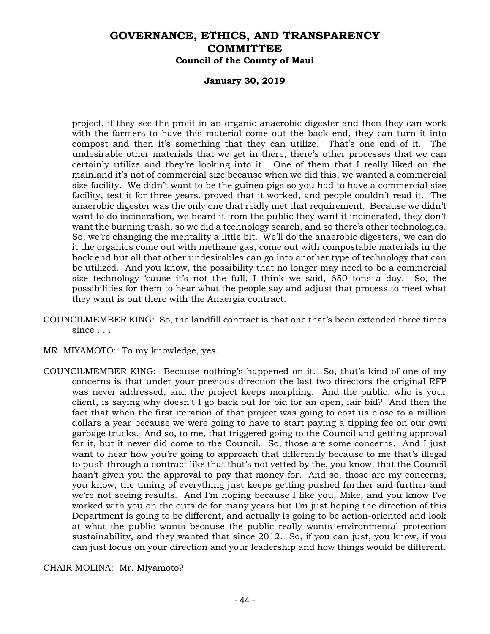#### **January 30, 2019**

project, if they see the profit in an organic anaerobic digester and then they can work with the farmers to have this material come out the back end, they can turn it into compost and then it's something that they can utilize. That's one end of it. The undesirable other materials that we get in there, there's other processes that we can certainly utilize and they're looking into it. One of them that I really liked on the mainland it's not of commercial size because when we did this, we wanted a commercial size facility. We didn't want to be the guinea pigs so you had to have a commercial size facility, test it for three years, proved that it worked, and people couldn't read it. The anaerobic digester was the only one that really met that requirement. Because we didn't want to do incineration, we heard it from the public they want it incinerated, they don't want the burning trash, so we did a technology search, and so there's other technologies. So, we're changing the mentality a little bit. We'll do the anaerobic digesters, we can do it the organics come out with methane gas, come out with compostable materials in the back end but all that other undesirables can go into another type of technology that can be utilized. And you know, the possibility that no longer may need to be a commercial size technology 'cause it's not the full, I think we said, 650 tons a day. So, the possibilities for them to hear what the people say and adjust that process to meet what they want is out there with the Anaergia contract.

- COUNCILMEMBER KING: So, the landfill contract is that one that's been extended three times since . . .
- MR. MIYAMOTO: To my knowledge, yes.
- COUNCILMEMBER KING: Because nothing's happened on it. So, that's kind of one of my concerns is that under your previous direction the last two directors the original RFP was never addressed, and the project keeps morphing. And the public, who is your client, is saying why doesn't I go back out for bid for an open, fair bid? And then the fact that when the first iteration of that project was going to cost us close to a million dollars a year because we were going to have to start paying a tipping fee on our own garbage trucks. And so, to me, that triggered going to the Council and getting approval for it, but it never did come to the Council. So, those are some concerns. And I just want to hear how you're going to approach that differently because to me that's illegal to push through a contract like that that's not vetted by the, you know, that the Council hasn't given you the approval to pay that money for. And so, those are my concerns, you know, the timing of everything just keeps getting pushed further and further and we're not seeing results. And I'm hoping because I like you, Mike, and you know I've worked with you on the outside for many years but I'm just hoping the direction of this Department is going to be different, and actually is going to be action-oriented and look at what the public wants because the public really wants environmental protection sustainability, and they wanted that since 2012. So, if you can just, you know, if you can just focus on your direction and your leadership and how things would be different.

CHAIR MOLINA: Mr. Miyamoto?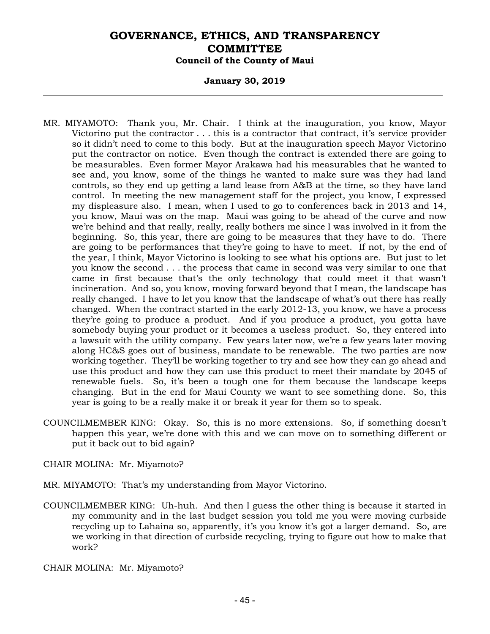#### **January 30, 2019**

- MR. MIYAMOTO: Thank you, Mr. Chair. I think at the inauguration, you know, Mayor Victorino put the contractor . . . this is a contractor that contract, it's service provider so it didn't need to come to this body. But at the inauguration speech Mayor Victorino put the contractor on notice. Even though the contract is extended there are going to be measurables. Even former Mayor Arakawa had his measurables that he wanted to see and, you know, some of the things he wanted to make sure was they had land controls, so they end up getting a land lease from A&B at the time, so they have land control. In meeting the new management staff for the project, you know, I expressed my displeasure also. I mean, when I used to go to conferences back in 2013 and 14, you know, Maui was on the map. Maui was going to be ahead of the curve and now we're behind and that really, really, really bothers me since I was involved in it from the beginning. So, this year, there are going to be measures that they have to do. There are going to be performances that they're going to have to meet. If not, by the end of the year, I think, Mayor Victorino is looking to see what his options are. But just to let you know the second . . . the process that came in second was very similar to one that came in first because that's the only technology that could meet it that wasn't incineration. And so, you know, moving forward beyond that I mean, the landscape has really changed. I have to let you know that the landscape of what's out there has really changed. When the contract started in the early 2012-13, you know, we have a process they're going to produce a product. And if you produce a product, you gotta have somebody buying your product or it becomes a useless product. So, they entered into a lawsuit with the utility company. Few years later now, we're a few years later moving along HC&S goes out of business, mandate to be renewable. The two parties are now working together. They'll be working together to try and see how they can go ahead and use this product and how they can use this product to meet their mandate by 2045 of renewable fuels. So, it's been a tough one for them because the landscape keeps changing. But in the end for Maui County we want to see something done. So, this year is going to be a really make it or break it year for them so to speak.
- COUNCILMEMBER KING: Okay. So, this is no more extensions. So, if something doesn't happen this year, we're done with this and we can move on to something different or put it back out to bid again?
- CHAIR MOLINA: Mr. Miyamoto?
- MR. MIYAMOTO: That's my understanding from Mayor Victorino.
- COUNCILMEMBER KING: Uh-huh. And then I guess the other thing is because it started in my community and in the last budget session you told me you were moving curbside recycling up to Lahaina so, apparently, it's you know it's got a larger demand. So, are we working in that direction of curbside recycling, trying to figure out how to make that work?

CHAIR MOLINA: Mr. Miyamoto?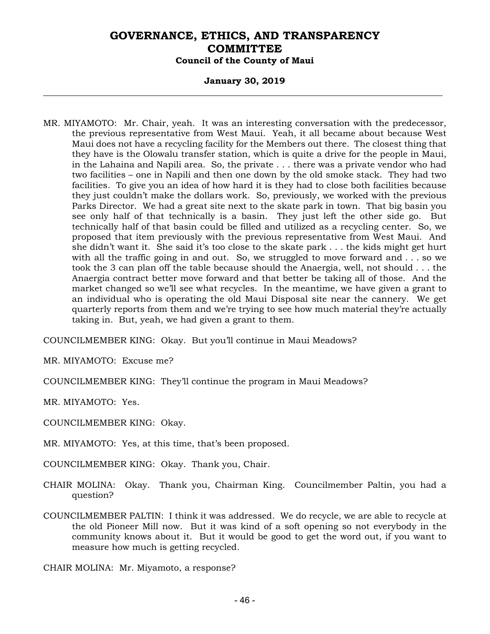## **January 30, 2019**

MR. MIYAMOTO: Mr. Chair, yeah. It was an interesting conversation with the predecessor, the previous representative from West Maui. Yeah, it all became about because West Maui does not have a recycling facility for the Members out there. The closest thing that they have is the Olowalu transfer station, which is quite a drive for the people in Maui, in the Lahaina and Napili area. So, the private . . . there was a private vendor who had two facilities – one in Napili and then one down by the old smoke stack. They had two facilities. To give you an idea of how hard it is they had to close both facilities because they just couldn't make the dollars work. So, previously, we worked with the previous Parks Director. We had a great site next to the skate park in town. That big basin you see only half of that technically is a basin. They just left the other side go. But technically half of that basin could be filled and utilized as a recycling center. So, we proposed that item previously with the previous representative from West Maui. And she didn't want it. She said it's too close to the skate park . . . the kids might get hurt with all the traffic going in and out. So, we struggled to move forward and . . . so we took the 3 can plan off the table because should the Anaergia, well, not should . . . the Anaergia contract better move forward and that better be taking all of those. And the market changed so we'll see what recycles. In the meantime, we have given a grant to an individual who is operating the old Maui Disposal site near the cannery. We get quarterly reports from them and we're trying to see how much material they're actually taking in. But, yeah, we had given a grant to them.

COUNCILMEMBER KING: Okay. But you'll continue in Maui Meadows?

MR. MIYAMOTO: Excuse me?

COUNCILMEMBER KING: They'll continue the program in Maui Meadows?

MR. MIYAMOTO: Yes.

COUNCILMEMBER KING: Okay.

MR. MIYAMOTO: Yes, at this time, that's been proposed.

COUNCILMEMBER KING: Okay. Thank you, Chair.

- CHAIR MOLINA: Okay. Thank you, Chairman King. Councilmember Paltin, you had a question?
- COUNCILMEMBER PALTIN: I think it was addressed. We do recycle, we are able to recycle at the old Pioneer Mill now. But it was kind of a soft opening so not everybody in the community knows about it. But it would be good to get the word out, if you want to measure how much is getting recycled.

CHAIR MOLINA: Mr. Miyamoto, a response?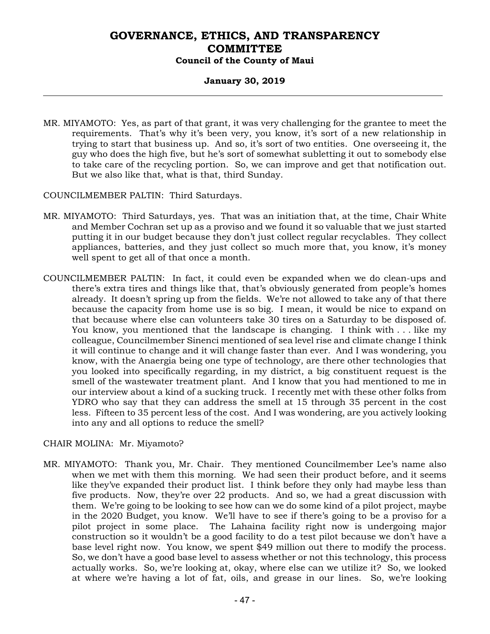## **January 30, 2019**

MR. MIYAMOTO: Yes, as part of that grant, it was very challenging for the grantee to meet the requirements. That's why it's been very, you know, it's sort of a new relationship in trying to start that business up. And so, it's sort of two entities. One overseeing it, the guy who does the high five, but he's sort of somewhat subletting it out to somebody else to take care of the recycling portion. So, we can improve and get that notification out. But we also like that, what is that, third Sunday.

COUNCILMEMBER PALTIN: Third Saturdays.

- MR. MIYAMOTO: Third Saturdays, yes. That was an initiation that, at the time, Chair White and Member Cochran set up as a proviso and we found it so valuable that we just started putting it in our budget because they don't just collect regular recyclables. They collect appliances, batteries, and they just collect so much more that, you know, it's money well spent to get all of that once a month.
- COUNCILMEMBER PALTIN: In fact, it could even be expanded when we do clean-ups and there's extra tires and things like that, that's obviously generated from people's homes already. It doesn't spring up from the fields. We're not allowed to take any of that there because the capacity from home use is so big. I mean, it would be nice to expand on that because where else can volunteers take 30 tires on a Saturday to be disposed of. You know, you mentioned that the landscape is changing. I think with . . . like my colleague, Councilmember Sinenci mentioned of sea level rise and climate change I think it will continue to change and it will change faster than ever. And I was wondering, you know, with the Anaergia being one type of technology, are there other technologies that you looked into specifically regarding, in my district, a big constituent request is the smell of the wastewater treatment plant. And I know that you had mentioned to me in our interview about a kind of a sucking truck. I recently met with these other folks from YDRO who say that they can address the smell at 15 through 35 percent in the cost less. Fifteen to 35 percent less of the cost. And I was wondering, are you actively looking into any and all options to reduce the smell?

#### CHAIR MOLINA: Mr. Miyamoto?

MR. MIYAMOTO: Thank you, Mr. Chair. They mentioned Councilmember Lee's name also when we met with them this morning. We had seen their product before, and it seems like they've expanded their product list. I think before they only had maybe less than five products. Now, they're over 22 products. And so, we had a great discussion with them. We're going to be looking to see how can we do some kind of a pilot project, maybe in the 2020 Budget, you know. We'll have to see if there's going to be a proviso for a pilot project in some place. The Lahaina facility right now is undergoing major construction so it wouldn't be a good facility to do a test pilot because we don't have a base level right now. You know, we spent \$49 million out there to modify the process. So, we don't have a good base level to assess whether or not this technology, this process actually works. So, we're looking at, okay, where else can we utilize it? So, we looked at where we're having a lot of fat, oils, and grease in our lines. So, we're looking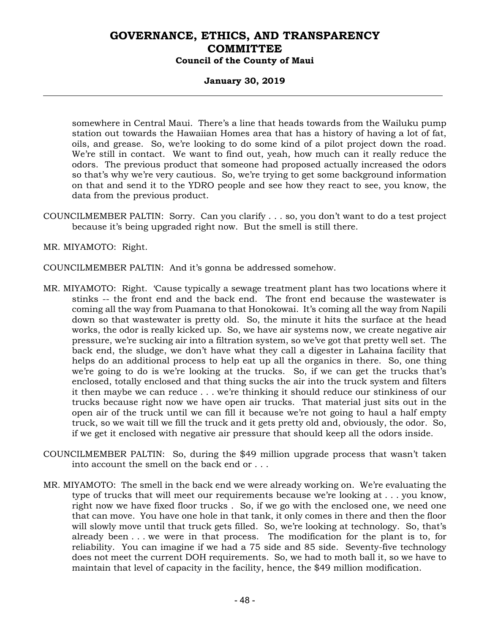### **January 30, 2019**

somewhere in Central Maui. There's a line that heads towards from the Wailuku pump station out towards the Hawaiian Homes area that has a history of having a lot of fat, oils, and grease. So, we're looking to do some kind of a pilot project down the road. We're still in contact. We want to find out, yeah, how much can it really reduce the odors. The previous product that someone had proposed actually increased the odors so that's why we're very cautious. So, we're trying to get some background information on that and send it to the YDRO people and see how they react to see, you know, the data from the previous product.

COUNCILMEMBER PALTIN: Sorry. Can you clarify . . . so, you don't want to do a test project because it's being upgraded right now. But the smell is still there.

MR. MIYAMOTO: Right.

- COUNCILMEMBER PALTIN: And it's gonna be addressed somehow.
- MR. MIYAMOTO: Right. 'Cause typically a sewage treatment plant has two locations where it stinks -- the front end and the back end. The front end because the wastewater is coming all the way from Puamana to that Honokowai. It's coming all the way from Napili down so that wastewater is pretty old. So, the minute it hits the surface at the head works, the odor is really kicked up. So, we have air systems now, we create negative air pressure, we're sucking air into a filtration system, so we've got that pretty well set. The back end, the sludge, we don't have what they call a digester in Lahaina facility that helps do an additional process to help eat up all the organics in there. So, one thing we're going to do is we're looking at the trucks. So, if we can get the trucks that's enclosed, totally enclosed and that thing sucks the air into the truck system and filters it then maybe we can reduce . . . we're thinking it should reduce our stinkiness of our trucks because right now we have open air trucks. That material just sits out in the open air of the truck until we can fill it because we're not going to haul a half empty truck, so we wait till we fill the truck and it gets pretty old and, obviously, the odor. So, if we get it enclosed with negative air pressure that should keep all the odors inside.
- COUNCILMEMBER PALTIN: So, during the \$49 million upgrade process that wasn't taken into account the smell on the back end or . . .
- MR. MIYAMOTO: The smell in the back end we were already working on. We're evaluating the type of trucks that will meet our requirements because we're looking at . . . you know, right now we have fixed floor trucks . So, if we go with the enclosed one, we need one that can move. You have one hole in that tank, it only comes in there and then the floor will slowly move until that truck gets filled. So, we're looking at technology. So, that's already been . . . we were in that process. The modification for the plant is to, for reliability. You can imagine if we had a 75 side and 85 side. Seventy-five technology does not meet the current DOH requirements. So, we had to moth ball it, so we have to maintain that level of capacity in the facility, hence, the \$49 million modification.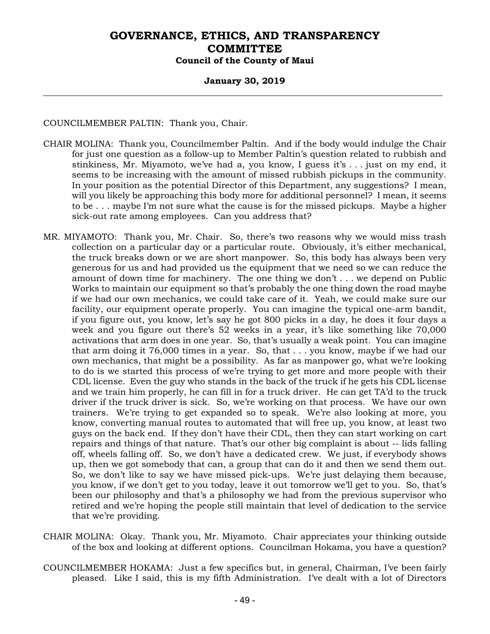### **January 30, 2019**

COUNCILMEMBER PALTIN: Thank you, Chair.

- CHAIR MOLINA: Thank you, Councilmember Paltin. And if the body would indulge the Chair for just one question as a follow-up to Member Paltin's question related to rubbish and stinkiness, Mr. Miyamoto, we've had a, you know, I guess it's . . . just on my end, it seems to be increasing with the amount of missed rubbish pickups in the community. In your position as the potential Director of this Department, any suggestions? I mean, will you likely be approaching this body more for additional personnel? I mean, it seems to be . . . maybe I'm not sure what the cause is for the missed pickups. Maybe a higher sick-out rate among employees. Can you address that?
- MR. MIYAMOTO: Thank you, Mr. Chair. So, there's two reasons why we would miss trash collection on a particular day or a particular route. Obviously, it's either mechanical, the truck breaks down or we are short manpower. So, this body has always been very generous for us and had provided us the equipment that we need so we can reduce the amount of down time for machinery. The one thing we don't . . . we depend on Public Works to maintain our equipment so that's probably the one thing down the road maybe if we had our own mechanics, we could take care of it. Yeah, we could make sure our facility, our equipment operate properly. You can imagine the typical one-arm bandit, if you figure out, you know, let's say he got 800 picks in a day, he does it four days a week and you figure out there's 52 weeks in a year, it's like something like 70,000 activations that arm does in one year. So, that's usually a weak point. You can imagine that arm doing it 76,000 times in a year. So, that . . . you know, maybe if we had our own mechanics, that might be a possibility. As far as manpower go, what we're looking to do is we started this process of we're trying to get more and more people with their CDL license. Even the guy who stands in the back of the truck if he gets his CDL license and we train him properly, he can fill in for a truck driver. He can get TA'd to the truck driver if the truck driver is sick. So, we're working on that process. We have our own trainers. We're trying to get expanded so to speak. We're also looking at more, you know, converting manual routes to automated that will free up, you know, at least two guys on the back end. If they don't have their CDL, then they can start working on cart repairs and things of that nature. That's our other big complaint is about -- lids falling off, wheels falling off. So, we don't have a dedicated crew. We just, if everybody shows up, then we got somebody that can, a group that can do it and then we send them out. So, we don't like to say we have missed pick-ups. We're just delaying them because, you know, if we don't get to you today, leave it out tomorrow we'll get to you. So, that's been our philosophy and that's a philosophy we had from the previous supervisor who retired and we're hoping the people still maintain that level of dedication to the service that we're providing.
- CHAIR MOLINA: Okay. Thank you, Mr. Miyamoto. Chair appreciates your thinking outside of the box and looking at different options. Councilman Hokama, you have a question?
- COUNCILMEMBER HOKAMA: Just a few specifics but, in general, Chairman, I've been fairly pleased. Like I said, this is my fifth Administration. I've dealt with a lot of Directors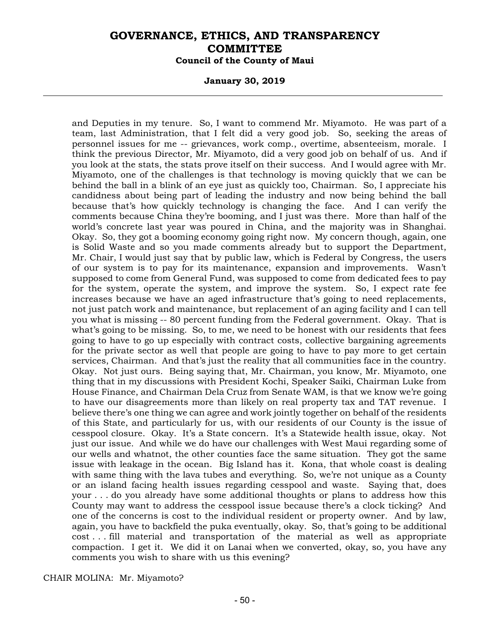#### **January 30, 2019**

and Deputies in my tenure. So, I want to commend Mr. Miyamoto. He was part of a team, last Administration, that I felt did a very good job. So, seeking the areas of personnel issues for me -- grievances, work comp., overtime, absenteeism, morale. I think the previous Director, Mr. Miyamoto, did a very good job on behalf of us. And if you look at the stats, the stats prove itself on their success. And I would agree with Mr. Miyamoto, one of the challenges is that technology is moving quickly that we can be behind the ball in a blink of an eye just as quickly too, Chairman. So, I appreciate his candidness about being part of leading the industry and now being behind the ball because that's how quickly technology is changing the face. And I can verify the comments because China they're booming, and I just was there. More than half of the world's concrete last year was poured in China, and the majority was in Shanghai. Okay. So, they got a booming economy going right now. My concern though, again, one is Solid Waste and so you made comments already but to support the Department, Mr. Chair, I would just say that by public law, which is Federal by Congress, the users of our system is to pay for its maintenance, expansion and improvements. Wasn't supposed to come from General Fund, was supposed to come from dedicated fees to pay for the system, operate the system, and improve the system. So, I expect rate fee increases because we have an aged infrastructure that's going to need replacements, not just patch work and maintenance, but replacement of an aging facility and I can tell you what is missing -- 80 percent funding from the Federal government. Okay. That is what's going to be missing. So, to me, we need to be honest with our residents that fees going to have to go up especially with contract costs, collective bargaining agreements for the private sector as well that people are going to have to pay more to get certain services, Chairman. And that's just the reality that all communities face in the country. Okay. Not just ours. Being saying that, Mr. Chairman, you know, Mr. Miyamoto, one thing that in my discussions with President Kochi, Speaker Saiki, Chairman Luke from House Finance, and Chairman Dela Cruz from Senate WAM, is that we know we're going to have our disagreements more than likely on real property tax and TAT revenue. I believe there's one thing we can agree and work jointly together on behalf of the residents of this State, and particularly for us, with our residents of our County is the issue of cesspool closure. Okay. It's a State concern. It's a Statewide health issue, okay. Not just our issue. And while we do have our challenges with West Maui regarding some of our wells and whatnot, the other counties face the same situation. They got the same issue with leakage in the ocean. Big Island has it. Kona, that whole coast is dealing with same thing with the lava tubes and everything. So, we're not unique as a County or an island facing health issues regarding cesspool and waste. Saying that, does your . . . do you already have some additional thoughts or plans to address how this County may want to address the cesspool issue because there's a clock ticking? And one of the concerns is cost to the individual resident or property owner. And by law, again, you have to backfield the puka eventually, okay. So, that's going to be additional cost . . . fill material and transportation of the material as well as appropriate compaction. I get it. We did it on Lanai when we converted, okay, so, you have any comments you wish to share with us this evening?

CHAIR MOLINA: Mr. Miyamoto?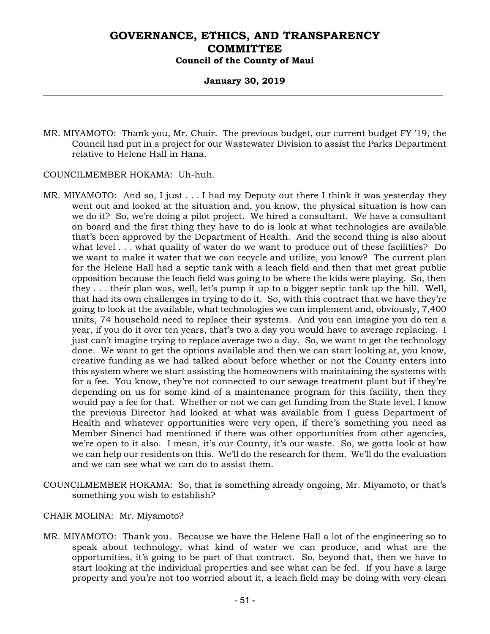### **January 30, 2019**

MR. MIYAMOTO: Thank you, Mr. Chair. The previous budget, our current budget FY '19, the Council had put in a project for our Wastewater Division to assist the Parks Department relative to Helene Hall in Hana.

#### COUNCILMEMBER HOKAMA: Uh-huh.

- MR. MIYAMOTO: And so, I just . . . I had my Deputy out there I think it was yesterday they went out and looked at the situation and, you know, the physical situation is how can we do it? So, we're doing a pilot project. We hired a consultant. We have a consultant on board and the first thing they have to do is look at what technologies are available that's been approved by the Department of Health. And the second thing is also about what level . . . what quality of water do we want to produce out of these facilities? Do we want to make it water that we can recycle and utilize, you know? The current plan for the Helene Hall had a septic tank with a leach field and then that met great public opposition because the leach field was going to be where the kids were playing. So, then they . . . their plan was, well, let's pump it up to a bigger septic tank up the hill. Well, that had its own challenges in trying to do it. So, with this contract that we have they're going to look at the available, what technologies we can implement and, obviously, 7,400 units, 74 household need to replace their systems. And you can imagine you do ten a year, if you do it over ten years, that's two a day you would have to average replacing. I just can't imagine trying to replace average two a day. So, we want to get the technology done. We want to get the options available and then we can start looking at, you know, creative funding as we had talked about before whether or not the County enters into this system where we start assisting the homeowners with maintaining the systems with for a fee. You know, they're not connected to our sewage treatment plant but if they're depending on us for some kind of a maintenance program for this facility, then they would pay a fee for that. Whether or not we can get funding from the State level, I know the previous Director had looked at what was available from I guess Department of Health and whatever opportunities were very open, if there's something you need as Member Sinenci had mentioned if there was other opportunities from other agencies, we're open to it also. I mean, it's our County, it's our waste. So, we gotta look at how we can help our residents on this. We'll do the research for them. We'll do the evaluation and we can see what we can do to assist them.
- COUNCILMEMBER HOKAMA: So, that is something already ongoing, Mr. Miyamoto, or that's something you wish to establish?
- CHAIR MOLINA: Mr. Miyamoto?
- MR. MIYAMOTO: Thank you. Because we have the Helene Hall a lot of the engineering so to speak about technology, what kind of water we can produce, and what are the opportunities, it's going to be part of that contract. So, beyond that, then we have to start looking at the individual properties and see what can be fed. If you have a large property and you're not too worried about it, a leach field may be doing with very clean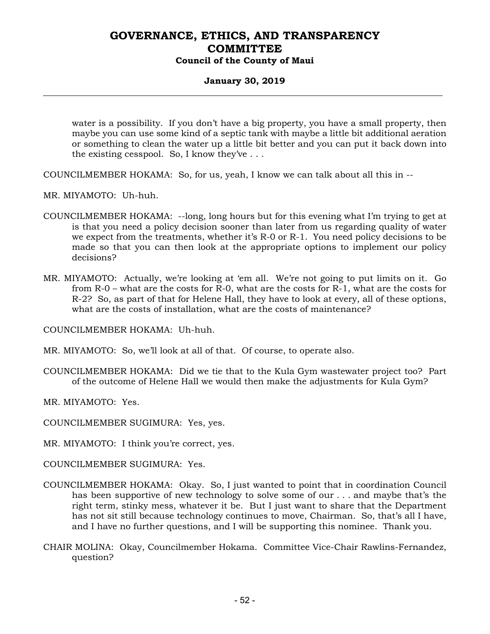## **January 30, 2019**

water is a possibility. If you don't have a big property, you have a small property, then maybe you can use some kind of a septic tank with maybe a little bit additional aeration or something to clean the water up a little bit better and you can put it back down into the existing cesspool. So, I know they've  $\dots$ 

COUNCILMEMBER HOKAMA: So, for us, yeah, I know we can talk about all this in --

- MR. MIYAMOTO: Uh-huh.
- COUNCILMEMBER HOKAMA: --long, long hours but for this evening what I'm trying to get at is that you need a policy decision sooner than later from us regarding quality of water we expect from the treatments, whether it's R-0 or R-1. You need policy decisions to be made so that you can then look at the appropriate options to implement our policy decisions?
- MR. MIYAMOTO: Actually, we're looking at 'em all. We're not going to put limits on it. Go from R-0 – what are the costs for R-0, what are the costs for R-1, what are the costs for R-2? So, as part of that for Helene Hall, they have to look at every, all of these options, what are the costs of installation, what are the costs of maintenance?

COUNCILMEMBER HOKAMA: Uh-huh.

MR. MIYAMOTO: So, we'll look at all of that. Of course, to operate also.

COUNCILMEMBER HOKAMA: Did we tie that to the Kula Gym wastewater project too? Part of the outcome of Helene Hall we would then make the adjustments for Kula Gym?

MR. MIYAMOTO: Yes.

COUNCILMEMBER SUGIMURA: Yes, yes.

MR. MIYAMOTO: I think you're correct, yes.

COUNCILMEMBER SUGIMURA: Yes.

- COUNCILMEMBER HOKAMA: Okay. So, I just wanted to point that in coordination Council has been supportive of new technology to solve some of our . . . and maybe that's the right term, stinky mess, whatever it be. But I just want to share that the Department has not sit still because technology continues to move, Chairman. So, that's all I have, and I have no further questions, and I will be supporting this nominee. Thank you.
- CHAIR MOLINA: Okay, Councilmember Hokama. Committee Vice-Chair Rawlins-Fernandez, question?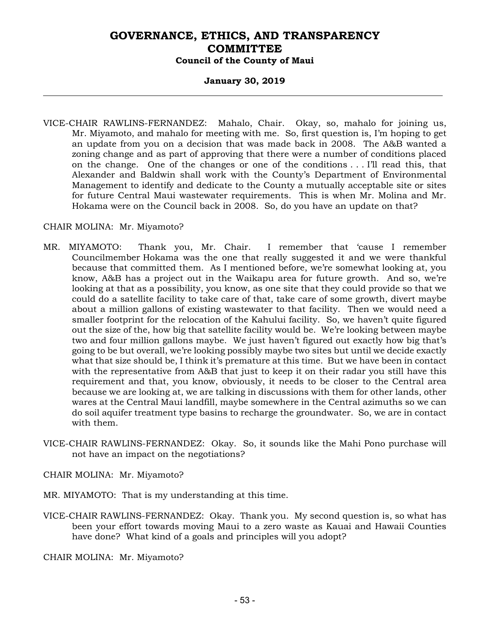#### **January 30, 2019**

VICE-CHAIR RAWLINS-FERNANDEZ: Mahalo, Chair. Okay, so, mahalo for joining us, Mr. Miyamoto, and mahalo for meeting with me. So, first question is, I'm hoping to get an update from you on a decision that was made back in 2008. The A&B wanted a zoning change and as part of approving that there were a number of conditions placed on the change. One of the changes or one of the conditions . . . I'll read this, that Alexander and Baldwin shall work with the County's Department of Environmental Management to identify and dedicate to the County a mutually acceptable site or sites for future Central Maui wastewater requirements. This is when Mr. Molina and Mr. Hokama were on the Council back in 2008. So, do you have an update on that?

#### CHAIR MOLINA: Mr. Miyamoto?

- MR. MIYAMOTO: Thank you, Mr. Chair. I remember that 'cause I remember Councilmember Hokama was the one that really suggested it and we were thankful because that committed them. As I mentioned before, we're somewhat looking at, you know, A&B has a project out in the Waikapu area for future growth. And so, we're looking at that as a possibility, you know, as one site that they could provide so that we could do a satellite facility to take care of that, take care of some growth, divert maybe about a million gallons of existing wastewater to that facility. Then we would need a smaller footprint for the relocation of the Kahului facility. So, we haven't quite figured out the size of the, how big that satellite facility would be. We're looking between maybe two and four million gallons maybe. We just haven't figured out exactly how big that's going to be but overall, we're looking possibly maybe two sites but until we decide exactly what that size should be, I think it's premature at this time. But we have been in contact with the representative from A&B that just to keep it on their radar you still have this requirement and that, you know, obviously, it needs to be closer to the Central area because we are looking at, we are talking in discussions with them for other lands, other wares at the Central Maui landfill, maybe somewhere in the Central azimuths so we can do soil aquifer treatment type basins to recharge the groundwater. So, we are in contact with them.
- VICE-CHAIR RAWLINS-FERNANDEZ: Okay. So, it sounds like the Mahi Pono purchase will not have an impact on the negotiations?

CHAIR MOLINA: Mr. Miyamoto?

MR. MIYAMOTO: That is my understanding at this time.

VICE-CHAIR RAWLINS-FERNANDEZ: Okay. Thank you. My second question is, so what has been your effort towards moving Maui to a zero waste as Kauai and Hawaii Counties have done? What kind of a goals and principles will you adopt?

CHAIR MOLINA: Mr. Miyamoto?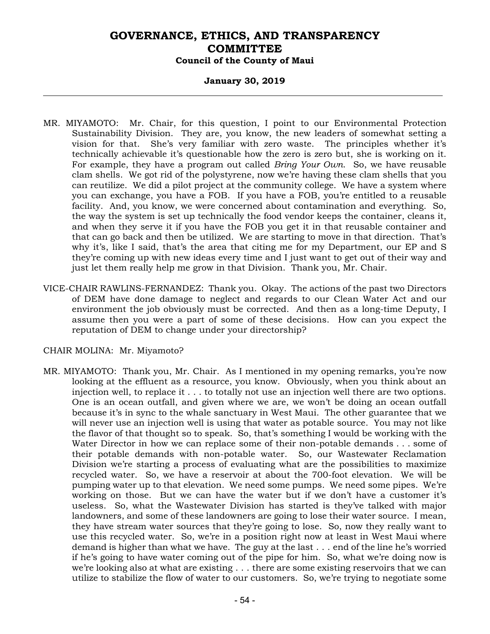### **January 30, 2019**

- MR. MIYAMOTO: Mr. Chair, for this question, I point to our Environmental Protection Sustainability Division. They are, you know, the new leaders of somewhat setting a vision for that. She's very familiar with zero waste. The principles whether it's technically achievable it's questionable how the zero is zero but, she is working on it. For example, they have a program out called *Bring Your Own*. So, we have reusable clam shells. We got rid of the polystyrene, now we're having these clam shells that you can reutilize. We did a pilot project at the community college. We have a system where you can exchange, you have a FOB. If you have a FOB, you're entitled to a reusable facility. And, you know, we were concerned about contamination and everything. So, the way the system is set up technically the food vendor keeps the container, cleans it, and when they serve it if you have the FOB you get it in that reusable container and that can go back and then be utilized. We are starting to move in that direction. That's why it's, like I said, that's the area that citing me for my Department, our EP and S they're coming up with new ideas every time and I just want to get out of their way and just let them really help me grow in that Division. Thank you, Mr. Chair.
- VICE-CHAIR RAWLINS-FERNANDEZ: Thank you. Okay. The actions of the past two Directors of DEM have done damage to neglect and regards to our Clean Water Act and our environment the job obviously must be corrected. And then as a long-time Deputy, I assume then you were a part of some of these decisions. How can you expect the reputation of DEM to change under your directorship?

#### CHAIR MOLINA: Mr. Miyamoto?

MR. MIYAMOTO: Thank you, Mr. Chair. As I mentioned in my opening remarks, you're now looking at the effluent as a resource, you know. Obviously, when you think about an injection well, to replace it . . . to totally not use an injection well there are two options. One is an ocean outfall, and given where we are, we won't be doing an ocean outfall because it's in sync to the whale sanctuary in West Maui. The other guarantee that we will never use an injection well is using that water as potable source. You may not like the flavor of that thought so to speak. So, that's something I would be working with the Water Director in how we can replace some of their non-potable demands . . . some of their potable demands with non-potable water. So, our Wastewater Reclamation Division we're starting a process of evaluating what are the possibilities to maximize recycled water. So, we have a reservoir at about the 700-foot elevation. We will be pumping water up to that elevation. We need some pumps. We need some pipes. We're working on those. But we can have the water but if we don't have a customer it's useless. So, what the Wastewater Division has started is they've talked with major landowners, and some of these landowners are going to lose their water source. I mean, they have stream water sources that they're going to lose. So, now they really want to use this recycled water. So, we're in a position right now at least in West Maui where demand is higher than what we have. The guy at the last . . . end of the line he's worried if he's going to have water coming out of the pipe for him. So, what we're doing now is we're looking also at what are existing . . . there are some existing reservoirs that we can utilize to stabilize the flow of water to our customers. So, we're trying to negotiate some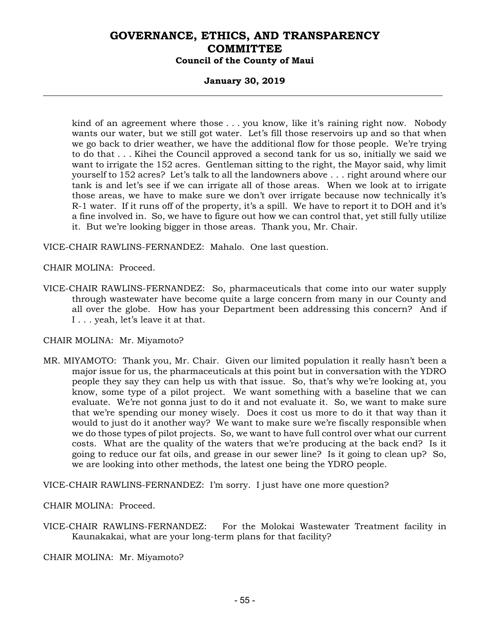#### **January 30, 2019**

kind of an agreement where those . . . you know, like it's raining right now. Nobody wants our water, but we still got water. Let's fill those reservoirs up and so that when we go back to drier weather, we have the additional flow for those people. We're trying to do that . . . Kihei the Council approved a second tank for us so, initially we said we want to irrigate the 152 acres. Gentleman sitting to the right, the Mayor said, why limit yourself to 152 acres? Let's talk to all the landowners above . . . right around where our tank is and let's see if we can irrigate all of those areas. When we look at to irrigate those areas, we have to make sure we don't over irrigate because now technically it's R-1 water. If it runs off of the property, it's a spill. We have to report it to DOH and it's a fine involved in. So, we have to figure out how we can control that, yet still fully utilize it. But we're looking bigger in those areas. Thank you, Mr. Chair.

VICE-CHAIR RAWLINS-FERNANDEZ: Mahalo. One last question.

CHAIR MOLINA: Proceed.

VICE-CHAIR RAWLINS-FERNANDEZ: So, pharmaceuticals that come into our water supply through wastewater have become quite a large concern from many in our County and all over the globe. How has your Department been addressing this concern? And if I . . . yeah, let's leave it at that.

CHAIR MOLINA: Mr. Miyamoto?

MR. MIYAMOTO: Thank you, Mr. Chair. Given our limited population it really hasn't been a major issue for us, the pharmaceuticals at this point but in conversation with the YDRO people they say they can help us with that issue. So, that's why we're looking at, you know, some type of a pilot project. We want something with a baseline that we can evaluate. We're not gonna just to do it and not evaluate it. So, we want to make sure that we're spending our money wisely. Does it cost us more to do it that way than it would to just do it another way? We want to make sure we're fiscally responsible when we do those types of pilot projects. So, we want to have full control over what our current costs. What are the quality of the waters that we're producing at the back end? Is it going to reduce our fat oils, and grease in our sewer line? Is it going to clean up? So, we are looking into other methods, the latest one being the YDRO people.

VICE-CHAIR RAWLINS-FERNANDEZ: I'm sorry. I just have one more question?

CHAIR MOLINA: Proceed.

VICE-CHAIR RAWLINS-FERNANDEZ: For the Molokai Wastewater Treatment facility in Kaunakakai, what are your long-term plans for that facility?

CHAIR MOLINA: Mr. Miyamoto?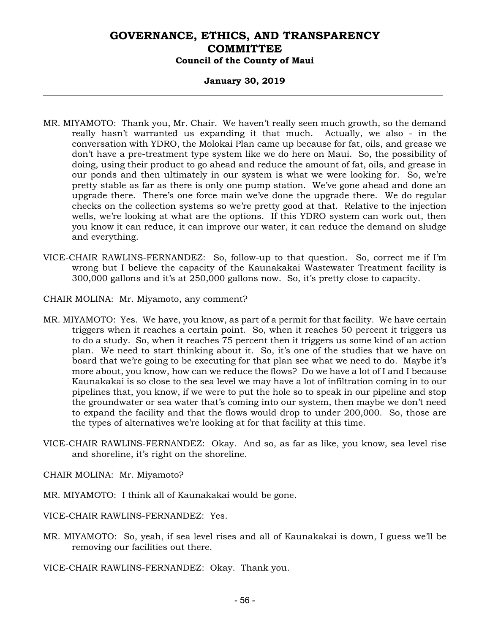#### **January 30, 2019**

- MR. MIYAMOTO: Thank you, Mr. Chair. We haven't really seen much growth, so the demand really hasn't warranted us expanding it that much. Actually, we also - in the conversation with YDRO, the Molokai Plan came up because for fat, oils, and grease we don't have a pre-treatment type system like we do here on Maui. So, the possibility of doing, using their product to go ahead and reduce the amount of fat, oils, and grease in our ponds and then ultimately in our system is what we were looking for. So, we're pretty stable as far as there is only one pump station. We've gone ahead and done an upgrade there. There's one force main we've done the upgrade there. We do regular checks on the collection systems so we're pretty good at that. Relative to the injection wells, we're looking at what are the options. If this YDRO system can work out, then you know it can reduce, it can improve our water, it can reduce the demand on sludge and everything.
- VICE-CHAIR RAWLINS-FERNANDEZ: So, follow-up to that question. So, correct me if I'm wrong but I believe the capacity of the Kaunakakai Wastewater Treatment facility is 300,000 gallons and it's at 250,000 gallons now. So, it's pretty close to capacity.
- CHAIR MOLINA: Mr. Miyamoto, any comment?
- MR. MIYAMOTO: Yes. We have, you know, as part of a permit for that facility. We have certain triggers when it reaches a certain point. So, when it reaches 50 percent it triggers us to do a study. So, when it reaches 75 percent then it triggers us some kind of an action plan. We need to start thinking about it. So, it's one of the studies that we have on board that we're going to be executing for that plan see what we need to do. Maybe it's more about, you know, how can we reduce the flows? Do we have a lot of I and I because Kaunakakai is so close to the sea level we may have a lot of infiltration coming in to our pipelines that, you know, if we were to put the hole so to speak in our pipeline and stop the groundwater or sea water that's coming into our system, then maybe we don't need to expand the facility and that the flows would drop to under 200,000. So, those are the types of alternatives we're looking at for that facility at this time.
- VICE-CHAIR RAWLINS-FERNANDEZ: Okay. And so, as far as like, you know, sea level rise and shoreline, it's right on the shoreline.
- CHAIR MOLINA: Mr. Miyamoto?
- MR. MIYAMOTO: I think all of Kaunakakai would be gone.
- VICE-CHAIR RAWLINS-FERNANDEZ: Yes.
- MR. MIYAMOTO: So, yeah, if sea level rises and all of Kaunakakai is down, I guess we'll be removing our facilities out there.

VICE-CHAIR RAWLINS-FERNANDEZ: Okay. Thank you.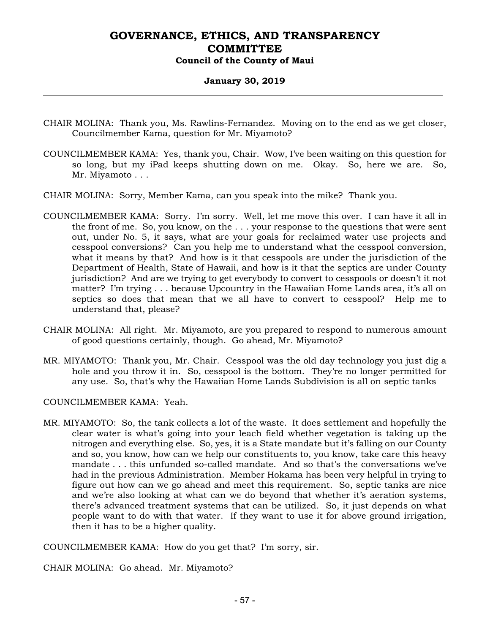#### **January 30, 2019**

- CHAIR MOLINA: Thank you, Ms. Rawlins-Fernandez. Moving on to the end as we get closer, Councilmember Kama, question for Mr. Miyamoto?
- COUNCILMEMBER KAMA: Yes, thank you, Chair. Wow, I've been waiting on this question for so long, but my iPad keeps shutting down on me. Okay. So, here we are. So, Mr. Miyamoto . . .
- CHAIR MOLINA: Sorry, Member Kama, can you speak into the mike? Thank you.
- COUNCILMEMBER KAMA: Sorry. I'm sorry. Well, let me move this over. I can have it all in the front of me. So, you know, on the . . . your response to the questions that were sent out, under No. 5, it says, what are your goals for reclaimed water use projects and cesspool conversions? Can you help me to understand what the cesspool conversion, what it means by that? And how is it that cesspools are under the jurisdiction of the Department of Health, State of Hawaii, and how is it that the septics are under County jurisdiction? And are we trying to get everybody to convert to cesspools or doesn't it not matter? I'm trying . . . because Upcountry in the Hawaiian Home Lands area, it's all on septics so does that mean that we all have to convert to cesspool? Help me to understand that, please?
- CHAIR MOLINA: All right. Mr. Miyamoto, are you prepared to respond to numerous amount of good questions certainly, though. Go ahead, Mr. Miyamoto?
- MR. MIYAMOTO: Thank you, Mr. Chair. Cesspool was the old day technology you just dig a hole and you throw it in. So, cesspool is the bottom. They're no longer permitted for any use. So, that's why the Hawaiian Home Lands Subdivision is all on septic tanks

COUNCILMEMBER KAMA: Yeah.

MR. MIYAMOTO: So, the tank collects a lot of the waste. It does settlement and hopefully the clear water is what's going into your leach field whether vegetation is taking up the nitrogen and everything else. So, yes, it is a State mandate but it's falling on our County and so, you know, how can we help our constituents to, you know, take care this heavy mandate . . . this unfunded so-called mandate. And so that's the conversations we've had in the previous Administration. Member Hokama has been very helpful in trying to figure out how can we go ahead and meet this requirement. So, septic tanks are nice and we're also looking at what can we do beyond that whether it's aeration systems, there's advanced treatment systems that can be utilized. So, it just depends on what people want to do with that water. If they want to use it for above ground irrigation, then it has to be a higher quality.

COUNCILMEMBER KAMA: How do you get that? I'm sorry, sir.

CHAIR MOLINA: Go ahead. Mr. Miyamoto?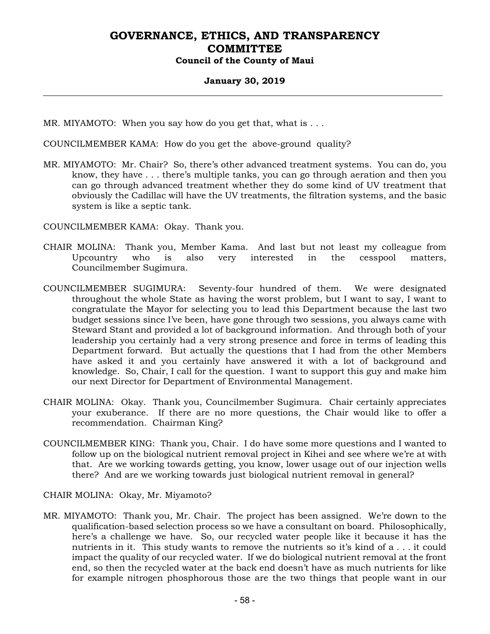#### **January 30, 2019**

MR. MIYAMOTO: When you say how do you get that, what is . . .

COUNCILMEMBER KAMA: How do you get the above-ground quality?

MR. MIYAMOTO: Mr. Chair? So, there's other advanced treatment systems. You can do, you know, they have . . . there's multiple tanks, you can go through aeration and then you can go through advanced treatment whether they do some kind of UV treatment that obviously the Cadillac will have the UV treatments, the filtration systems, and the basic system is like a septic tank.

COUNCILMEMBER KAMA: Okay. Thank you.

- CHAIR MOLINA: Thank you, Member Kama. And last but not least my colleague from Upcountry who is also very interested in the cesspool matters, Councilmember Sugimura.
- COUNCILMEMBER SUGIMURA: Seventy-four hundred of them. We were designated throughout the whole State as having the worst problem, but I want to say, I want to congratulate the Mayor for selecting you to lead this Department because the last two budget sessions since I've been, have gone through two sessions, you always came with Steward Stant and provided a lot of background information. And through both of your leadership you certainly had a very strong presence and force in terms of leading this Department forward. But actually the questions that I had from the other Members have asked it and you certainly have answered it with a lot of background and knowledge. So, Chair, I call for the question. I want to support this guy and make him our next Director for Department of Environmental Management.
- CHAIR MOLINA: Okay. Thank you, Councilmember Sugimura. Chair certainly appreciates your exuberance. If there are no more questions, the Chair would like to offer a recommendation. Chairman King?
- COUNCILMEMBER KING: Thank you, Chair. I do have some more questions and I wanted to follow up on the biological nutrient removal project in Kihei and see where we're at with that. Are we working towards getting, you know, lower usage out of our injection wells there? And are we working towards just biological nutrient removal in general?

CHAIR MOLINA: Okay, Mr. Miyamoto?

MR. MIYAMOTO: Thank you, Mr. Chair. The project has been assigned. We're down to the qualification-based selection process so we have a consultant on board. Philosophically, here's a challenge we have. So, our recycled water people like it because it has the nutrients in it. This study wants to remove the nutrients so it's kind of a . . . it could impact the quality of our recycled water. If we do biological nutrient removal at the front end, so then the recycled water at the back end doesn't have as much nutrients for like for example nitrogen phosphorous those are the two things that people want in our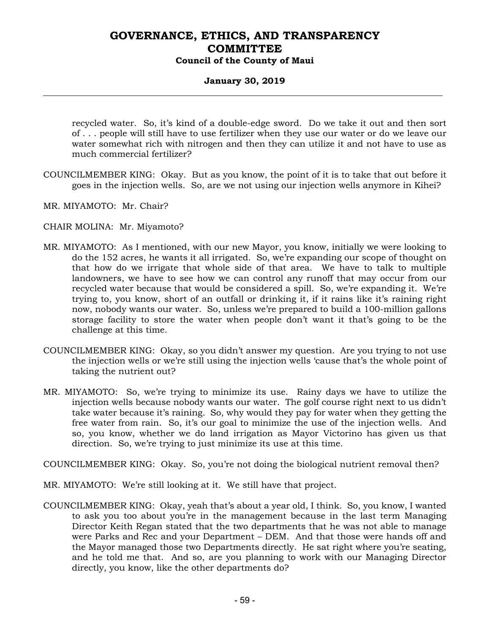## **January 30, 2019**

recycled water. So, it's kind of a double-edge sword. Do we take it out and then sort of . . . people will still have to use fertilizer when they use our water or do we leave our water somewhat rich with nitrogen and then they can utilize it and not have to use as much commercial fertilizer?

- COUNCILMEMBER KING: Okay. But as you know, the point of it is to take that out before it goes in the injection wells. So, are we not using our injection wells anymore in Kihei?
- MR. MIYAMOTO: Mr. Chair?
- CHAIR MOLINA: Mr. Miyamoto?
- MR. MIYAMOTO: As I mentioned, with our new Mayor, you know, initially we were looking to do the 152 acres, he wants it all irrigated. So, we're expanding our scope of thought on that how do we irrigate that whole side of that area. We have to talk to multiple landowners, we have to see how we can control any runoff that may occur from our recycled water because that would be considered a spill. So, we're expanding it. We're trying to, you know, short of an outfall or drinking it, if it rains like it's raining right now, nobody wants our water. So, unless we're prepared to build a 100-million gallons storage facility to store the water when people don't want it that's going to be the challenge at this time.
- COUNCILMEMBER KING: Okay, so you didn't answer my question. Are you trying to not use the injection wells or we're still using the injection wells 'cause that's the whole point of taking the nutrient out?
- MR. MIYAMOTO: So, we're trying to minimize its use. Rainy days we have to utilize the injection wells because nobody wants our water. The golf course right next to us didn't take water because it's raining. So, why would they pay for water when they getting the free water from rain. So, it's our goal to minimize the use of the injection wells. And so, you know, whether we do land irrigation as Mayor Victorino has given us that direction. So, we're trying to just minimize its use at this time.

COUNCILMEMBER KING: Okay. So, you're not doing the biological nutrient removal then?

- MR. MIYAMOTO: We're still looking at it. We still have that project.
- COUNCILMEMBER KING: Okay, yeah that's about a year old, I think. So, you know, I wanted to ask you too about you're in the management because in the last term Managing Director Keith Regan stated that the two departments that he was not able to manage were Parks and Rec and your Department – DEM. And that those were hands off and the Mayor managed those two Departments directly. He sat right where you're seating, and he told me that. And so, are you planning to work with our Managing Director directly, you know, like the other departments do?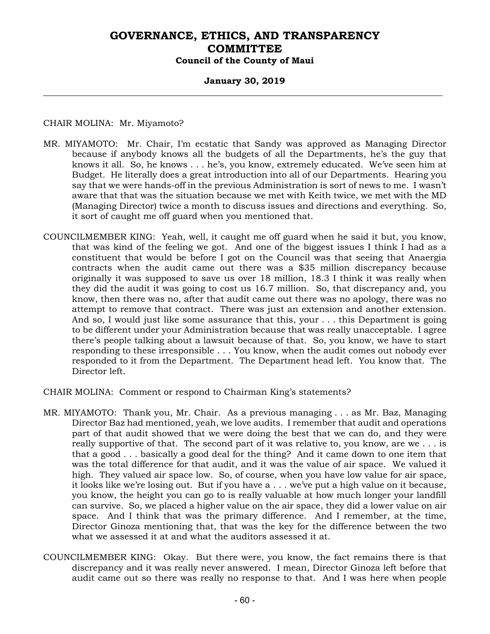## **January 30, 2019**

### CHAIR MOLINA: Mr. Miyamoto?

- MR. MIYAMOTO: Mr. Chair, I'm ecstatic that Sandy was approved as Managing Director because if anybody knows all the budgets of all the Departments, he's the guy that knows it all. So, he knows . . . he's, you know, extremely educated. We've seen him at Budget. He literally does a great introduction into all of our Departments. Hearing you say that we were hands-off in the previous Administration is sort of news to me. I wasn't aware that that was the situation because we met with Keith twice, we met with the MD (Managing Director) twice a month to discuss issues and directions and everything. So, it sort of caught me off guard when you mentioned that.
- COUNCILMEMBER KING: Yeah, well, it caught me off guard when he said it but, you know, that was kind of the feeling we got. And one of the biggest issues I think I had as a constituent that would be before I got on the Council was that seeing that Anaergia contracts when the audit came out there was a \$35 million discrepancy because originally it was supposed to save us over 18 million, 18.3 I think it was really when they did the audit it was going to cost us 16.7 million. So, that discrepancy and, you know, then there was no, after that audit came out there was no apology, there was no attempt to remove that contract. There was just an extension and another extension. And so, I would just like some assurance that this, your . . . this Department is going to be different under your Administration because that was really unacceptable. I agree there's people talking about a lawsuit because of that. So, you know, we have to start responding to these irresponsible . . . You know, when the audit comes out nobody ever responded to it from the Department. The Department head left. You know that. The Director left.
- CHAIR MOLINA: Comment or respond to Chairman King's statements?
- MR. MIYAMOTO: Thank you, Mr. Chair. As a previous managing . . . as Mr. Baz, Managing Director Baz had mentioned, yeah, we love audits. I remember that audit and operations part of that audit showed that we were doing the best that we can do, and they were really supportive of that. The second part of it was relative to, you know, are we . . . is that a good . . . basically a good deal for the thing? And it came down to one item that was the total difference for that audit, and it was the value of air space. We valued it high. They valued air space low. So, of course, when you have low value for air space, it looks like we're losing out. But if you have a . . . we've put a high value on it because, you know, the height you can go to is really valuable at how much longer your landfill can survive. So, we placed a higher value on the air space, they did a lower value on air space. And I think that was the primary difference. And I remember, at the time, Director Ginoza mentioning that, that was the key for the difference between the two what we assessed it at and what the auditors assessed it at.
- COUNCILMEMBER KING: Okay. But there were, you know, the fact remains there is that discrepancy and it was really never answered. I mean, Director Ginoza left before that audit came out so there was really no response to that. And I was here when people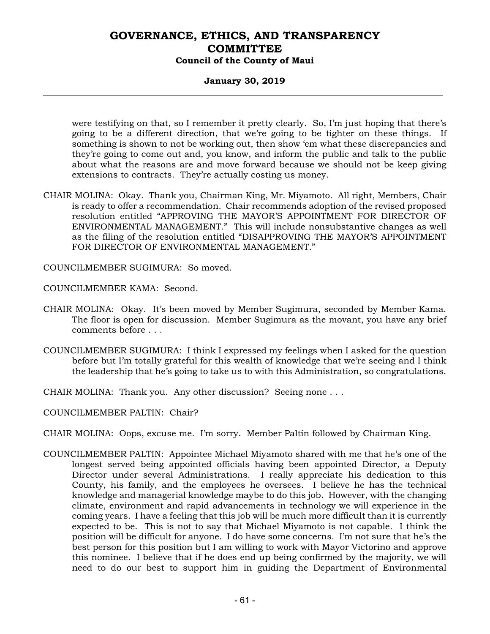### **January 30, 2019**

were testifying on that, so I remember it pretty clearly. So, I'm just hoping that there's going to be a different direction, that we're going to be tighter on these things. If something is shown to not be working out, then show 'em what these discrepancies and they're going to come out and, you know, and inform the public and talk to the public about what the reasons are and move forward because we should not be keep giving extensions to contracts. They're actually costing us money.

CHAIR MOLINA: Okay. Thank you, Chairman King, Mr. Miyamoto. All right, Members, Chair is ready to offer a recommendation. Chair recommends adoption of the revised proposed resolution entitled "APPROVING THE MAYOR'S APPOINTMENT FOR DIRECTOR OF ENVIRONMENTAL MANAGEMENT." This will include nonsubstantive changes as well as the filing of the resolution entitled "DISAPPROVING THE MAYOR'S APPOINTMENT FOR DIRECTOR OF ENVIRONMENTAL MANAGEMENT."

COUNCILMEMBER SUGIMURA: So moved.

COUNCILMEMBER KAMA: Second.

- CHAIR MOLINA: Okay. It's been moved by Member Sugimura, seconded by Member Kama. The floor is open for discussion. Member Sugimura as the movant, you have any brief comments before . . .
- COUNCILMEMBER SUGIMURA: I think I expressed my feelings when I asked for the question before but I'm totally grateful for this wealth of knowledge that we're seeing and I think the leadership that he's going to take us to with this Administration, so congratulations.
- CHAIR MOLINA: Thank you. Any other discussion? Seeing none . . .

COUNCILMEMBER PALTIN: Chair?

CHAIR MOLINA: Oops, excuse me. I'm sorry. Member Paltin followed by Chairman King.

COUNCILMEMBER PALTIN: Appointee Michael Miyamoto shared with me that he's one of the longest served being appointed officials having been appointed Director, a Deputy Director under several Administrations. I really appreciate his dedication to this County, his family, and the employees he oversees. I believe he has the technical knowledge and managerial knowledge maybe to do this job. However, with the changing climate, environment and rapid advancements in technology we will experience in the coming years. I have a feeling that this job will be much more difficult than it is currently expected to be. This is not to say that Michael Miyamoto is not capable. I think the position will be difficult for anyone. I do have some concerns. I'm not sure that he's the best person for this position but I am willing to work with Mayor Victorino and approve this nominee. I believe that if he does end up being confirmed by the majority, we will need to do our best to support him in guiding the Department of Environmental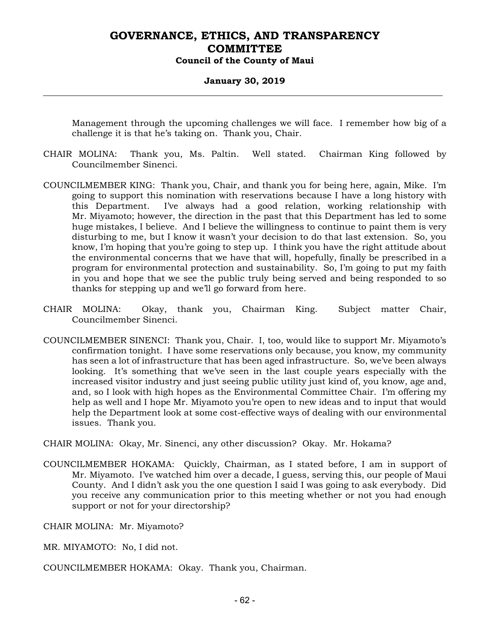#### **January 30, 2019**

Management through the upcoming challenges we will face. I remember how big of a challenge it is that he's taking on. Thank you, Chair.

- CHAIR MOLINA: Thank you, Ms. Paltin. Well stated. Chairman King followed by Councilmember Sinenci.
- COUNCILMEMBER KING: Thank you, Chair, and thank you for being here, again, Mike. I'm going to support this nomination with reservations because I have a long history with this Department. I've always had a good relation, working relationship with Mr. Miyamoto; however, the direction in the past that this Department has led to some huge mistakes, I believe. And I believe the willingness to continue to paint them is very disturbing to me, but I know it wasn't your decision to do that last extension. So, you know, I'm hoping that you're going to step up. I think you have the right attitude about the environmental concerns that we have that will, hopefully, finally be prescribed in a program for environmental protection and sustainability. So, I'm going to put my faith in you and hope that we see the public truly being served and being responded to so thanks for stepping up and we'll go forward from here.
- CHAIR MOLINA: Okay, thank you, Chairman King. Subject matter Chair, Councilmember Sinenci.
- COUNCILMEMBER SINENCI: Thank you, Chair. I, too, would like to support Mr. Miyamoto's confirmation tonight. I have some reservations only because, you know, my community has seen a lot of infrastructure that has been aged infrastructure. So, we've been always looking. It's something that we've seen in the last couple years especially with the increased visitor industry and just seeing public utility just kind of, you know, age and, and, so I look with high hopes as the Environmental Committee Chair. I'm offering my help as well and I hope Mr. Miyamoto you're open to new ideas and to input that would help the Department look at some cost-effective ways of dealing with our environmental issues. Thank you.

CHAIR MOLINA: Okay, Mr. Sinenci, any other discussion? Okay. Mr. Hokama?

COUNCILMEMBER HOKAMA: Quickly, Chairman, as I stated before, I am in support of Mr. Miyamoto. I've watched him over a decade, I guess, serving this, our people of Maui County. And I didn't ask you the one question I said I was going to ask everybody. Did you receive any communication prior to this meeting whether or not you had enough support or not for your directorship?

CHAIR MOLINA: Mr. Miyamoto?

MR. MIYAMOTO: No, I did not.

COUNCILMEMBER HOKAMA: Okay. Thank you, Chairman.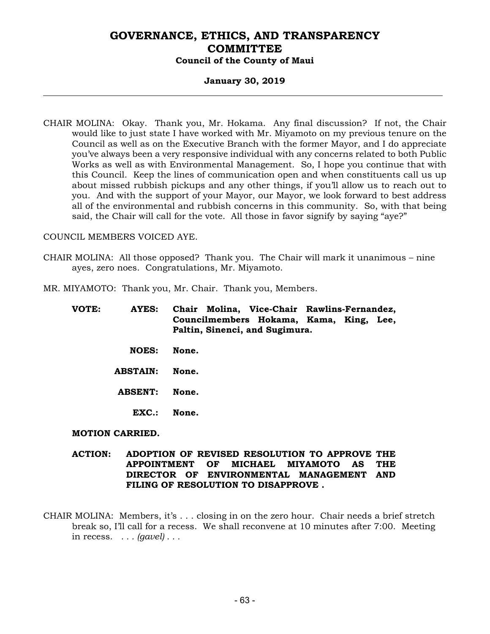### **January 30, 2019**

CHAIR MOLINA: Okay. Thank you, Mr. Hokama. Any final discussion? If not, the Chair would like to just state I have worked with Mr. Miyamoto on my previous tenure on the Council as well as on the Executive Branch with the former Mayor, and I do appreciate you've always been a very responsive individual with any concerns related to both Public Works as well as with Environmental Management. So, I hope you continue that with this Council. Keep the lines of communication open and when constituents call us up about missed rubbish pickups and any other things, if you'll allow us to reach out to you. And with the support of your Mayor, our Mayor, we look forward to best address all of the environmental and rubbish concerns in this community. So, with that being said, the Chair will call for the vote. All those in favor signify by saying "aye?"

#### COUNCIL MEMBERS VOICED AYE.

CHAIR MOLINA: All those opposed? Thank you. The Chair will mark it unanimous – nine ayes, zero noes. Congratulations, Mr. Miyamoto.

MR. MIYAMOTO: Thank you, Mr. Chair. Thank you, Members.

| VOTE: | AYES:                  | Chair Molina, Vice-Chair Rawlins-Fernandez,<br>Councilmembers Hokama, Kama, King, Lee,<br>Paltin, Sinenci, and Sugimura. |
|-------|------------------------|--------------------------------------------------------------------------------------------------------------------------|
|       | <b>NOES:</b>           | None.                                                                                                                    |
|       | <b>ABSTAIN:</b>        | None.                                                                                                                    |
|       | <b>ABSENT:</b>         | None.                                                                                                                    |
|       | $EXC.$ :               | None.                                                                                                                    |
|       | <b>MOTION CARRIED.</b> |                                                                                                                          |

**ACTION: ADOPTION OF REVISED RESOLUTION TO APPROVE THE APPOINTMENT OF MICHAEL MIYAMOTO AS THE DIRECTOR OF ENVIRONMENTAL MANAGEMENT AND FILING OF RESOLUTION TO DISAPPROVE .** 

CHAIR MOLINA: Members, it's . . . closing in on the zero hour. Chair needs a brief stretch break so, I'll call for a recess. We shall reconvene at 10 minutes after 7:00. Meeting in recess. *. . . (gavel) . . .*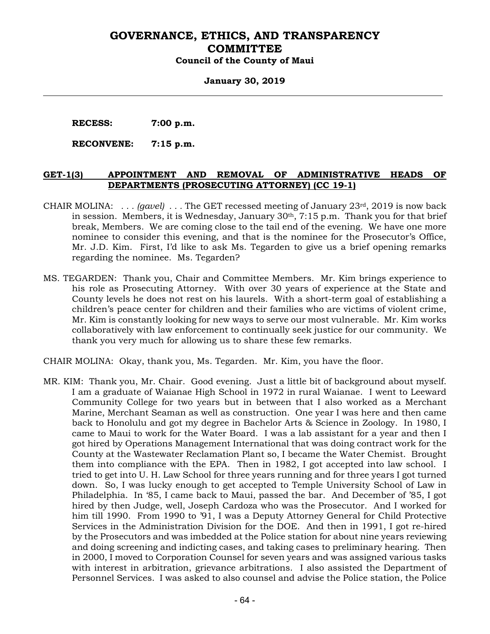#### **January 30, 2019**

 **RECESS: 7:00 p.m.** 

 **RECONVENE: 7:15 p.m.** 

#### **GET-1(3) APPOINTMENT AND REMOVAL OF ADMINISTRATIVE HEADS OF DEPARTMENTS (PROSECUTING ATTORNEY) (CC 19-1)**

- CHAIR MOLINA: *. . . (gavel) . . .* The GET recessed meeting of January 23rd, 2019 is now back in session. Members, it is Wednesday, January  $30<sup>th</sup>$ , 7:15 p.m. Thank you for that brief break, Members. We are coming close to the tail end of the evening. We have one more nominee to consider this evening, and that is the nominee for the Prosecutor's Office, Mr. J.D. Kim. First, I'd like to ask Ms. Tegarden to give us a brief opening remarks regarding the nominee. Ms. Tegarden?
- MS. TEGARDEN: Thank you, Chair and Committee Members. Mr. Kim brings experience to his role as Prosecuting Attorney. With over 30 years of experience at the State and County levels he does not rest on his laurels. With a short-term goal of establishing a children's peace center for children and their families who are victims of violent crime, Mr. Kim is constantly looking for new ways to serve our most vulnerable. Mr. Kim works collaboratively with law enforcement to continually seek justice for our community. We thank you very much for allowing us to share these few remarks.

CHAIR MOLINA: Okay, thank you, Ms. Tegarden. Mr. Kim, you have the floor.

MR. KIM: Thank you, Mr. Chair. Good evening. Just a little bit of background about myself. I am a graduate of Waianae High School in 1972 in rural Waianae. I went to Leeward Community College for two years but in between that I also worked as a Merchant Marine, Merchant Seaman as well as construction. One year I was here and then came back to Honolulu and got my degree in Bachelor Arts & Science in Zoology. In 1980, I came to Maui to work for the Water Board. I was a lab assistant for a year and then I got hired by Operations Management International that was doing contract work for the County at the Wastewater Reclamation Plant so, I became the Water Chemist. Brought them into compliance with the EPA. Then in 1982, I got accepted into law school. I tried to get into U. H. Law School for three years running and for three years I got turned down. So, I was lucky enough to get accepted to Temple University School of Law in Philadelphia. In '85, I came back to Maui, passed the bar. And December of '85, I got hired by then Judge, well, Joseph Cardoza who was the Prosecutor. And I worked for him till 1990. From 1990 to '91, I was a Deputy Attorney General for Child Protective Services in the Administration Division for the DOE. And then in 1991, I got re-hired by the Prosecutors and was imbedded at the Police station for about nine years reviewing and doing screening and indicting cases, and taking cases to preliminary hearing. Then in 2000, I moved to Corporation Counsel for seven years and was assigned various tasks with interest in arbitration, grievance arbitrations. I also assisted the Department of Personnel Services. I was asked to also counsel and advise the Police station, the Police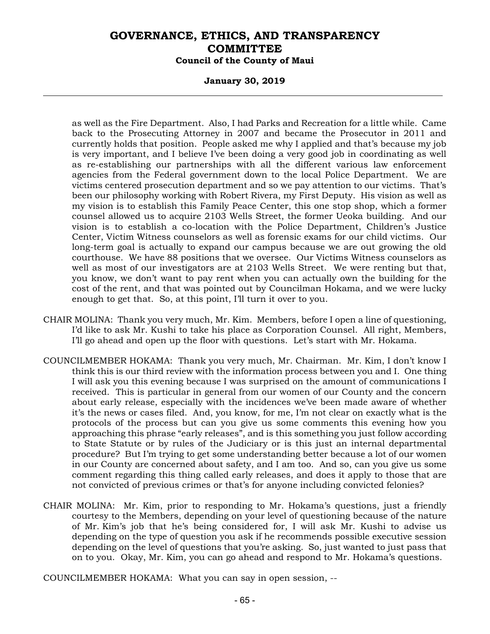#### **January 30, 2019**

as well as the Fire Department. Also, I had Parks and Recreation for a little while. Came back to the Prosecuting Attorney in 2007 and became the Prosecutor in 2011 and currently holds that position. People asked me why I applied and that's because my job is very important, and I believe I've been doing a very good job in coordinating as well as re-establishing our partnerships with all the different various law enforcement agencies from the Federal government down to the local Police Department. We are victims centered prosecution department and so we pay attention to our victims. That's been our philosophy working with Robert Rivera, my First Deputy. His vision as well as my vision is to establish this Family Peace Center, this one stop shop, which a former counsel allowed us to acquire 2103 Wells Street, the former Ueoka building. And our vision is to establish a co-location with the Police Department, Children's Justice Center, Victim Witness counselors as well as forensic exams for our child victims. Our long-term goal is actually to expand our campus because we are out growing the old courthouse. We have 88 positions that we oversee. Our Victims Witness counselors as well as most of our investigators are at 2103 Wells Street. We were renting but that, you know, we don't want to pay rent when you can actually own the building for the cost of the rent, and that was pointed out by Councilman Hokama, and we were lucky enough to get that. So, at this point, I'll turn it over to you.

- CHAIR MOLINA: Thank you very much, Mr. Kim. Members, before I open a line of questioning, I'd like to ask Mr. Kushi to take his place as Corporation Counsel. All right, Members, I'll go ahead and open up the floor with questions. Let's start with Mr. Hokama.
- COUNCILMEMBER HOKAMA: Thank you very much, Mr. Chairman. Mr. Kim, I don't know I think this is our third review with the information process between you and I. One thing I will ask you this evening because I was surprised on the amount of communications I received. This is particular in general from our women of our County and the concern about early release, especially with the incidences we've been made aware of whether it's the news or cases filed. And, you know, for me, I'm not clear on exactly what is the protocols of the process but can you give us some comments this evening how you approaching this phrase "early releases", and is this something you just follow according to State Statute or by rules of the Judiciary or is this just an internal departmental procedure? But I'm trying to get some understanding better because a lot of our women in our County are concerned about safety, and I am too. And so, can you give us some comment regarding this thing called early releases, and does it apply to those that are not convicted of previous crimes or that's for anyone including convicted felonies?
- CHAIR MOLINA: Mr. Kim, prior to responding to Mr. Hokama's questions, just a friendly courtesy to the Members, depending on your level of questioning because of the nature of Mr. Kim's job that he's being considered for, I will ask Mr. Kushi to advise us depending on the type of question you ask if he recommends possible executive session depending on the level of questions that you're asking. So, just wanted to just pass that on to you. Okay, Mr. Kim, you can go ahead and respond to Mr. Hokama's questions.

COUNCILMEMBER HOKAMA: What you can say in open session, --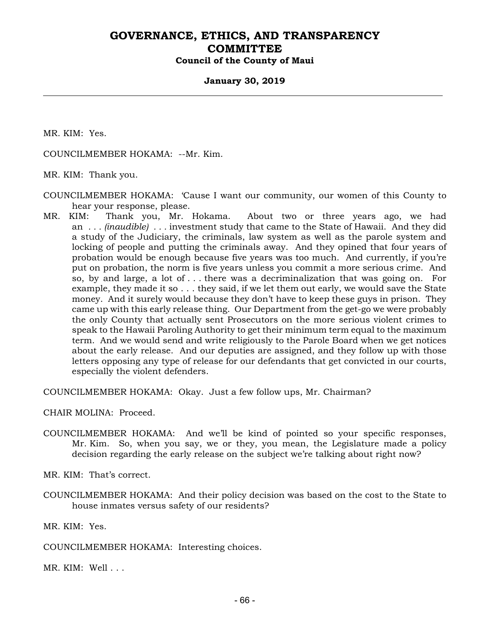#### **January 30, 2019**

MR. KIM: Yes.

COUNCILMEMBER HOKAMA: --Mr. Kim.

MR. KIM: Thank you.

- COUNCILMEMBER HOKAMA: 'Cause I want our community, our women of this County to hear your response, please.
- MR. KIM: Thank you, Mr. Hokama. About two or three years ago, we had an *. . . (inaudible) . . .* investment study that came to the State of Hawaii. And they did a study of the Judiciary, the criminals, law system as well as the parole system and locking of people and putting the criminals away. And they opined that four years of probation would be enough because five years was too much. And currently, if you're put on probation, the norm is five years unless you commit a more serious crime. And so, by and large, a lot of . . . there was a decriminalization that was going on. For example, they made it so . . . they said, if we let them out early, we would save the State money. And it surely would because they don't have to keep these guys in prison. They came up with this early release thing. Our Department from the get-go we were probably the only County that actually sent Prosecutors on the more serious violent crimes to speak to the Hawaii Paroling Authority to get their minimum term equal to the maximum term. And we would send and write religiously to the Parole Board when we get notices about the early release. And our deputies are assigned, and they follow up with those letters opposing any type of release for our defendants that get convicted in our courts, especially the violent defenders.

COUNCILMEMBER HOKAMA: Okay. Just a few follow ups, Mr. Chairman?

CHAIR MOLINA: Proceed.

COUNCILMEMBER HOKAMA: And we'll be kind of pointed so your specific responses, Mr. Kim. So, when you say, we or they, you mean, the Legislature made a policy decision regarding the early release on the subject we're talking about right now?

MR. KIM: That's correct.

COUNCILMEMBER HOKAMA: And their policy decision was based on the cost to the State to house inmates versus safety of our residents?

MR. KIM: Yes.

COUNCILMEMBER HOKAMA: Interesting choices.

MR. KIM: Well . . .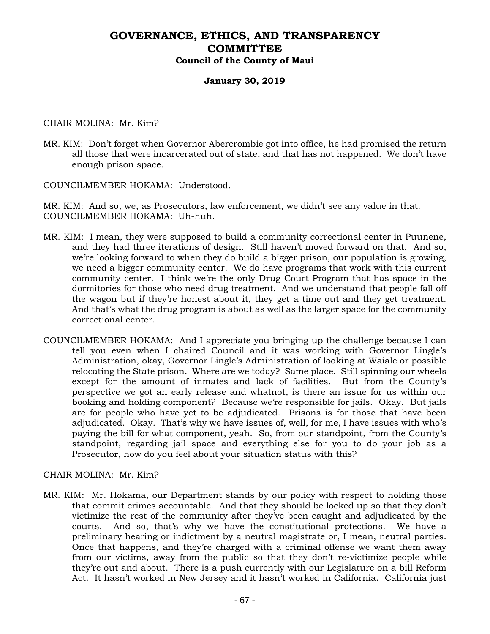### **January 30, 2019**

CHAIR MOLINA: Mr. Kim?

MR. KIM: Don't forget when Governor Abercrombie got into office, he had promised the return all those that were incarcerated out of state, and that has not happened. We don't have enough prison space.

COUNCILMEMBER HOKAMA: Understood.

MR. KIM: And so, we, as Prosecutors, law enforcement, we didn't see any value in that. COUNCILMEMBER HOKAMA: Uh-huh.

- MR. KIM: I mean, they were supposed to build a community correctional center in Puunene, and they had three iterations of design. Still haven't moved forward on that. And so, we're looking forward to when they do build a bigger prison, our population is growing, we need a bigger community center. We do have programs that work with this current community center. I think we're the only Drug Court Program that has space in the dormitories for those who need drug treatment. And we understand that people fall off the wagon but if they're honest about it, they get a time out and they get treatment. And that's what the drug program is about as well as the larger space for the community correctional center.
- COUNCILMEMBER HOKAMA: And I appreciate you bringing up the challenge because I can tell you even when I chaired Council and it was working with Governor Lingle's Administration, okay, Governor Lingle's Administration of looking at Waiale or possible relocating the State prison. Where are we today? Same place. Still spinning our wheels except for the amount of inmates and lack of facilities. But from the County's perspective we got an early release and whatnot, is there an issue for us within our booking and holding component? Because we're responsible for jails. Okay. But jails are for people who have yet to be adjudicated. Prisons is for those that have been adjudicated. Okay. That's why we have issues of, well, for me, I have issues with who's paying the bill for what component, yeah. So, from our standpoint, from the County's standpoint, regarding jail space and everything else for you to do your job as a Prosecutor, how do you feel about your situation status with this?

#### CHAIR MOLINA: Mr. Kim?

MR. KIM: Mr. Hokama, our Department stands by our policy with respect to holding those that commit crimes accountable. And that they should be locked up so that they don't victimize the rest of the community after they've been caught and adjudicated by the courts. And so, that's why we have the constitutional protections. We have a preliminary hearing or indictment by a neutral magistrate or, I mean, neutral parties. Once that happens, and they're charged with a criminal offense we want them away from our victims, away from the public so that they don't re-victimize people while they're out and about. There is a push currently with our Legislature on a bill Reform Act. It hasn't worked in New Jersey and it hasn't worked in California. California just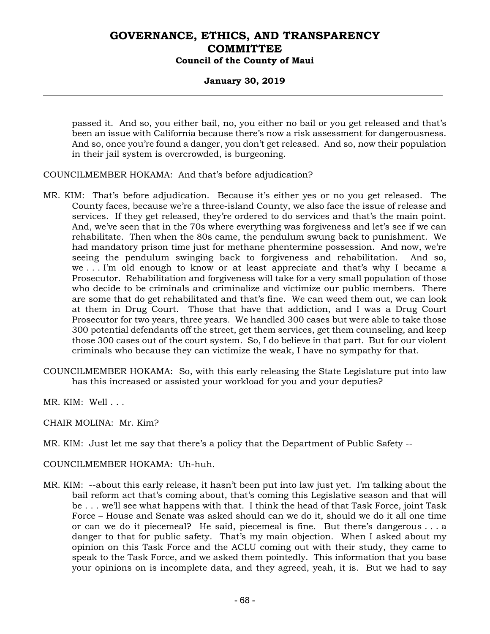## **January 30, 2019**

passed it. And so, you either bail, no, you either no bail or you get released and that's been an issue with California because there's now a risk assessment for dangerousness. And so, once you're found a danger, you don't get released. And so, now their population in their jail system is overcrowded, is burgeoning.

COUNCILMEMBER HOKAMA: And that's before adjudication?

- MR. KIM: That's before adjudication. Because it's either yes or no you get released. The County faces, because we're a three-island County, we also face the issue of release and services. If they get released, they're ordered to do services and that's the main point. And, we've seen that in the 70s where everything was forgiveness and let's see if we can rehabilitate. Then when the 80s came, the pendulum swung back to punishment. We had mandatory prison time just for methane phentermine possession. And now, we're seeing the pendulum swinging back to forgiveness and rehabilitation. And so, we . . . I'm old enough to know or at least appreciate and that's why I became a Prosecutor. Rehabilitation and forgiveness will take for a very small population of those who decide to be criminals and criminalize and victimize our public members. There are some that do get rehabilitated and that's fine. We can weed them out, we can look at them in Drug Court. Those that have that addiction, and I was a Drug Court Prosecutor for two years, three years. We handled 300 cases but were able to take those 300 potential defendants off the street, get them services, get them counseling, and keep those 300 cases out of the court system. So, I do believe in that part. But for our violent criminals who because they can victimize the weak, I have no sympathy for that.
- COUNCILMEMBER HOKAMA: So, with this early releasing the State Legislature put into law has this increased or assisted your workload for you and your deputies?

MR. KIM: Well . . .

CHAIR MOLINA: Mr. Kim?

MR. KIM: Just let me say that there's a policy that the Department of Public Safety --

### COUNCILMEMBER HOKAMA: Uh-huh.

MR. KIM: --about this early release, it hasn't been put into law just yet. I'm talking about the bail reform act that's coming about, that's coming this Legislative season and that will be . . . we'll see what happens with that. I think the head of that Task Force, joint Task Force – House and Senate was asked should can we do it, should we do it all one time or can we do it piecemeal? He said, piecemeal is fine. But there's dangerous . . . a danger to that for public safety. That's my main objection. When I asked about my opinion on this Task Force and the ACLU coming out with their study, they came to speak to the Task Force, and we asked them pointedly. This information that you base your opinions on is incomplete data, and they agreed, yeah, it is. But we had to say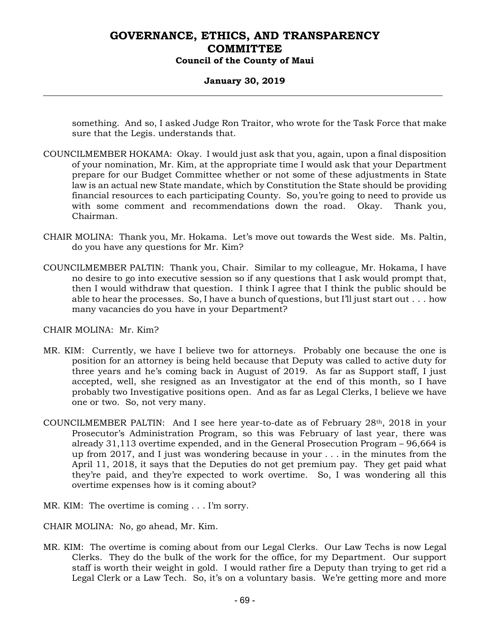### **January 30, 2019**

something. And so, I asked Judge Ron Traitor, who wrote for the Task Force that make sure that the Legis. understands that.

- COUNCILMEMBER HOKAMA: Okay. I would just ask that you, again, upon a final disposition of your nomination, Mr. Kim, at the appropriate time I would ask that your Department prepare for our Budget Committee whether or not some of these adjustments in State law is an actual new State mandate, which by Constitution the State should be providing financial resources to each participating County. So, you're going to need to provide us with some comment and recommendations down the road. Okay. Thank you, Chairman.
- CHAIR MOLINA: Thank you, Mr. Hokama. Let's move out towards the West side. Ms. Paltin, do you have any questions for Mr. Kim?
- COUNCILMEMBER PALTIN: Thank you, Chair. Similar to my colleague, Mr. Hokama, I have no desire to go into executive session so if any questions that I ask would prompt that, then I would withdraw that question. I think I agree that I think the public should be able to hear the processes. So, I have a bunch of questions, but I'll just start out . . . how many vacancies do you have in your Department?

CHAIR MOLINA: Mr. Kim?

- MR. KIM: Currently, we have I believe two for attorneys. Probably one because the one is position for an attorney is being held because that Deputy was called to active duty for three years and he's coming back in August of 2019. As far as Support staff, I just accepted, well, she resigned as an Investigator at the end of this month, so I have probably two Investigative positions open. And as far as Legal Clerks, I believe we have one or two. So, not very many.
- COUNCILMEMBER PALTIN: And I see here year-to-date as of February 28th, 2018 in your Prosecutor's Administration Program, so this was February of last year, there was already 31,113 overtime expended, and in the General Prosecution Program – 96,664 is up from 2017, and I just was wondering because in your . . . in the minutes from the April 11, 2018, it says that the Deputies do not get premium pay. They get paid what they're paid, and they're expected to work overtime. So, I was wondering all this overtime expenses how is it coming about?
- MR. KIM: The overtime is coming . . . I'm sorry.
- CHAIR MOLINA: No, go ahead, Mr. Kim.
- MR. KIM: The overtime is coming about from our Legal Clerks. Our Law Techs is now Legal Clerks. They do the bulk of the work for the office, for my Department. Our support staff is worth their weight in gold. I would rather fire a Deputy than trying to get rid a Legal Clerk or a Law Tech. So, it's on a voluntary basis. We're getting more and more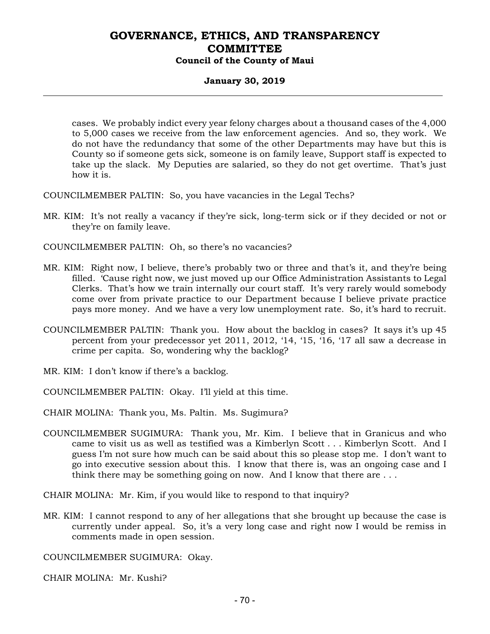## **January 30, 2019**

cases. We probably indict every year felony charges about a thousand cases of the 4,000 to 5,000 cases we receive from the law enforcement agencies. And so, they work. We do not have the redundancy that some of the other Departments may have but this is County so if someone gets sick, someone is on family leave, Support staff is expected to take up the slack. My Deputies are salaried, so they do not get overtime. That's just how it is.

COUNCILMEMBER PALTIN: So, you have vacancies in the Legal Techs?

MR. KIM: It's not really a vacancy if they're sick, long-term sick or if they decided or not or they're on family leave.

COUNCILMEMBER PALTIN: Oh, so there's no vacancies?

- MR. KIM: Right now, I believe, there's probably two or three and that's it, and they're being filled. 'Cause right now, we just moved up our Office Administration Assistants to Legal Clerks. That's how we train internally our court staff. It's very rarely would somebody come over from private practice to our Department because I believe private practice pays more money. And we have a very low unemployment rate. So, it's hard to recruit.
- COUNCILMEMBER PALTIN: Thank you. How about the backlog in cases? It says it's up 45 percent from your predecessor yet 2011, 2012, '14, '15, '16, '17 all saw a decrease in crime per capita. So, wondering why the backlog?
- MR. KIM: I don't know if there's a backlog.
- COUNCILMEMBER PALTIN: Okay. I'll yield at this time.
- CHAIR MOLINA: Thank you, Ms. Paltin. Ms. Sugimura?
- COUNCILMEMBER SUGIMURA: Thank you, Mr. Kim. I believe that in Granicus and who came to visit us as well as testified was a Kimberlyn Scott . . . Kimberlyn Scott. And I guess I'm not sure how much can be said about this so please stop me. I don't want to go into executive session about this. I know that there is, was an ongoing case and I think there may be something going on now. And I know that there are  $\dots$

CHAIR MOLINA: Mr. Kim, if you would like to respond to that inquiry?

MR. KIM: I cannot respond to any of her allegations that she brought up because the case is currently under appeal. So, it's a very long case and right now I would be remiss in comments made in open session.

COUNCILMEMBER SUGIMURA: Okay.

CHAIR MOLINA: Mr. Kushi?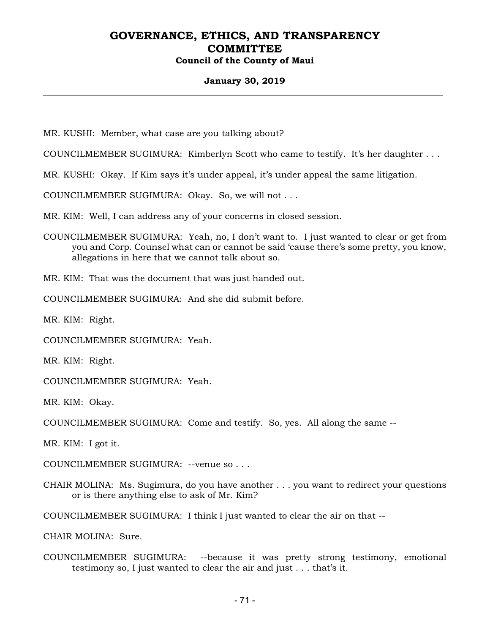#### **January 30, 2019**

MR. KUSHI: Member, what case are you talking about?

COUNCILMEMBER SUGIMURA: Kimberlyn Scott who came to testify. It's her daughter . . .

MR. KUSHI: Okay. If Kim says it's under appeal, it's under appeal the same litigation.

COUNCILMEMBER SUGIMURA: Okay. So, we will not . . .

MR. KIM: Well, I can address any of your concerns in closed session.

COUNCILMEMBER SUGIMURA: Yeah, no, I don't want to. I just wanted to clear or get from you and Corp. Counsel what can or cannot be said 'cause there's some pretty, you know, allegations in here that we cannot talk about so.

MR. KIM: That was the document that was just handed out.

COUNCILMEMBER SUGIMURA: And she did submit before.

MR. KIM: Right.

COUNCILMEMBER SUGIMURA: Yeah.

MR. KIM: Right.

COUNCILMEMBER SUGIMURA: Yeah.

MR. KIM: Okay.

COUNCILMEMBER SUGIMURA: Come and testify. So, yes. All along the same --

MR. KIM: I got it.

COUNCILMEMBER SUGIMURA: --venue so . . .

CHAIR MOLINA: Ms. Sugimura, do you have another . . . you want to redirect your questions or is there anything else to ask of Mr. Kim?

COUNCILMEMBER SUGIMURA: I think I just wanted to clear the air on that --

CHAIR MOLINA: Sure.

COUNCILMEMBER SUGIMURA: --because it was pretty strong testimony, emotional testimony so, I just wanted to clear the air and just . . . that's it.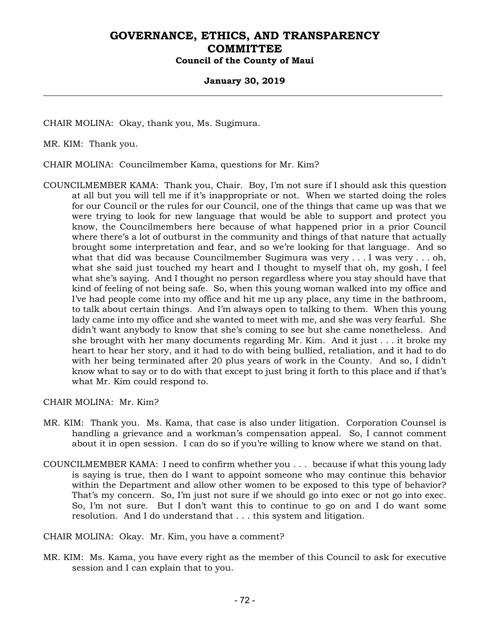#### **January 30, 2019**

CHAIR MOLINA: Okay, thank you, Ms. Sugimura.

MR. KIM: Thank you.

CHAIR MOLINA: Councilmember Kama, questions for Mr. Kim?

COUNCILMEMBER KAMA: Thank you, Chair. Boy, I'm not sure if I should ask this question at all but you will tell me if it's inappropriate or not. When we started doing the roles for our Council or the rules for our Council, one of the things that came up was that we were trying to look for new language that would be able to support and protect you know, the Councilmembers here because of what happened prior in a prior Council where there's a lot of outburst in the community and things of that nature that actually brought some interpretation and fear, and so we're looking for that language. And so what that did was because Councilmember Sugimura was very . . . I was very . . . oh, what she said just touched my heart and I thought to myself that oh, my gosh, I feel what she's saying. And I thought no person regardless where you stay should have that kind of feeling of not being safe. So, when this young woman walked into my office and I've had people come into my office and hit me up any place, any time in the bathroom, to talk about certain things. And I'm always open to talking to them. When this young lady came into my office and she wanted to meet with me, and she was very fearful. She didn't want anybody to know that she's coming to see but she came nonetheless. And she brought with her many documents regarding Mr. Kim. And it just . . . it broke my heart to hear her story, and it had to do with being bullied, retaliation, and it had to do with her being terminated after 20 plus years of work in the County. And so, I didn't know what to say or to do with that except to just bring it forth to this place and if that's what Mr. Kim could respond to.

CHAIR MOLINA: Mr. Kim?

- MR. KIM: Thank you. Ms. Kama, that case is also under litigation. Corporation Counsel is handling a grievance and a workman's compensation appeal. So, I cannot comment about it in open session. I can do so if you're willing to know where we stand on that.
- COUNCILMEMBER KAMA: I need to confirm whether you . . . because if what this young lady is saying is true, then do I want to appoint someone who may continue this behavior within the Department and allow other women to be exposed to this type of behavior? That's my concern. So, I'm just not sure if we should go into exec or not go into exec. So, I'm not sure. But I don't want this to continue to go on and I do want some resolution. And I do understand that . . . this system and litigation.

CHAIR MOLINA: Okay. Mr. Kim, you have a comment?

MR. KIM: Ms. Kama, you have every right as the member of this Council to ask for executive session and I can explain that to you.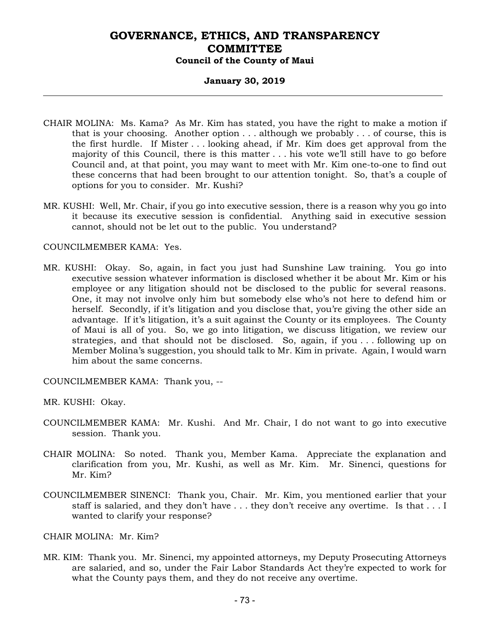#### **January 30, 2019**

- CHAIR MOLINA: Ms. Kama? As Mr. Kim has stated, you have the right to make a motion if that is your choosing. Another option . . . although we probably . . . of course, this is the first hurdle. If Mister . . . looking ahead, if Mr. Kim does get approval from the majority of this Council, there is this matter . . . his vote we'll still have to go before Council and, at that point, you may want to meet with Mr. Kim one-to-one to find out these concerns that had been brought to our attention tonight. So, that's a couple of options for you to consider. Mr. Kushi?
- MR. KUSHI: Well, Mr. Chair, if you go into executive session, there is a reason why you go into it because its executive session is confidential. Anything said in executive session cannot, should not be let out to the public. You understand?

#### COUNCILMEMBER KAMA: Yes.

MR. KUSHI: Okay. So, again, in fact you just had Sunshine Law training. You go into executive session whatever information is disclosed whether it be about Mr. Kim or his employee or any litigation should not be disclosed to the public for several reasons. One, it may not involve only him but somebody else who's not here to defend him or herself. Secondly, if it's litigation and you disclose that, you're giving the other side an advantage. If it's litigation, it's a suit against the County or its employees. The County of Maui is all of you. So, we go into litigation, we discuss litigation, we review our strategies, and that should not be disclosed. So, again, if you . . . following up on Member Molina's suggestion, you should talk to Mr. Kim in private. Again, I would warn him about the same concerns.

COUNCILMEMBER KAMA: Thank you, --

MR. KUSHI: Okay.

- COUNCILMEMBER KAMA: Mr. Kushi. And Mr. Chair, I do not want to go into executive session. Thank you.
- CHAIR MOLINA: So noted. Thank you, Member Kama. Appreciate the explanation and clarification from you, Mr. Kushi, as well as Mr. Kim. Mr. Sinenci, questions for Mr. Kim?
- COUNCILMEMBER SINENCI: Thank you, Chair. Mr. Kim, you mentioned earlier that your staff is salaried, and they don't have . . . they don't receive any overtime. Is that . . . I wanted to clarify your response?

CHAIR MOLINA: Mr. Kim?

MR. KIM: Thank you. Mr. Sinenci, my appointed attorneys, my Deputy Prosecuting Attorneys are salaried, and so, under the Fair Labor Standards Act they're expected to work for what the County pays them, and they do not receive any overtime.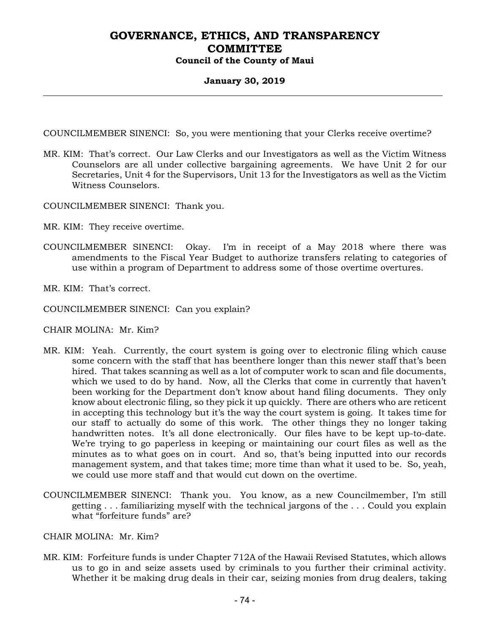#### **January 30, 2019**

COUNCILMEMBER SINENCI: So, you were mentioning that your Clerks receive overtime?

MR. KIM: That's correct. Our Law Clerks and our Investigators as well as the Victim Witness Counselors are all under collective bargaining agreements. We have Unit 2 for our Secretaries, Unit 4 for the Supervisors, Unit 13 for the Investigators as well as the Victim Witness Counselors.

COUNCILMEMBER SINENCI: Thank you.

MR. KIM: They receive overtime.

COUNCILMEMBER SINENCI: Okay. I'm in receipt of a May 2018 where there was amendments to the Fiscal Year Budget to authorize transfers relating to categories of use within a program of Department to address some of those overtime overtures.

MR. KIM: That's correct.

COUNCILMEMBER SINENCI: Can you explain?

CHAIR MOLINA: Mr. Kim?

- MR. KIM: Yeah. Currently, the court system is going over to electronic filing which cause some concern with the staff that has beenthere longer than this newer staff that's been hired. That takes scanning as well as a lot of computer work to scan and file documents, which we used to do by hand. Now, all the Clerks that come in currently that haven't been working for the Department don't know about hand filing documents. They only know about electronic filing, so they pick it up quickly. There are others who are reticent in accepting this technology but it's the way the court system is going. It takes time for our staff to actually do some of this work. The other things they no longer taking handwritten notes. It's all done electronically. Our files have to be kept up-to-date. We're trying to go paperless in keeping or maintaining our court files as well as the minutes as to what goes on in court. And so, that's being inputted into our records management system, and that takes time; more time than what it used to be. So, yeah, we could use more staff and that would cut down on the overtime.
- COUNCILMEMBER SINENCI: Thank you. You know, as a new Councilmember, I'm still getting . . . familiarizing myself with the technical jargons of the . . . Could you explain what "forfeiture funds" are?

CHAIR MOLINA: Mr. Kim?

MR. KIM: Forfeiture funds is under Chapter 712A of the Hawaii Revised Statutes, which allows us to go in and seize assets used by criminals to you further their criminal activity. Whether it be making drug deals in their car, seizing monies from drug dealers, taking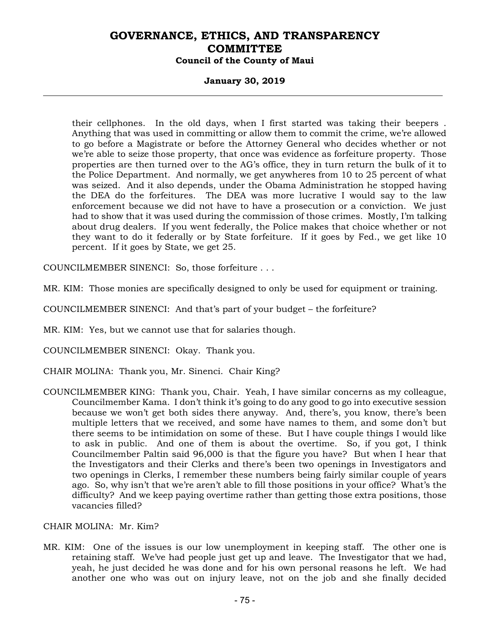#### **January 30, 2019**

their cellphones. In the old days, when I first started was taking their beepers . Anything that was used in committing or allow them to commit the crime, we're allowed to go before a Magistrate or before the Attorney General who decides whether or not we're able to seize those property, that once was evidence as forfeiture property. Those properties are then turned over to the AG's office, they in turn return the bulk of it to the Police Department. And normally, we get anywheres from 10 to 25 percent of what was seized. And it also depends, under the Obama Administration he stopped having the DEA do the forfeitures. The DEA was more lucrative I would say to the law enforcement because we did not have to have a prosecution or a conviction. We just had to show that it was used during the commission of those crimes. Mostly, I'm talking about drug dealers. If you went federally, the Police makes that choice whether or not they want to do it federally or by State forfeiture. If it goes by Fed., we get like 10 percent. If it goes by State, we get 25.

COUNCILMEMBER SINENCI: So, those forfeiture . . .

MR. KIM: Those monies are specifically designed to only be used for equipment or training.

COUNCILMEMBER SINENCI: And that's part of your budget – the forfeiture?

MR. KIM: Yes, but we cannot use that for salaries though.

COUNCILMEMBER SINENCI: Okay. Thank you.

CHAIR MOLINA: Thank you, Mr. Sinenci. Chair King?

COUNCILMEMBER KING: Thank you, Chair. Yeah, I have similar concerns as my colleague, Councilmember Kama. I don't think it's going to do any good to go into executive session because we won't get both sides there anyway. And, there's, you know, there's been multiple letters that we received, and some have names to them, and some don't but there seems to be intimidation on some of these. But I have couple things I would like to ask in public. And one of them is about the overtime. So, if you got, I think Councilmember Paltin said 96,000 is that the figure you have? But when I hear that the Investigators and their Clerks and there's been two openings in Investigators and two openings in Clerks, I remember these numbers being fairly similar couple of years ago. So, why isn't that we're aren't able to fill those positions in your office? What's the difficulty? And we keep paying overtime rather than getting those extra positions, those vacancies filled?

CHAIR MOLINA: Mr. Kim?

MR. KIM: One of the issues is our low unemployment in keeping staff. The other one is retaining staff. We've had people just get up and leave. The Investigator that we had, yeah, he just decided he was done and for his own personal reasons he left. We had another one who was out on injury leave, not on the job and she finally decided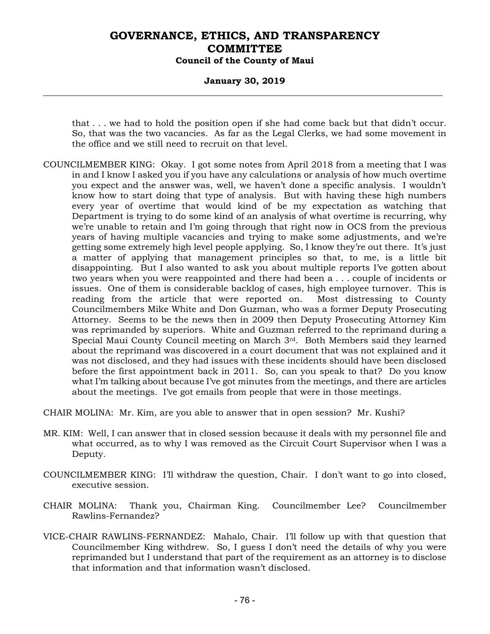#### **January 30, 2019**

that . . . we had to hold the position open if she had come back but that didn't occur. So, that was the two vacancies. As far as the Legal Clerks, we had some movement in the office and we still need to recruit on that level.

COUNCILMEMBER KING: Okay. I got some notes from April 2018 from a meeting that I was in and I know I asked you if you have any calculations or analysis of how much overtime you expect and the answer was, well, we haven't done a specific analysis. I wouldn't know how to start doing that type of analysis. But with having these high numbers every year of overtime that would kind of be my expectation as watching that Department is trying to do some kind of an analysis of what overtime is recurring, why we're unable to retain and I'm going through that right now in OCS from the previous years of having multiple vacancies and trying to make some adjustments, and we're getting some extremely high level people applying. So, I know they're out there. It's just a matter of applying that management principles so that, to me, is a little bit disappointing. But I also wanted to ask you about multiple reports I've gotten about two years when you were reappointed and there had been a . . . couple of incidents or issues. One of them is considerable backlog of cases, high employee turnover. This is reading from the article that were reported on. Most distressing to County Councilmembers Mike White and Don Guzman, who was a former Deputy Prosecuting Attorney. Seems to be the news then in 2009 then Deputy Prosecuting Attorney Kim was reprimanded by superiors. White and Guzman referred to the reprimand during a Special Maui County Council meeting on March 3rd. Both Members said they learned about the reprimand was discovered in a court document that was not explained and it was not disclosed, and they had issues with these incidents should have been disclosed before the first appointment back in 2011. So, can you speak to that? Do you know what I'm talking about because I've got minutes from the meetings, and there are articles about the meetings. I've got emails from people that were in those meetings.

CHAIR MOLINA: Mr. Kim, are you able to answer that in open session? Mr. Kushi?

- MR. KIM: Well, I can answer that in closed session because it deals with my personnel file and what occurred, as to why I was removed as the Circuit Court Supervisor when I was a Deputy.
- COUNCILMEMBER KING: I'll withdraw the question, Chair. I don't want to go into closed, executive session.
- CHAIR MOLINA: Thank you, Chairman King. Councilmember Lee? Councilmember Rawlins-Fernandez?
- VICE-CHAIR RAWLINS-FERNANDEZ: Mahalo, Chair. I'll follow up with that question that Councilmember King withdrew. So, I guess I don't need the details of why you were reprimanded but I understand that part of the requirement as an attorney is to disclose that information and that information wasn't disclosed.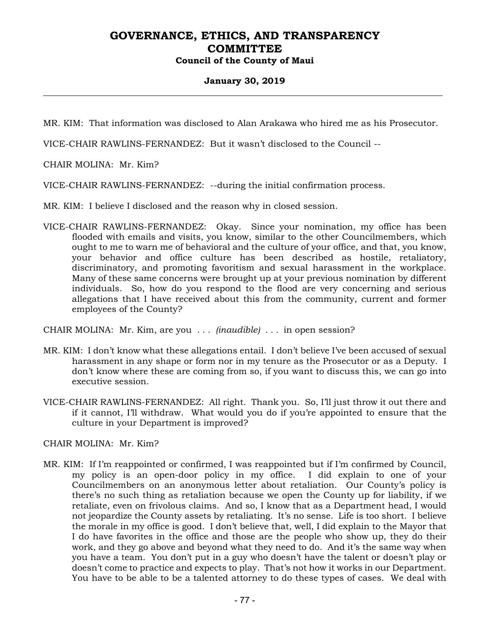### **January 30, 2019**

MR. KIM: That information was disclosed to Alan Arakawa who hired me as his Prosecutor.

VICE-CHAIR RAWLINS-FERNANDEZ: But it wasn't disclosed to the Council --

CHAIR MOLINA: Mr. Kim?

VICE-CHAIR RAWLINS-FERNANDEZ: --during the initial confirmation process.

MR. KIM: I believe I disclosed and the reason why in closed session.

VICE-CHAIR RAWLINS-FERNANDEZ: Okay. Since your nomination, my office has been flooded with emails and visits, you know, similar to the other Councilmembers, which ought to me to warn me of behavioral and the culture of your office, and that, you know, your behavior and office culture has been described as hostile, retaliatory, discriminatory, and promoting favoritism and sexual harassment in the workplace. Many of these same concerns were brought up at your previous nomination by different individuals. So, how do you respond to the flood are very concerning and serious allegations that I have received about this from the community, current and former employees of the County?

CHAIR MOLINA: Mr. Kim, are you *. . . (inaudible) . . .* in open session?

- MR. KIM: I don't know what these allegations entail. I don't believe I've been accused of sexual harassment in any shape or form nor in my tenure as the Prosecutor or as a Deputy. I don't know where these are coming from so, if you want to discuss this, we can go into executive session.
- VICE-CHAIR RAWLINS-FERNANDEZ: All right. Thank you. So, I'll just throw it out there and if it cannot, I'll withdraw. What would you do if you're appointed to ensure that the culture in your Department is improved?

CHAIR MOLINA: Mr. Kim?

MR. KIM: If I'm reappointed or confirmed, I was reappointed but if I'm confirmed by Council, my policy is an open-door policy in my office. I did explain to one of your Councilmembers on an anonymous letter about retaliation. Our County's policy is there's no such thing as retaliation because we open the County up for liability, if we retaliate, even on frivolous claims. And so, I know that as a Department head, I would not jeopardize the County assets by retaliating. It's no sense. Life is too short. I believe the morale in my office is good. I don't believe that, well, I did explain to the Mayor that I do have favorites in the office and those are the people who show up, they do their work, and they go above and beyond what they need to do. And it's the same way when you have a team. You don't put in a guy who doesn't have the talent or doesn't play or doesn't come to practice and expects to play. That's not how it works in our Department. You have to be able to be a talented attorney to do these types of cases. We deal with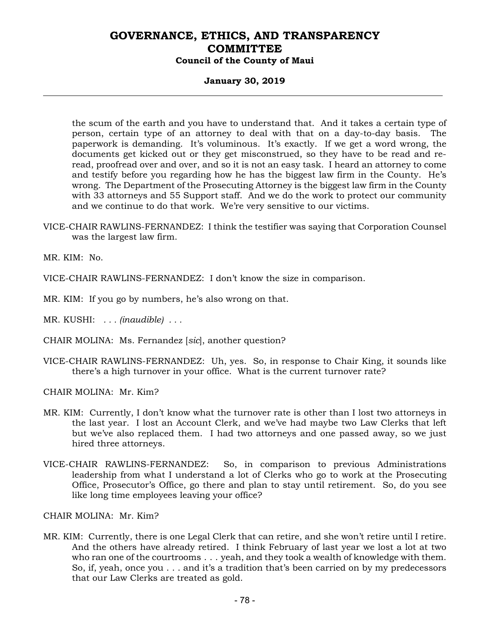#### **January 30, 2019**

the scum of the earth and you have to understand that. And it takes a certain type of person, certain type of an attorney to deal with that on a day-to-day basis. The paperwork is demanding. It's voluminous. It's exactly. If we get a word wrong, the documents get kicked out or they get misconstrued, so they have to be read and reread, proofread over and over, and so it is not an easy task. I heard an attorney to come and testify before you regarding how he has the biggest law firm in the County. He's wrong. The Department of the Prosecuting Attorney is the biggest law firm in the County with 33 attorneys and 55 Support staff. And we do the work to protect our community and we continue to do that work. We're very sensitive to our victims.

VICE-CHAIR RAWLINS-FERNANDEZ: I think the testifier was saying that Corporation Counsel was the largest law firm.

MR. KIM: No.

VICE-CHAIR RAWLINS-FERNANDEZ: I don't know the size in comparison.

- MR. KIM: If you go by numbers, he's also wrong on that.
- MR. KUSHI: *. . . (inaudible) . . .*
- CHAIR MOLINA: Ms. Fernandez [*sic*], another question?
- VICE-CHAIR RAWLINS-FERNANDEZ: Uh, yes. So, in response to Chair King, it sounds like there's a high turnover in your office. What is the current turnover rate?

CHAIR MOLINA: Mr. Kim?

- MR. KIM: Currently, I don't know what the turnover rate is other than I lost two attorneys in the last year. I lost an Account Clerk, and we've had maybe two Law Clerks that left but we've also replaced them. I had two attorneys and one passed away, so we just hired three attorneys.
- VICE-CHAIR RAWLINS-FERNANDEZ: So, in comparison to previous Administrations leadership from what I understand a lot of Clerks who go to work at the Prosecuting Office, Prosecutor's Office, go there and plan to stay until retirement. So, do you see like long time employees leaving your office?

CHAIR MOLINA: Mr. Kim?

MR. KIM: Currently, there is one Legal Clerk that can retire, and she won't retire until I retire. And the others have already retired. I think February of last year we lost a lot at two who ran one of the courtrooms . . . yeah, and they took a wealth of knowledge with them. So, if, yeah, once you . . . and it's a tradition that's been carried on by my predecessors that our Law Clerks are treated as gold.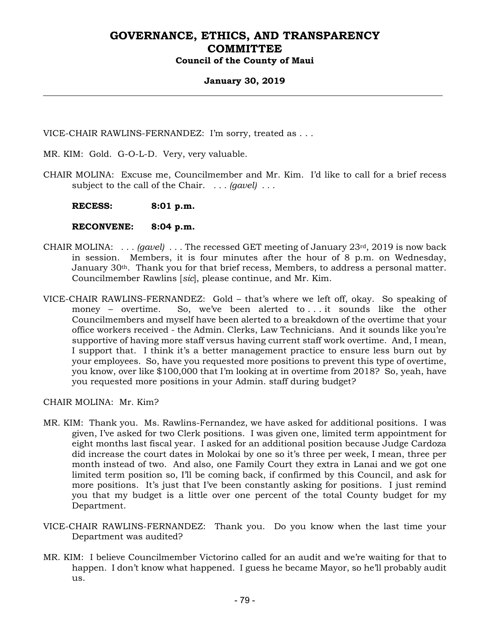#### **January 30, 2019**

VICE-CHAIR RAWLINS-FERNANDEZ: I'm sorry, treated as . . .

- MR. KIM: Gold. G-O-L-D. Very, very valuable.
- CHAIR MOLINA: Excuse me, Councilmember and Mr. Kim. I'd like to call for a brief recess subject to the call of the Chair. *. . . (gavel) . . .*

 **RECESS: 8:01 p.m.** 

#### **RECONVENE: 8:04 p.m.**

- CHAIR MOLINA: *. . . (gavel) . . .* The recessed GET meeting of January 23rd, 2019 is now back in session. Members, it is four minutes after the hour of 8 p.m. on Wednesday, January  $30<sup>th</sup>$ . Thank you for that brief recess, Members, to address a personal matter. Councilmember Rawlins [*sic*], please continue, and Mr. Kim.
- VICE-CHAIR RAWLINS-FERNANDEZ: Gold that's where we left off, okay. So speaking of money – overtime. So, we've been alerted to . . . it sounds like the other Councilmembers and myself have been alerted to a breakdown of the overtime that your office workers received - the Admin. Clerks, Law Technicians. And it sounds like you're supportive of having more staff versus having current staff work overtime. And, I mean, I support that. I think it's a better management practice to ensure less burn out by your employees. So, have you requested more positions to prevent this type of overtime, you know, over like \$100,000 that I'm looking at in overtime from 2018? So, yeah, have you requested more positions in your Admin. staff during budget?

CHAIR MOLINA: Mr. Kim?

- MR. KIM: Thank you. Ms. Rawlins-Fernandez, we have asked for additional positions. I was given, I've asked for two Clerk positions. I was given one, limited term appointment for eight months last fiscal year. I asked for an additional position because Judge Cardoza did increase the court dates in Molokai by one so it's three per week, I mean, three per month instead of two. And also, one Family Court they extra in Lanai and we got one limited term position so, I'll be coming back, if confirmed by this Council, and ask for more positions. It's just that I've been constantly asking for positions. I just remind you that my budget is a little over one percent of the total County budget for my Department.
- VICE-CHAIR RAWLINS-FERNANDEZ: Thank you. Do you know when the last time your Department was audited?
- MR. KIM: I believe Councilmember Victorino called for an audit and we're waiting for that to happen. I don't know what happened. I guess he became Mayor, so he'll probably audit us.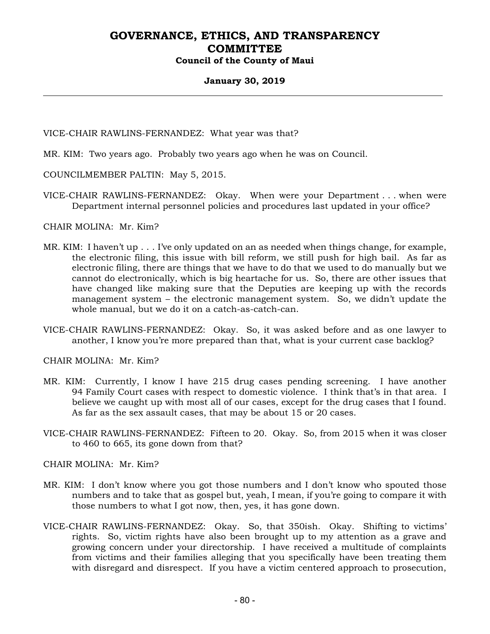#### **January 30, 2019**

VICE-CHAIR RAWLINS-FERNANDEZ: What year was that?

- MR. KIM: Two years ago. Probably two years ago when he was on Council.
- COUNCILMEMBER PALTIN: May 5, 2015.
- VICE-CHAIR RAWLINS-FERNANDEZ: Okay. When were your Department . . . when were Department internal personnel policies and procedures last updated in your office?

CHAIR MOLINA: Mr. Kim?

- MR. KIM: I haven't up . . . I've only updated on an as needed when things change, for example, the electronic filing, this issue with bill reform, we still push for high bail. As far as electronic filing, there are things that we have to do that we used to do manually but we cannot do electronically, which is big heartache for us. So, there are other issues that have changed like making sure that the Deputies are keeping up with the records management system – the electronic management system. So, we didn't update the whole manual, but we do it on a catch-as-catch-can.
- VICE-CHAIR RAWLINS-FERNANDEZ: Okay. So, it was asked before and as one lawyer to another, I know you're more prepared than that, what is your current case backlog?

CHAIR MOLINA: Mr. Kim?

- MR. KIM: Currently, I know I have 215 drug cases pending screening. I have another 94 Family Court cases with respect to domestic violence. I think that's in that area. I believe we caught up with most all of our cases, except for the drug cases that I found. As far as the sex assault cases, that may be about 15 or 20 cases.
- VICE-CHAIR RAWLINS-FERNANDEZ: Fifteen to 20. Okay. So, from 2015 when it was closer to 460 to 665, its gone down from that?

CHAIR MOLINA: Mr. Kim?

- MR. KIM: I don't know where you got those numbers and I don't know who spouted those numbers and to take that as gospel but, yeah, I mean, if you're going to compare it with those numbers to what I got now, then, yes, it has gone down.
- VICE-CHAIR RAWLINS-FERNANDEZ: Okay. So, that 350ish. Okay. Shifting to victims' rights. So, victim rights have also been brought up to my attention as a grave and growing concern under your directorship. I have received a multitude of complaints from victims and their families alleging that you specifically have been treating them with disregard and disrespect. If you have a victim centered approach to prosecution,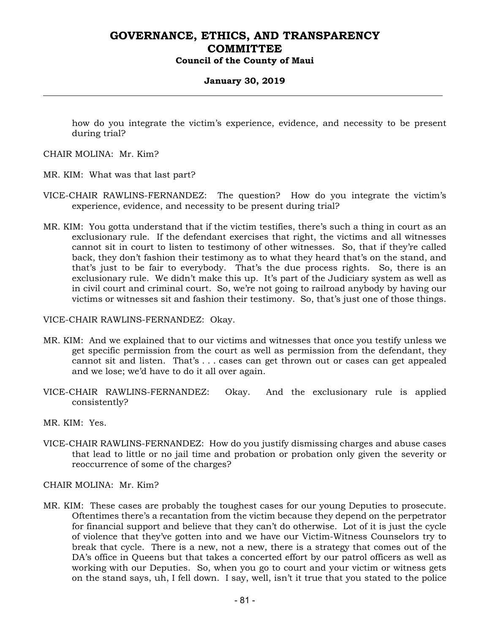#### **January 30, 2019**

how do you integrate the victim's experience, evidence, and necessity to be present during trial?

CHAIR MOLINA: Mr. Kim?

MR. KIM: What was that last part?

- VICE-CHAIR RAWLINS-FERNANDEZ: The question? How do you integrate the victim's experience, evidence, and necessity to be present during trial?
- MR. KIM: You gotta understand that if the victim testifies, there's such a thing in court as an exclusionary rule. If the defendant exercises that right, the victims and all witnesses cannot sit in court to listen to testimony of other witnesses. So, that if they're called back, they don't fashion their testimony as to what they heard that's on the stand, and that's just to be fair to everybody. That's the due process rights. So, there is an exclusionary rule. We didn't make this up. It's part of the Judiciary system as well as in civil court and criminal court. So, we're not going to railroad anybody by having our victims or witnesses sit and fashion their testimony. So, that's just one of those things.

VICE-CHAIR RAWLINS-FERNANDEZ: Okay.

- MR. KIM: And we explained that to our victims and witnesses that once you testify unless we get specific permission from the court as well as permission from the defendant, they cannot sit and listen. That's . . . cases can get thrown out or cases can get appealed and we lose; we'd have to do it all over again.
- VICE-CHAIR RAWLINS-FERNANDEZ: Okay. And the exclusionary rule is applied consistently?
- MR. KIM: Yes.
- VICE-CHAIR RAWLINS-FERNANDEZ: How do you justify dismissing charges and abuse cases that lead to little or no jail time and probation or probation only given the severity or reoccurrence of some of the charges?

CHAIR MOLINA: Mr. Kim?

MR. KIM: These cases are probably the toughest cases for our young Deputies to prosecute. Oftentimes there's a recantation from the victim because they depend on the perpetrator for financial support and believe that they can't do otherwise. Lot of it is just the cycle of violence that they've gotten into and we have our Victim-Witness Counselors try to break that cycle. There is a new, not a new, there is a strategy that comes out of the DA's office in Queens but that takes a concerted effort by our patrol officers as well as working with our Deputies. So, when you go to court and your victim or witness gets on the stand says, uh, I fell down. I say, well, isn't it true that you stated to the police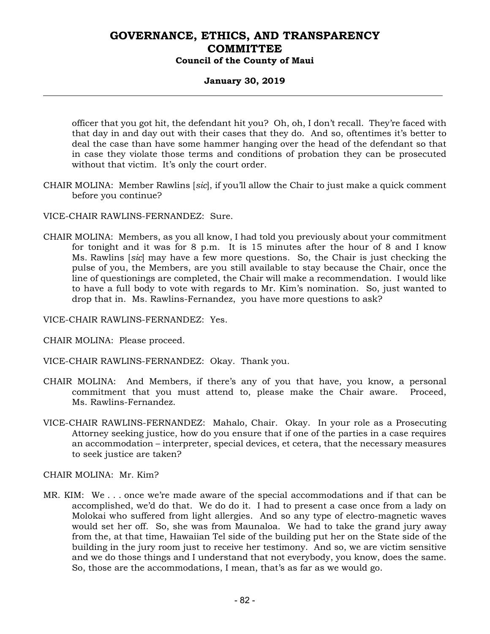### **January 30, 2019**

officer that you got hit, the defendant hit you? Oh, oh, I don't recall. They're faced with that day in and day out with their cases that they do. And so, oftentimes it's better to deal the case than have some hammer hanging over the head of the defendant so that in case they violate those terms and conditions of probation they can be prosecuted without that victim. It's only the court order.

- CHAIR MOLINA: Member Rawlins [*sic*], if you'll allow the Chair to just make a quick comment before you continue?
- VICE-CHAIR RAWLINS-FERNANDEZ: Sure.
- CHAIR MOLINA: Members, as you all know, I had told you previously about your commitment for tonight and it was for 8 p.m. It is 15 minutes after the hour of 8 and I know Ms. Rawlins [*sic*] may have a few more questions. So, the Chair is just checking the pulse of you, the Members, are you still available to stay because the Chair, once the line of questionings are completed, the Chair will make a recommendation. I would like to have a full body to vote with regards to Mr. Kim's nomination. So, just wanted to drop that in. Ms. Rawlins-Fernandez, you have more questions to ask?
- VICE-CHAIR RAWLINS-FERNANDEZ: Yes.
- CHAIR MOLINA: Please proceed.
- VICE-CHAIR RAWLINS-FERNANDEZ: Okay. Thank you.
- CHAIR MOLINA: And Members, if there's any of you that have, you know, a personal commitment that you must attend to, please make the Chair aware. Proceed, Ms. Rawlins-Fernandez.
- VICE-CHAIR RAWLINS-FERNANDEZ: Mahalo, Chair. Okay. In your role as a Prosecuting Attorney seeking justice, how do you ensure that if one of the parties in a case requires an accommodation – interpreter, special devices, et cetera, that the necessary measures to seek justice are taken?

#### CHAIR MOLINA: Mr. Kim?

MR. KIM: We . . . once we're made aware of the special accommodations and if that can be accomplished, we'd do that. We do do it. I had to present a case once from a lady on Molokai who suffered from light allergies. And so any type of electro-magnetic waves would set her off. So, she was from Maunaloa. We had to take the grand jury away from the, at that time, Hawaiian Tel side of the building put her on the State side of the building in the jury room just to receive her testimony. And so, we are victim sensitive and we do those things and I understand that not everybody, you know, does the same. So, those are the accommodations, I mean, that's as far as we would go.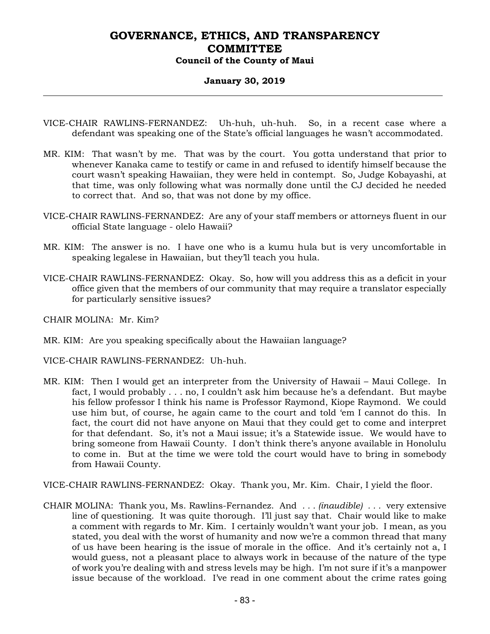### **January 30, 2019**

- VICE-CHAIR RAWLINS-FERNANDEZ: Uh-huh, uh-huh. So, in a recent case where a defendant was speaking one of the State's official languages he wasn't accommodated.
- MR. KIM: That wasn't by me. That was by the court. You gotta understand that prior to whenever Kanaka came to testify or came in and refused to identify himself because the court wasn't speaking Hawaiian, they were held in contempt. So, Judge Kobayashi, at that time, was only following what was normally done until the CJ decided he needed to correct that. And so, that was not done by my office.
- VICE-CHAIR RAWLINS-FERNANDEZ: Are any of your staff members or attorneys fluent in our official State language - olelo Hawaii?
- MR. KIM: The answer is no. I have one who is a kumu hula but is very uncomfortable in speaking legalese in Hawaiian, but they'll teach you hula.
- VICE-CHAIR RAWLINS-FERNANDEZ: Okay. So, how will you address this as a deficit in your office given that the members of our community that may require a translator especially for particularly sensitive issues?

CHAIR MOLINA: Mr. Kim?

MR. KIM: Are you speaking specifically about the Hawaiian language?

VICE-CHAIR RAWLINS-FERNANDEZ: Uh-huh.

MR. KIM: Then I would get an interpreter from the University of Hawaii – Maui College. In fact, I would probably . . . no, I couldn't ask him because he's a defendant. But maybe his fellow professor I think his name is Professor Raymond, Kiope Raymond. We could use him but, of course, he again came to the court and told 'em I cannot do this. In fact, the court did not have anyone on Maui that they could get to come and interpret for that defendant. So, it's not a Maui issue; it's a Statewide issue. We would have to bring someone from Hawaii County. I don't think there's anyone available in Honolulu to come in. But at the time we were told the court would have to bring in somebody from Hawaii County.

VICE-CHAIR RAWLINS-FERNANDEZ: Okay. Thank you, Mr. Kim. Chair, I yield the floor.

CHAIR MOLINA: Thank you, Ms. Rawlins-Fernandez. And *. . . (inaudible) . . .* very extensive line of questioning. It was quite thorough. I'll just say that. Chair would like to make a comment with regards to Mr. Kim. I certainly wouldn't want your job. I mean, as you stated, you deal with the worst of humanity and now we're a common thread that many of us have been hearing is the issue of morale in the office. And it's certainly not a, I would guess, not a pleasant place to always work in because of the nature of the type of work you're dealing with and stress levels may be high. I'm not sure if it's a manpower issue because of the workload. I've read in one comment about the crime rates going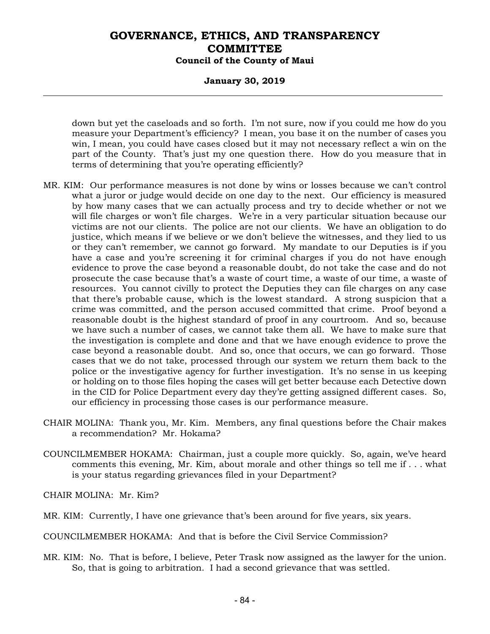#### **January 30, 2019**

down but yet the caseloads and so forth. I'm not sure, now if you could me how do you measure your Department's efficiency? I mean, you base it on the number of cases you win, I mean, you could have cases closed but it may not necessary reflect a win on the part of the County. That's just my one question there. How do you measure that in terms of determining that you're operating efficiently?

- MR. KIM: Our performance measures is not done by wins or losses because we can't control what a juror or judge would decide on one day to the next. Our efficiency is measured by how many cases that we can actually process and try to decide whether or not we will file charges or won't file charges. We're in a very particular situation because our victims are not our clients. The police are not our clients. We have an obligation to do justice, which means if we believe or we don't believe the witnesses, and they lied to us or they can't remember, we cannot go forward. My mandate to our Deputies is if you have a case and you're screening it for criminal charges if you do not have enough evidence to prove the case beyond a reasonable doubt, do not take the case and do not prosecute the case because that's a waste of court time, a waste of our time, a waste of resources. You cannot civilly to protect the Deputies they can file charges on any case that there's probable cause, which is the lowest standard. A strong suspicion that a crime was committed, and the person accused committed that crime. Proof beyond a reasonable doubt is the highest standard of proof in any courtroom. And so, because we have such a number of cases, we cannot take them all. We have to make sure that the investigation is complete and done and that we have enough evidence to prove the case beyond a reasonable doubt. And so, once that occurs, we can go forward. Those cases that we do not take, processed through our system we return them back to the police or the investigative agency for further investigation. It's no sense in us keeping or holding on to those files hoping the cases will get better because each Detective down in the CID for Police Department every day they're getting assigned different cases. So, our efficiency in processing those cases is our performance measure.
- CHAIR MOLINA: Thank you, Mr. Kim. Members, any final questions before the Chair makes a recommendation? Mr. Hokama?
- COUNCILMEMBER HOKAMA: Chairman, just a couple more quickly. So, again, we've heard comments this evening, Mr. Kim, about morale and other things so tell me if . . . what is your status regarding grievances filed in your Department?

CHAIR MOLINA: Mr. Kim?

- MR. KIM: Currently, I have one grievance that's been around for five years, six years.
- COUNCILMEMBER HOKAMA: And that is before the Civil Service Commission?
- MR. KIM: No. That is before, I believe, Peter Trask now assigned as the lawyer for the union. So, that is going to arbitration. I had a second grievance that was settled.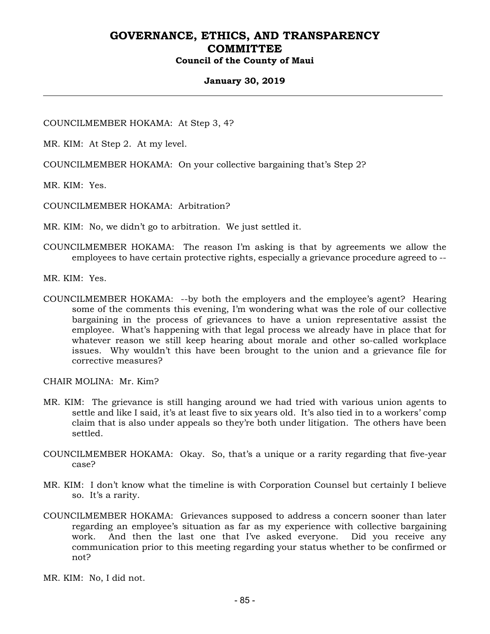#### **January 30, 2019**

COUNCILMEMBER HOKAMA: At Step 3, 4?

MR. KIM: At Step 2. At my level.

COUNCILMEMBER HOKAMA: On your collective bargaining that's Step 2?

MR. KIM: Yes.

COUNCILMEMBER HOKAMA: Arbitration?

MR. KIM: No, we didn't go to arbitration. We just settled it.

COUNCILMEMBER HOKAMA: The reason I'm asking is that by agreements we allow the employees to have certain protective rights, especially a grievance procedure agreed to --

MR. KIM: Yes.

COUNCILMEMBER HOKAMA: --by both the employers and the employee's agent? Hearing some of the comments this evening, I'm wondering what was the role of our collective bargaining in the process of grievances to have a union representative assist the employee. What's happening with that legal process we already have in place that for whatever reason we still keep hearing about morale and other so-called workplace issues. Why wouldn't this have been brought to the union and a grievance file for corrective measures?

CHAIR MOLINA: Mr. Kim?

- MR. KIM: The grievance is still hanging around we had tried with various union agents to settle and like I said, it's at least five to six years old. It's also tied in to a workers' comp claim that is also under appeals so they're both under litigation. The others have been settled.
- COUNCILMEMBER HOKAMA: Okay. So, that's a unique or a rarity regarding that five-year case?
- MR. KIM: I don't know what the timeline is with Corporation Counsel but certainly I believe so. It's a rarity.
- COUNCILMEMBER HOKAMA: Grievances supposed to address a concern sooner than later regarding an employee's situation as far as my experience with collective bargaining work. And then the last one that I've asked everyone. Did you receive any communication prior to this meeting regarding your status whether to be confirmed or not?
- MR. KIM: No, I did not.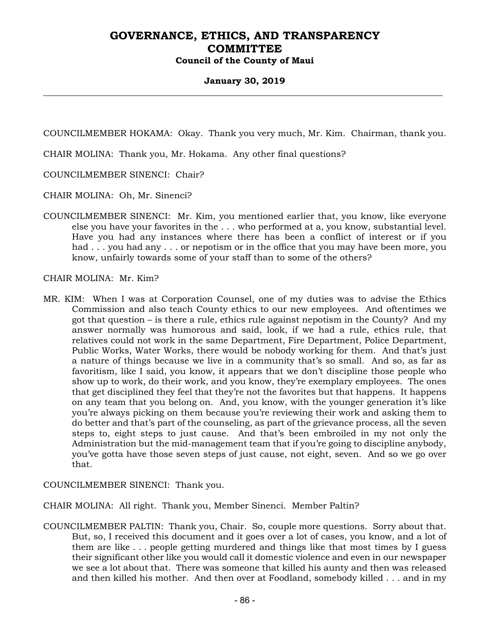#### **January 30, 2019**

COUNCILMEMBER HOKAMA: Okay. Thank you very much, Mr. Kim. Chairman, thank you.

CHAIR MOLINA: Thank you, Mr. Hokama. Any other final questions?

COUNCILMEMBER SINENCI: Chair?

CHAIR MOLINA: Oh, Mr. Sinenci?

COUNCILMEMBER SINENCI: Mr. Kim, you mentioned earlier that, you know, like everyone else you have your favorites in the . . . who performed at a, you know, substantial level. Have you had any instances where there has been a conflict of interest or if you had . . . you had any . . . or nepotism or in the office that you may have been more, you know, unfairly towards some of your staff than to some of the others?

CHAIR MOLINA: Mr. Kim?

MR. KIM: When I was at Corporation Counsel, one of my duties was to advise the Ethics Commission and also teach County ethics to our new employees. And oftentimes we got that question – is there a rule, ethics rule against nepotism in the County? And my answer normally was humorous and said, look, if we had a rule, ethics rule, that relatives could not work in the same Department, Fire Department, Police Department, Public Works, Water Works, there would be nobody working for them. And that's just a nature of things because we live in a community that's so small. And so, as far as favoritism, like I said, you know, it appears that we don't discipline those people who show up to work, do their work, and you know, they're exemplary employees. The ones that get disciplined they feel that they're not the favorites but that happens. It happens on any team that you belong on. And, you know, with the younger generation it's like you're always picking on them because you're reviewing their work and asking them to do better and that's part of the counseling, as part of the grievance process, all the seven steps to, eight steps to just cause. And that's been embroiled in my not only the Administration but the mid-management team that if you're going to discipline anybody, you've gotta have those seven steps of just cause, not eight, seven. And so we go over that.

COUNCILMEMBER SINENCI: Thank you.

CHAIR MOLINA: All right. Thank you, Member Sinenci. Member Paltin?

COUNCILMEMBER PALTIN: Thank you, Chair. So, couple more questions. Sorry about that. But, so, I received this document and it goes over a lot of cases, you know, and a lot of them are like . . . people getting murdered and things like that most times by I guess their significant other like you would call it domestic violence and even in our newspaper we see a lot about that. There was someone that killed his aunty and then was released and then killed his mother. And then over at Foodland, somebody killed . . . and in my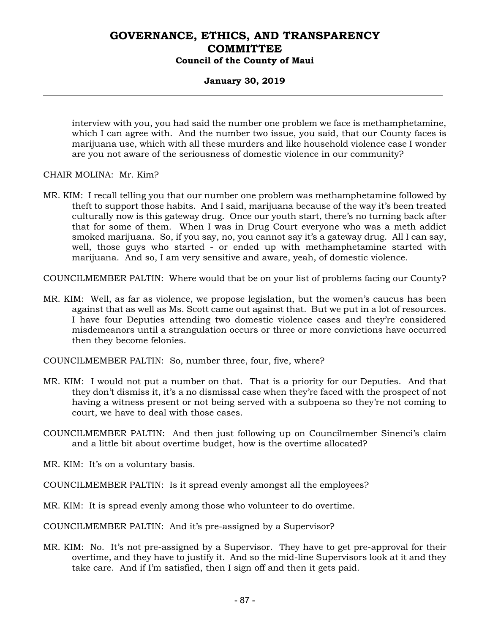### **January 30, 2019**

interview with you, you had said the number one problem we face is methamphetamine, which I can agree with. And the number two issue, you said, that our County faces is marijuana use, which with all these murders and like household violence case I wonder are you not aware of the seriousness of domestic violence in our community?

CHAIR MOLINA: Mr. Kim?

MR. KIM: I recall telling you that our number one problem was methamphetamine followed by theft to support those habits. And I said, marijuana because of the way it's been treated culturally now is this gateway drug. Once our youth start, there's no turning back after that for some of them. When I was in Drug Court everyone who was a meth addict smoked marijuana. So, if you say, no, you cannot say it's a gateway drug. All I can say, well, those guys who started - or ended up with methamphetamine started with marijuana. And so, I am very sensitive and aware, yeah, of domestic violence.

COUNCILMEMBER PALTIN: Where would that be on your list of problems facing our County?

MR. KIM: Well, as far as violence, we propose legislation, but the women's caucus has been against that as well as Ms. Scott came out against that. But we put in a lot of resources. I have four Deputies attending two domestic violence cases and they're considered misdemeanors until a strangulation occurs or three or more convictions have occurred then they become felonies.

COUNCILMEMBER PALTIN: So, number three, four, five, where?

- MR. KIM: I would not put a number on that. That is a priority for our Deputies. And that they don't dismiss it, it's a no dismissal case when they're faced with the prospect of not having a witness present or not being served with a subpoena so they're not coming to court, we have to deal with those cases.
- COUNCILMEMBER PALTIN: And then just following up on Councilmember Sinenci's claim and a little bit about overtime budget, how is the overtime allocated?
- MR. KIM: It's on a voluntary basis.
- COUNCILMEMBER PALTIN: Is it spread evenly amongst all the employees?
- MR. KIM: It is spread evenly among those who volunteer to do overtime.

COUNCILMEMBER PALTIN: And it's pre-assigned by a Supervisor?

MR. KIM: No. It's not pre-assigned by a Supervisor. They have to get pre-approval for their overtime, and they have to justify it. And so the mid-line Supervisors look at it and they take care. And if I'm satisfied, then I sign off and then it gets paid.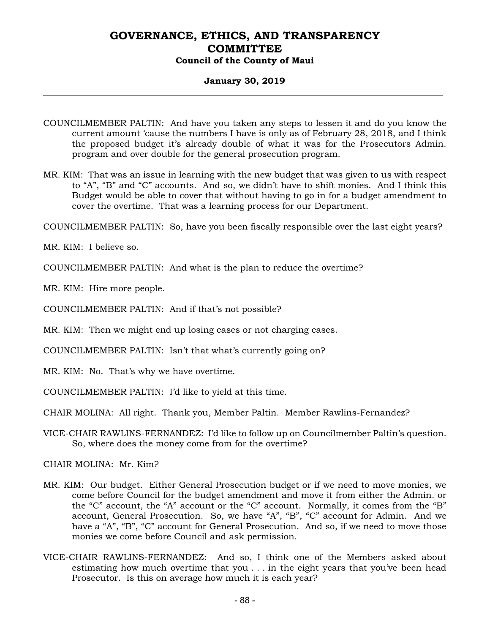#### **January 30, 2019**

- COUNCILMEMBER PALTIN: And have you taken any steps to lessen it and do you know the current amount 'cause the numbers I have is only as of February 28, 2018, and I think the proposed budget it's already double of what it was for the Prosecutors Admin. program and over double for the general prosecution program.
- MR. KIM: That was an issue in learning with the new budget that was given to us with respect to "A", "B" and "C" accounts. And so, we didn't have to shift monies. And I think this Budget would be able to cover that without having to go in for a budget amendment to cover the overtime. That was a learning process for our Department.

COUNCILMEMBER PALTIN: So, have you been fiscally responsible over the last eight years?

MR. KIM: I believe so.

COUNCILMEMBER PALTIN: And what is the plan to reduce the overtime?

MR. KIM: Hire more people.

COUNCILMEMBER PALTIN: And if that's not possible?

MR. KIM: Then we might end up losing cases or not charging cases.

COUNCILMEMBER PALTIN: Isn't that what's currently going on?

MR. KIM: No. That's why we have overtime.

COUNCILMEMBER PALTIN: I'd like to yield at this time.

CHAIR MOLINA: All right. Thank you, Member Paltin. Member Rawlins-Fernandez?

VICE-CHAIR RAWLINS-FERNANDEZ: I'd like to follow up on Councilmember Paltin's question. So, where does the money come from for the overtime?

CHAIR MOLINA: Mr. Kim?

- MR. KIM: Our budget. Either General Prosecution budget or if we need to move monies, we come before Council for the budget amendment and move it from either the Admin. or the "C" account, the "A" account or the "C" account. Normally, it comes from the "B" account, General Prosecution. So, we have "A", "B", "C" account for Admin. And we have a "A", "B", "C" account for General Prosecution. And so, if we need to move those monies we come before Council and ask permission.
- VICE-CHAIR RAWLINS-FERNANDEZ: And so, I think one of the Members asked about estimating how much overtime that you . . . in the eight years that you've been head Prosecutor. Is this on average how much it is each year?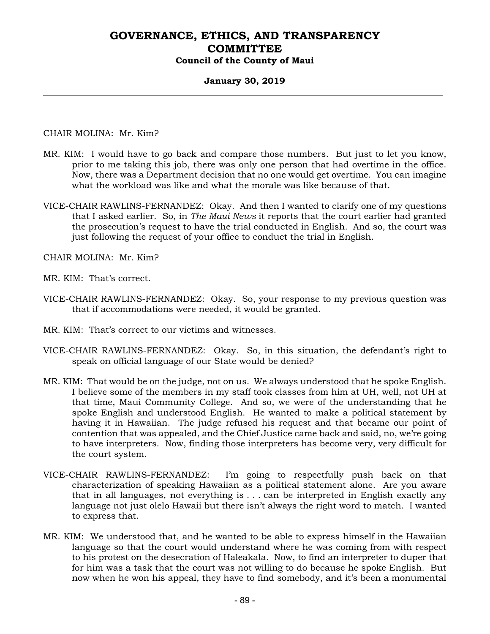#### **January 30, 2019**

CHAIR MOLINA: Mr. Kim?

- MR. KIM: I would have to go back and compare those numbers. But just to let you know, prior to me taking this job, there was only one person that had overtime in the office. Now, there was a Department decision that no one would get overtime. You can imagine what the workload was like and what the morale was like because of that.
- VICE-CHAIR RAWLINS-FERNANDEZ: Okay. And then I wanted to clarify one of my questions that I asked earlier. So, in *The Maui News* it reports that the court earlier had granted the prosecution's request to have the trial conducted in English. And so, the court was just following the request of your office to conduct the trial in English.

CHAIR MOLINA: Mr. Kim?

- MR. KIM: That's correct.
- VICE-CHAIR RAWLINS-FERNANDEZ: Okay. So, your response to my previous question was that if accommodations were needed, it would be granted.
- MR. KIM: That's correct to our victims and witnesses.
- VICE-CHAIR RAWLINS-FERNANDEZ: Okay. So, in this situation, the defendant's right to speak on official language of our State would be denied?
- MR. KIM: That would be on the judge, not on us. We always understood that he spoke English. I believe some of the members in my staff took classes from him at UH, well, not UH at that time, Maui Community College. And so, we were of the understanding that he spoke English and understood English. He wanted to make a political statement by having it in Hawaiian. The judge refused his request and that became our point of contention that was appealed, and the Chief Justice came back and said, no, we're going to have interpreters. Now, finding those interpreters has become very, very difficult for the court system.
- VICE-CHAIR RAWLINS-FERNANDEZ: I'm going to respectfully push back on that characterization of speaking Hawaiian as a political statement alone. Are you aware that in all languages, not everything is . . . can be interpreted in English exactly any language not just olelo Hawaii but there isn't always the right word to match. I wanted to express that.
- MR. KIM: We understood that, and he wanted to be able to express himself in the Hawaiian language so that the court would understand where he was coming from with respect to his protest on the desecration of Haleakala. Now, to find an interpreter to duper that for him was a task that the court was not willing to do because he spoke English. But now when he won his appeal, they have to find somebody, and it's been a monumental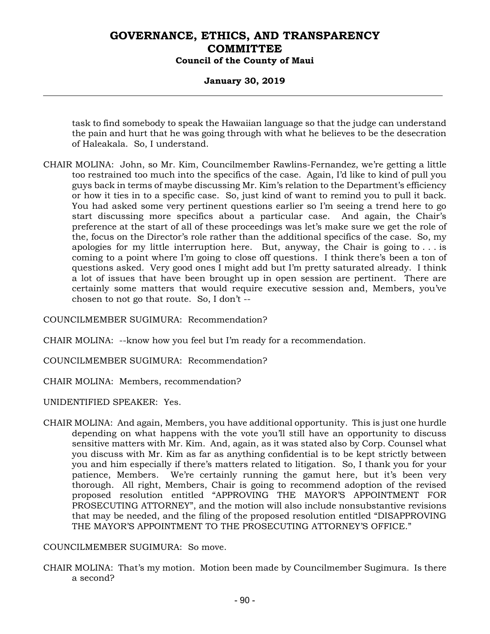#### **January 30, 2019**

task to find somebody to speak the Hawaiian language so that the judge can understand the pain and hurt that he was going through with what he believes to be the desecration of Haleakala. So, I understand.

CHAIR MOLINA: John, so Mr. Kim, Councilmember Rawlins-Fernandez, we're getting a little too restrained too much into the specifics of the case. Again, I'd like to kind of pull you guys back in terms of maybe discussing Mr. Kim's relation to the Department's efficiency or how it ties in to a specific case. So, just kind of want to remind you to pull it back. You had asked some very pertinent questions earlier so I'm seeing a trend here to go start discussing more specifics about a particular case. And again, the Chair's preference at the start of all of these proceedings was let's make sure we get the role of the, focus on the Director's role rather than the additional specifics of the case. So, my apologies for my little interruption here. But, anyway, the Chair is going to  $\dots$  is coming to a point where I'm going to close off questions. I think there's been a ton of questions asked. Very good ones I might add but I'm pretty saturated already. I think a lot of issues that have been brought up in open session are pertinent. There are certainly some matters that would require executive session and, Members, you've chosen to not go that route. So, I don't --

COUNCILMEMBER SUGIMURA: Recommendation?

CHAIR MOLINA: --know how you feel but I'm ready for a recommendation.

COUNCILMEMBER SUGIMURA: Recommendation?

CHAIR MOLINA: Members, recommendation?

UNIDENTIFIED SPEAKER: Yes.

CHAIR MOLINA: And again, Members, you have additional opportunity. This is just one hurdle depending on what happens with the vote you'll still have an opportunity to discuss sensitive matters with Mr. Kim. And, again, as it was stated also by Corp. Counsel what you discuss with Mr. Kim as far as anything confidential is to be kept strictly between you and him especially if there's matters related to litigation. So, I thank you for your patience, Members. We're certainly running the gamut here, but it's been very thorough. All right, Members, Chair is going to recommend adoption of the revised proposed resolution entitled "APPROVING THE MAYOR'S APPOINTMENT FOR PROSECUTING ATTORNEY", and the motion will also include nonsubstantive revisions that may be needed, and the filing of the proposed resolution entitled "DISAPPROVING THE MAYOR'S APPOINTMENT TO THE PROSECUTING ATTORNEY'S OFFICE."

COUNCILMEMBER SUGIMURA: So move.

CHAIR MOLINA: That's my motion. Motion been made by Councilmember Sugimura. Is there a second?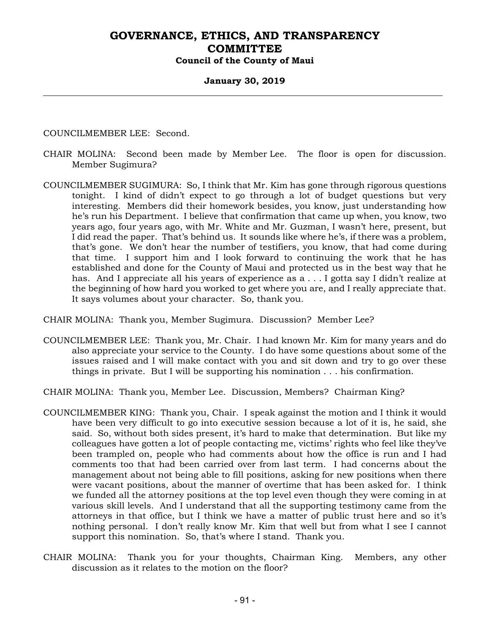### **January 30, 2019**

COUNCILMEMBER LEE: Second.

- CHAIR MOLINA: Second been made by Member Lee. The floor is open for discussion. Member Sugimura?
- COUNCILMEMBER SUGIMURA: So, I think that Mr. Kim has gone through rigorous questions tonight. I kind of didn't expect to go through a lot of budget questions but very interesting. Members did their homework besides, you know, just understanding how he's run his Department. I believe that confirmation that came up when, you know, two years ago, four years ago, with Mr. White and Mr. Guzman, I wasn't here, present, but I did read the paper. That's behind us. It sounds like where he's, if there was a problem, that's gone. We don't hear the number of testifiers, you know, that had come during that time. I support him and I look forward to continuing the work that he has established and done for the County of Maui and protected us in the best way that he has. And I appreciate all his years of experience as a . . . I gotta say I didn't realize at the beginning of how hard you worked to get where you are, and I really appreciate that. It says volumes about your character. So, thank you.

CHAIR MOLINA: Thank you, Member Sugimura. Discussion? Member Lee?

COUNCILMEMBER LEE: Thank you, Mr. Chair. I had known Mr. Kim for many years and do also appreciate your service to the County. I do have some questions about some of the issues raised and I will make contact with you and sit down and try to go over these things in private. But I will be supporting his nomination . . . his confirmation.

CHAIR MOLINA: Thank you, Member Lee. Discussion, Members? Chairman King?

- COUNCILMEMBER KING: Thank you, Chair. I speak against the motion and I think it would have been very difficult to go into executive session because a lot of it is, he said, she said. So, without both sides present, it's hard to make that determination. But like my colleagues have gotten a lot of people contacting me, victims' rights who feel like they've been trampled on, people who had comments about how the office is run and I had comments too that had been carried over from last term. I had concerns about the management about not being able to fill positions, asking for new positions when there were vacant positions, about the manner of overtime that has been asked for. I think we funded all the attorney positions at the top level even though they were coming in at various skill levels. And I understand that all the supporting testimony came from the attorneys in that office, but I think we have a matter of public trust here and so it's nothing personal. I don't really know Mr. Kim that well but from what I see I cannot support this nomination. So, that's where I stand. Thank you.
- CHAIR MOLINA: Thank you for your thoughts, Chairman King. Members, any other discussion as it relates to the motion on the floor?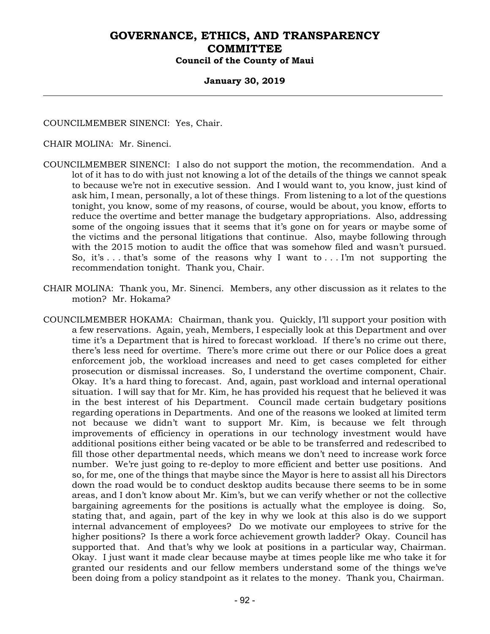#### **January 30, 2019**

COUNCILMEMBER SINENCI: Yes, Chair.

CHAIR MOLINA: Mr. Sinenci.

- COUNCILMEMBER SINENCI: I also do not support the motion, the recommendation. And a lot of it has to do with just not knowing a lot of the details of the things we cannot speak to because we're not in executive session. And I would want to, you know, just kind of ask him, I mean, personally, a lot of these things. From listening to a lot of the questions tonight, you know, some of my reasons, of course, would be about, you know, efforts to reduce the overtime and better manage the budgetary appropriations. Also, addressing some of the ongoing issues that it seems that it's gone on for years or maybe some of the victims and the personal litigations that continue. Also, maybe following through with the 2015 motion to audit the office that was somehow filed and wasn't pursued. So, it's  $\dots$  that's some of the reasons why I want to  $\dots$  I'm not supporting the recommendation tonight. Thank you, Chair.
- CHAIR MOLINA: Thank you, Mr. Sinenci. Members, any other discussion as it relates to the motion? Mr. Hokama?
- COUNCILMEMBER HOKAMA: Chairman, thank you. Quickly, I'll support your position with a few reservations. Again, yeah, Members, I especially look at this Department and over time it's a Department that is hired to forecast workload. If there's no crime out there, there's less need for overtime. There's more crime out there or our Police does a great enforcement job, the workload increases and need to get cases completed for either prosecution or dismissal increases. So, I understand the overtime component, Chair. Okay. It's a hard thing to forecast. And, again, past workload and internal operational situation. I will say that for Mr. Kim, he has provided his request that he believed it was in the best interest of his Department. Council made certain budgetary positions regarding operations in Departments. And one of the reasons we looked at limited term not because we didn't want to support Mr. Kim, is because we felt through improvements of efficiency in operations in our technology investment would have additional positions either being vacated or be able to be transferred and redescribed to fill those other departmental needs, which means we don't need to increase work force number. We're just going to re-deploy to more efficient and better use positions. And so, for me, one of the things that maybe since the Mayor is here to assist all his Directors down the road would be to conduct desktop audits because there seems to be in some areas, and I don't know about Mr. Kim's, but we can verify whether or not the collective bargaining agreements for the positions is actually what the employee is doing. So, stating that, and again, part of the key in why we look at this also is do we support internal advancement of employees? Do we motivate our employees to strive for the higher positions? Is there a work force achievement growth ladder? Okay. Council has supported that. And that's why we look at positions in a particular way, Chairman. Okay. I just want it made clear because maybe at times people like me who take it for granted our residents and our fellow members understand some of the things we've been doing from a policy standpoint as it relates to the money. Thank you, Chairman.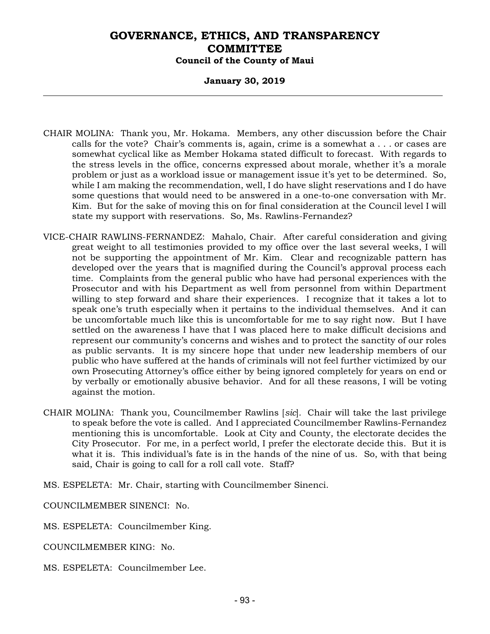#### **January 30, 2019**

- CHAIR MOLINA: Thank you, Mr. Hokama. Members, any other discussion before the Chair calls for the vote? Chair's comments is, again, crime is a somewhat a . . . or cases are somewhat cyclical like as Member Hokama stated difficult to forecast. With regards to the stress levels in the office, concerns expressed about morale, whether it's a morale problem or just as a workload issue or management issue it's yet to be determined. So, while I am making the recommendation, well, I do have slight reservations and I do have some questions that would need to be answered in a one-to-one conversation with Mr. Kim. But for the sake of moving this on for final consideration at the Council level I will state my support with reservations. So, Ms. Rawlins-Fernandez?
- VICE-CHAIR RAWLINS-FERNANDEZ: Mahalo, Chair. After careful consideration and giving great weight to all testimonies provided to my office over the last several weeks, I will not be supporting the appointment of Mr. Kim. Clear and recognizable pattern has developed over the years that is magnified during the Council's approval process each time. Complaints from the general public who have had personal experiences with the Prosecutor and with his Department as well from personnel from within Department willing to step forward and share their experiences. I recognize that it takes a lot to speak one's truth especially when it pertains to the individual themselves. And it can be uncomfortable much like this is uncomfortable for me to say right now. But I have settled on the awareness I have that I was placed here to make difficult decisions and represent our community's concerns and wishes and to protect the sanctity of our roles as public servants. It is my sincere hope that under new leadership members of our public who have suffered at the hands of criminals will not feel further victimized by our own Prosecuting Attorney's office either by being ignored completely for years on end or by verbally or emotionally abusive behavior. And for all these reasons, I will be voting against the motion.
- CHAIR MOLINA: Thank you, Councilmember Rawlins [*sic*]*.* Chair will take the last privilege to speak before the vote is called. And I appreciated Councilmember Rawlins-Fernandez mentioning this is uncomfortable. Look at City and County, the electorate decides the City Prosecutor. For me, in a perfect world, I prefer the electorate decide this. But it is what it is. This individual's fate is in the hands of the nine of us. So, with that being said, Chair is going to call for a roll call vote. Staff?
- MS. ESPELETA: Mr. Chair, starting with Councilmember Sinenci.

COUNCILMEMBER SINENCI: No.

- MS. ESPELETA: Councilmember King.
- COUNCILMEMBER KING: No.
- MS. ESPELETA: Councilmember Lee.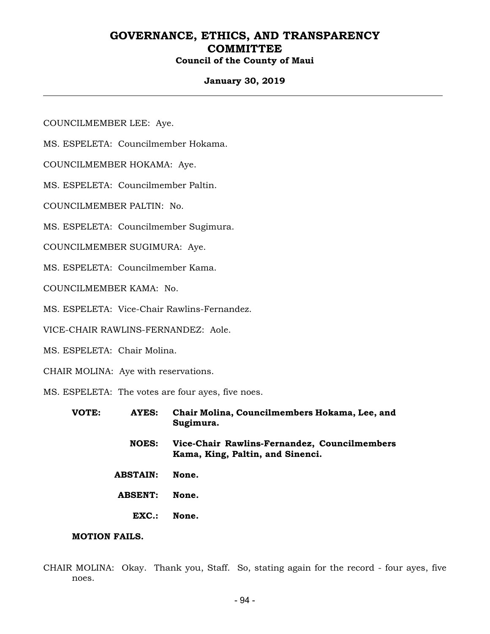#### **January 30, 2019**

COUNCILMEMBER LEE: Aye.

MS. ESPELETA: Councilmember Hokama.

COUNCILMEMBER HOKAMA: Aye.

MS. ESPELETA: Councilmember Paltin.

COUNCILMEMBER PALTIN: No.

MS. ESPELETA: Councilmember Sugimura.

COUNCILMEMBER SUGIMURA: Aye.

MS. ESPELETA: Councilmember Kama.

COUNCILMEMBER KAMA: No.

MS. ESPELETA: Vice-Chair Rawlins-Fernandez.

VICE-CHAIR RAWLINS-FERNANDEZ: Aole.

MS. ESPELETA: Chair Molina.

CHAIR MOLINA: Aye with reservations.

MS. ESPELETA: The votes are four ayes, five noes.

| VOTE: | AYES:           | Chair Molina, Councilmembers Hokama, Lee, and<br>Sugimura.                       |
|-------|-----------------|----------------------------------------------------------------------------------|
|       | <b>NOES:</b>    | Vice-Chair Rawlins-Fernandez, Councilmembers<br>Kama, King, Paltin, and Sinenci. |
|       | <b>ABSTAIN:</b> | None.                                                                            |
|       | <b>ABSENT:</b>  | None.                                                                            |
|       | EXC.:           | None.                                                                            |

#### **MOTION FAILS.**

CHAIR MOLINA: Okay. Thank you, Staff. So, stating again for the record - four ayes, five noes.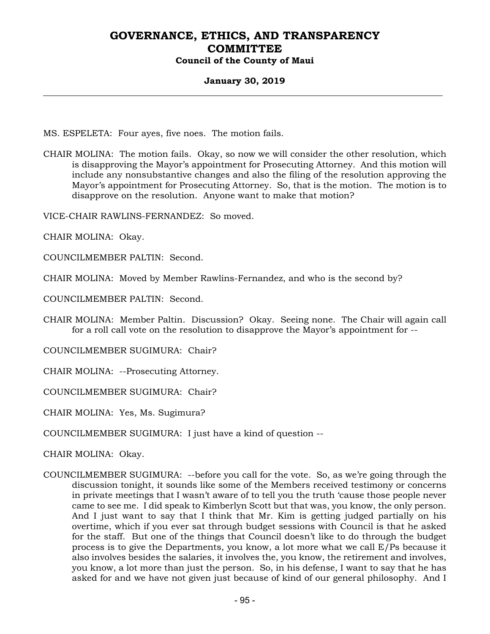#### **January 30, 2019**

MS. ESPELETA: Four ayes, five noes. The motion fails.

CHAIR MOLINA: The motion fails. Okay, so now we will consider the other resolution, which is disapproving the Mayor's appointment for Prosecuting Attorney. And this motion will include any nonsubstantive changes and also the filing of the resolution approving the Mayor's appointment for Prosecuting Attorney. So, that is the motion. The motion is to disapprove on the resolution. Anyone want to make that motion?

VICE-CHAIR RAWLINS-FERNANDEZ: So moved.

CHAIR MOLINA: Okay.

COUNCILMEMBER PALTIN: Second.

CHAIR MOLINA: Moved by Member Rawlins-Fernandez, and who is the second by?

COUNCILMEMBER PALTIN: Second.

CHAIR MOLINA: Member Paltin. Discussion? Okay. Seeing none. The Chair will again call for a roll call vote on the resolution to disapprove the Mayor's appointment for --

COUNCILMEMBER SUGIMURA: Chair?

CHAIR MOLINA: --Prosecuting Attorney.

COUNCILMEMBER SUGIMURA: Chair?

CHAIR MOLINA: Yes, Ms. Sugimura?

COUNCILMEMBER SUGIMURA: I just have a kind of question --

CHAIR MOLINA: Okay.

COUNCILMEMBER SUGIMURA: --before you call for the vote. So, as we're going through the discussion tonight, it sounds like some of the Members received testimony or concerns in private meetings that I wasn't aware of to tell you the truth 'cause those people never came to see me. I did speak to Kimberlyn Scott but that was, you know, the only person. And I just want to say that I think that Mr. Kim is getting judged partially on his overtime, which if you ever sat through budget sessions with Council is that he asked for the staff. But one of the things that Council doesn't like to do through the budget process is to give the Departments, you know, a lot more what we call E/Ps because it also involves besides the salaries, it involves the, you know, the retirement and involves, you know, a lot more than just the person. So, in his defense, I want to say that he has asked for and we have not given just because of kind of our general philosophy. And I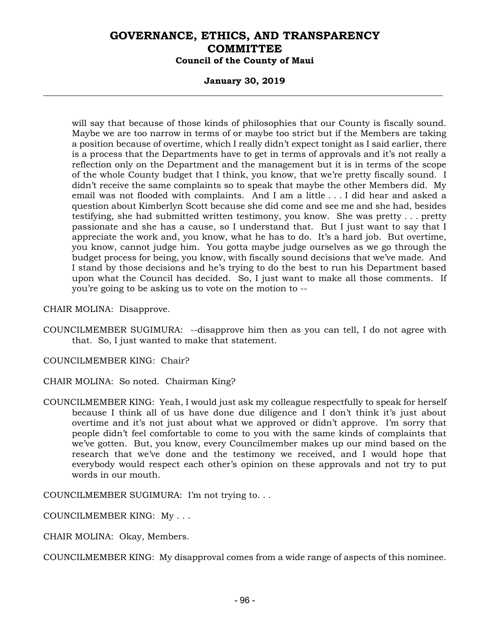#### **January 30, 2019**

will say that because of those kinds of philosophies that our County is fiscally sound. Maybe we are too narrow in terms of or maybe too strict but if the Members are taking a position because of overtime, which I really didn't expect tonight as I said earlier, there is a process that the Departments have to get in terms of approvals and it's not really a reflection only on the Department and the management but it is in terms of the scope of the whole County budget that I think, you know, that we're pretty fiscally sound. I didn't receive the same complaints so to speak that maybe the other Members did. My email was not flooded with complaints. And I am a little . . . I did hear and asked a question about Kimberlyn Scott because she did come and see me and she had, besides testifying, she had submitted written testimony, you know. She was pretty . . . pretty passionate and she has a cause, so I understand that. But I just want to say that I appreciate the work and, you know, what he has to do. It's a hard job. But overtime, you know, cannot judge him. You gotta maybe judge ourselves as we go through the budget process for being, you know, with fiscally sound decisions that we've made. And I stand by those decisions and he's trying to do the best to run his Department based upon what the Council has decided. So, I just want to make all those comments. If you're going to be asking us to vote on the motion to --

CHAIR MOLINA: Disapprove.

COUNCILMEMBER SUGIMURA: --disapprove him then as you can tell, I do not agree with that. So, I just wanted to make that statement.

COUNCILMEMBER KING: Chair?

CHAIR MOLINA: So noted. Chairman King?

COUNCILMEMBER KING: Yeah, I would just ask my colleague respectfully to speak for herself because I think all of us have done due diligence and I don't think it's just about overtime and it's not just about what we approved or didn't approve. I'm sorry that people didn't feel comfortable to come to you with the same kinds of complaints that we've gotten. But, you know, every Councilmember makes up our mind based on the research that we've done and the testimony we received, and I would hope that everybody would respect each other's opinion on these approvals and not try to put words in our mouth.

COUNCILMEMBER SUGIMURA: I'm not trying to. . .

COUNCILMEMBER KING: My . . .

CHAIR MOLINA: Okay, Members.

COUNCILMEMBER KING: My disapproval comes from a wide range of aspects of this nominee.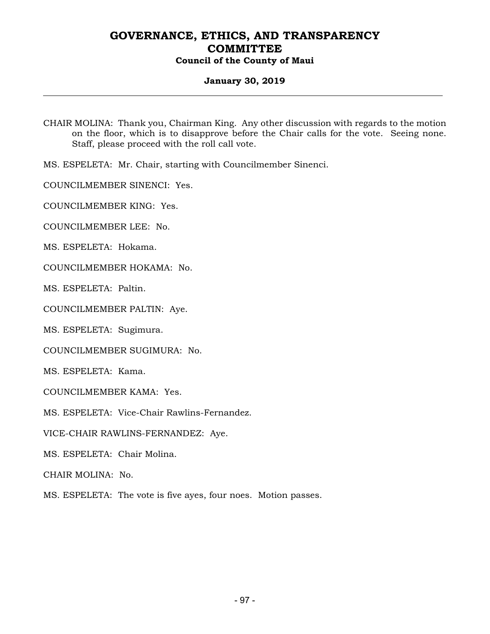### **January 30, 2019**

CHAIR MOLINA: Thank you, Chairman King. Any other discussion with regards to the motion on the floor, which is to disapprove before the Chair calls for the vote. Seeing none. Staff, please proceed with the roll call vote.

MS. ESPELETA: Mr. Chair, starting with Councilmember Sinenci.

COUNCILMEMBER SINENCI: Yes.

COUNCILMEMBER KING: Yes.

COUNCILMEMBER LEE: No.

MS. ESPELETA: Hokama.

COUNCILMEMBER HOKAMA: No.

MS. ESPELETA: Paltin.

COUNCILMEMBER PALTIN: Aye.

MS. ESPELETA: Sugimura.

COUNCILMEMBER SUGIMURA: No.

MS. ESPELETA: Kama.

COUNCILMEMBER KAMA: Yes.

MS. ESPELETA: Vice-Chair Rawlins-Fernandez.

VICE-CHAIR RAWLINS-FERNANDEZ: Aye.

MS. ESPELETA: Chair Molina.

CHAIR MOLINA: No.

MS. ESPELETA: The vote is five ayes, four noes. Motion passes.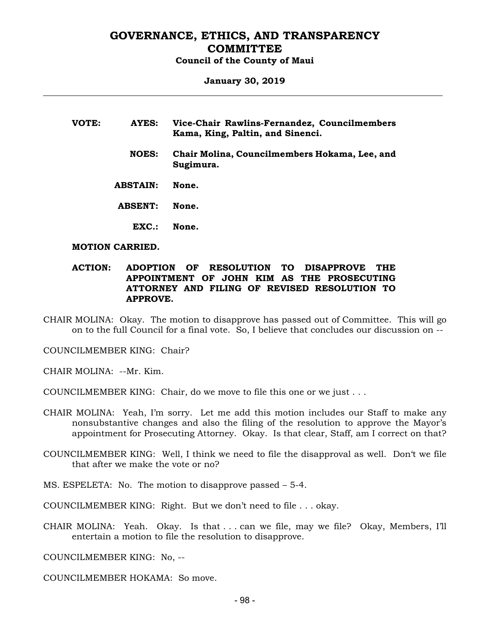# **January 30, 2019**

| VOTE: | AYES:           | Vice-Chair Rawlins-Fernandez, Councilmembers<br>Kama, King, Paltin, and Sinenci. |
|-------|-----------------|----------------------------------------------------------------------------------|
|       | <b>NOES:</b>    | Chair Molina, Councilmembers Hokama, Lee, and<br>Sugimura.                       |
|       | <b>ABSTAIN:</b> | None.                                                                            |
|       | <b>ABSENT:</b>  | None.                                                                            |
|       | EXC.            | None.                                                                            |

#### **MOTION CARRIED.**

#### **ACTION: ADOPTION OF RESOLUTION TO DISAPPROVE THE APPOINTMENT OF JOHN KIM AS THE PROSECUTING ATTORNEY AND FILING OF REVISED RESOLUTION TO APPROVE.**

CHAIR MOLINA: Okay. The motion to disapprove has passed out of Committee. This will go on to the full Council for a final vote. So, I believe that concludes our discussion on --

COUNCILMEMBER KING: Chair?

CHAIR MOLINA: --Mr. Kim.

COUNCILMEMBER KING: Chair, do we move to file this one or we just . . .

- CHAIR MOLINA: Yeah, I'm sorry. Let me add this motion includes our Staff to make any nonsubstantive changes and also the filing of the resolution to approve the Mayor's appointment for Prosecuting Attorney. Okay. Is that clear, Staff, am I correct on that?
- COUNCILMEMBER KING: Well, I think we need to file the disapproval as well. Don't we file that after we make the vote or no?
- MS. ESPELETA: No. The motion to disapprove passed 5-4.
- COUNCILMEMBER KING: Right. But we don't need to file . . . okay.
- CHAIR MOLINA: Yeah. Okay. Is that . . . can we file, may we file? Okay, Members, I'll entertain a motion to file the resolution to disapprove.

COUNCILMEMBER KING: No, --

COUNCILMEMBER HOKAMA: So move.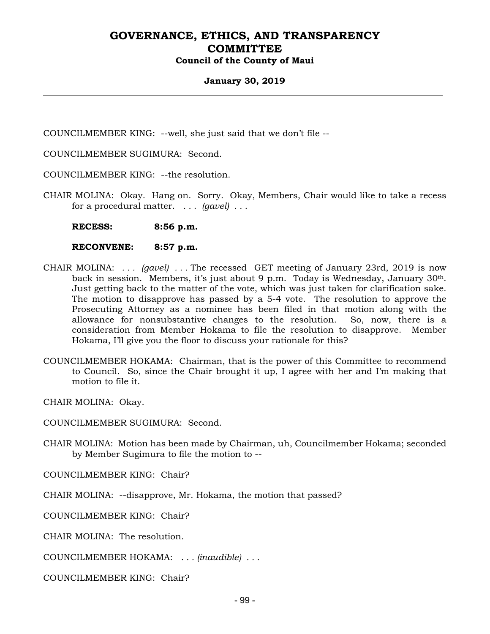#### **January 30, 2019**

COUNCILMEMBER KING: --well, she just said that we don't file --

COUNCILMEMBER SUGIMURA: Second.

COUNCILMEMBER KING: --the resolution.

CHAIR MOLINA: Okay. Hang on. Sorry. Okay, Members, Chair would like to take a recess for a procedural matter. *. . . (gavel) . . .* 

 **RECESS: 8:56 p.m.** 

 **RECONVENE: 8:57 p.m.** 

- CHAIR MOLINA: *. . . (gavel) . . .* The recessed GET meeting of January 23rd, 2019 is now back in session. Members, it's just about 9 p.m. Today is Wednesday, January 30<sup>th</sup>. Just getting back to the matter of the vote, which was just taken for clarification sake. The motion to disapprove has passed by a 5-4 vote. The resolution to approve the Prosecuting Attorney as a nominee has been filed in that motion along with the allowance for nonsubstantive changes to the resolution. So, now, there is a consideration from Member Hokama to file the resolution to disapprove. Member Hokama, I'll give you the floor to discuss your rationale for this?
- COUNCILMEMBER HOKAMA: Chairman, that is the power of this Committee to recommend to Council. So, since the Chair brought it up, I agree with her and I'm making that motion to file it.

CHAIR MOLINA: Okay.

COUNCILMEMBER SUGIMURA: Second.

CHAIR MOLINA: Motion has been made by Chairman, uh, Councilmember Hokama; seconded by Member Sugimura to file the motion to --

COUNCILMEMBER KING: Chair?

CHAIR MOLINA: --disapprove, Mr. Hokama, the motion that passed?

COUNCILMEMBER KING: Chair?

CHAIR MOLINA: The resolution.

COUNCILMEMBER HOKAMA: *. . . (inaudible) . . .* 

COUNCILMEMBER KING: Chair?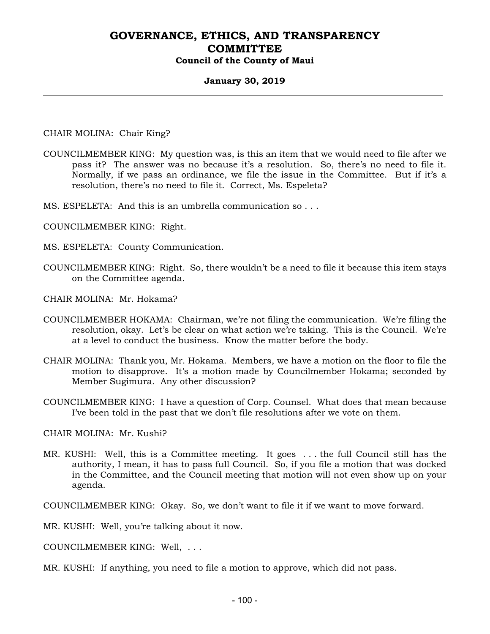#### **January 30, 2019**

CHAIR MOLINA: Chair King?

- COUNCILMEMBER KING: My question was, is this an item that we would need to file after we pass it? The answer was no because it's a resolution. So, there's no need to file it. Normally, if we pass an ordinance, we file the issue in the Committee. But if it's a resolution, there's no need to file it. Correct, Ms. Espeleta?
- MS. ESPELETA: And this is an umbrella communication so . . .
- COUNCILMEMBER KING: Right.
- MS. ESPELETA: County Communication.
- COUNCILMEMBER KING: Right. So, there wouldn't be a need to file it because this item stays on the Committee agenda.
- CHAIR MOLINA: Mr. Hokama?
- COUNCILMEMBER HOKAMA: Chairman, we're not filing the communication. We're filing the resolution, okay. Let's be clear on what action we're taking. This is the Council. We're at a level to conduct the business. Know the matter before the body.
- CHAIR MOLINA: Thank you, Mr. Hokama. Members, we have a motion on the floor to file the motion to disapprove. It's a motion made by Councilmember Hokama; seconded by Member Sugimura. Any other discussion?
- COUNCILMEMBER KING: I have a question of Corp. Counsel. What does that mean because I've been told in the past that we don't file resolutions after we vote on them.

CHAIR MOLINA: Mr. Kushi?

MR. KUSHI: Well, this is a Committee meeting. It goes . . . the full Council still has the authority, I mean, it has to pass full Council. So, if you file a motion that was docked in the Committee, and the Council meeting that motion will not even show up on your agenda.

COUNCILMEMBER KING: Okay. So, we don't want to file it if we want to move forward.

MR. KUSHI: Well, you're talking about it now.

COUNCILMEMBER KING: Well, . . .

MR. KUSHI: If anything, you need to file a motion to approve, which did not pass.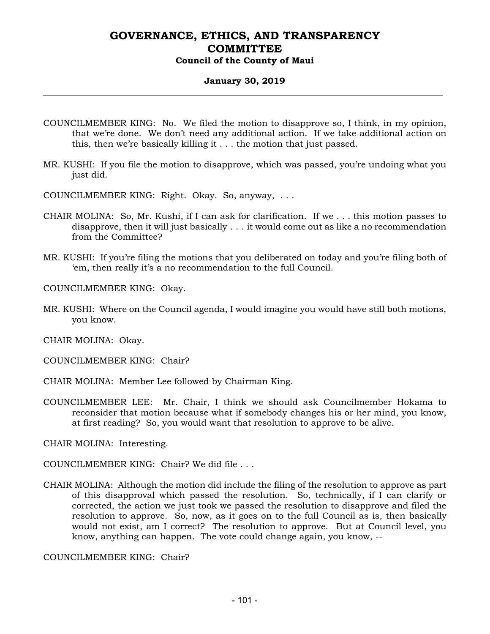#### **January 30, 2019**

- COUNCILMEMBER KING: No. We filed the motion to disapprove so, I think, in my opinion, that we're done. We don't need any additional action. If we take additional action on this, then we're basically killing it . . . the motion that just passed.
- MR. KUSHI: If you file the motion to disapprove, which was passed, you're undoing what you just did.
- COUNCILMEMBER KING: Right. Okay. So, anyway, . . .
- CHAIR MOLINA: So, Mr. Kushi, if I can ask for clarification. If we . . . this motion passes to disapprove, then it will just basically . . . it would come out as like a no recommendation from the Committee?
- MR. KUSHI: If you're filing the motions that you deliberated on today and you're filing both of 'em, then really it's a no recommendation to the full Council.

COUNCILMEMBER KING: Okay.

MR. KUSHI: Where on the Council agenda, I would imagine you would have still both motions, you know.

CHAIR MOLINA: Okay.

COUNCILMEMBER KING: Chair?

- CHAIR MOLINA: Member Lee followed by Chairman King.
- COUNCILMEMBER LEE: Mr. Chair, I think we should ask Councilmember Hokama to reconsider that motion because what if somebody changes his or her mind, you know, at first reading? So, you would want that resolution to approve to be alive.

CHAIR MOLINA: Interesting.

COUNCILMEMBER KING: Chair? We did file . . .

CHAIR MOLINA: Although the motion did include the filing of the resolution to approve as part of this disapproval which passed the resolution. So, technically, if I can clarify or corrected, the action we just took we passed the resolution to disapprove and filed the resolution to approve. So, now, as it goes on to the full Council as is, then basically would not exist, am I correct? The resolution to approve. But at Council level, you know, anything can happen. The vote could change again, you know, --

COUNCILMEMBER KING: Chair?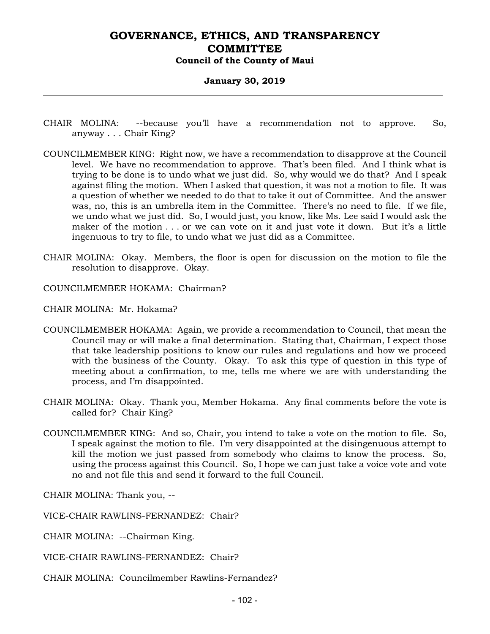#### **January 30, 2019**

- CHAIR MOLINA: --because you'll have a recommendation not to approve. So, anyway . . . Chair King?
- COUNCILMEMBER KING: Right now, we have a recommendation to disapprove at the Council level. We have no recommendation to approve. That's been filed. And I think what is trying to be done is to undo what we just did. So, why would we do that? And I speak against filing the motion. When I asked that question, it was not a motion to file. It was a question of whether we needed to do that to take it out of Committee. And the answer was, no, this is an umbrella item in the Committee. There's no need to file. If we file, we undo what we just did. So, I would just, you know, like Ms. Lee said I would ask the maker of the motion . . . or we can vote on it and just vote it down. But it's a little ingenuous to try to file, to undo what we just did as a Committee.
- CHAIR MOLINA: Okay. Members, the floor is open for discussion on the motion to file the resolution to disapprove. Okay.
- COUNCILMEMBER HOKAMA: Chairman?
- CHAIR MOLINA: Mr. Hokama?
- COUNCILMEMBER HOKAMA: Again, we provide a recommendation to Council, that mean the Council may or will make a final determination. Stating that, Chairman, I expect those that take leadership positions to know our rules and regulations and how we proceed with the business of the County. Okay. To ask this type of question in this type of meeting about a confirmation, to me, tells me where we are with understanding the process, and I'm disappointed.
- CHAIR MOLINA: Okay. Thank you, Member Hokama. Any final comments before the vote is called for? Chair King?
- COUNCILMEMBER KING: And so, Chair, you intend to take a vote on the motion to file. So, I speak against the motion to file. I'm very disappointed at the disingenuous attempt to kill the motion we just passed from somebody who claims to know the process. So, using the process against this Council. So, I hope we can just take a voice vote and vote no and not file this and send it forward to the full Council.

CHAIR MOLINA: Thank you, --

VICE-CHAIR RAWLINS-FERNANDEZ: Chair?

- CHAIR MOLINA: --Chairman King.
- VICE-CHAIR RAWLINS-FERNANDEZ: Chair?
- CHAIR MOLINA: Councilmember Rawlins-Fernandez?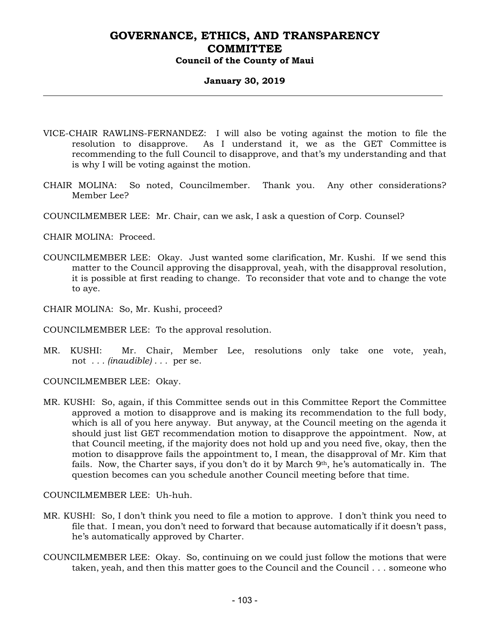#### **January 30, 2019**

- VICE-CHAIR RAWLINS-FERNANDEZ: I will also be voting against the motion to file the resolution to disapprove. As I understand it, we as the GET Committee is recommending to the full Council to disapprove, and that's my understanding and that is why I will be voting against the motion.
- CHAIR MOLINA: So noted, Councilmember. Thank you. Any other considerations? Member Lee?
- COUNCILMEMBER LEE: Mr. Chair, can we ask, I ask a question of Corp. Counsel?

CHAIR MOLINA: Proceed.

- COUNCILMEMBER LEE: Okay. Just wanted some clarification, Mr. Kushi. If we send this matter to the Council approving the disapproval, yeah, with the disapproval resolution, it is possible at first reading to change. To reconsider that vote and to change the vote to aye.
- CHAIR MOLINA: So, Mr. Kushi, proceed?
- COUNCILMEMBER LEE: To the approval resolution.
- MR. KUSHI: Mr. Chair, Member Lee, resolutions only take one vote, yeah, not *. . . (inaudible) . . .* per se.

COUNCILMEMBER LEE: Okay.

MR. KUSHI: So, again, if this Committee sends out in this Committee Report the Committee approved a motion to disapprove and is making its recommendation to the full body, which is all of you here anyway. But anyway, at the Council meeting on the agenda it should just list GET recommendation motion to disapprove the appointment. Now, at that Council meeting, if the majority does not hold up and you need five, okay, then the motion to disapprove fails the appointment to, I mean, the disapproval of Mr. Kim that fails. Now, the Charter says, if you don't do it by March  $9<sup>th</sup>$ , he's automatically in. The question becomes can you schedule another Council meeting before that time.

COUNCILMEMBER LEE: Uh-huh.

- MR. KUSHI: So, I don't think you need to file a motion to approve. I don't think you need to file that. I mean, you don't need to forward that because automatically if it doesn't pass, he's automatically approved by Charter.
- COUNCILMEMBER LEE: Okay. So, continuing on we could just follow the motions that were taken, yeah, and then this matter goes to the Council and the Council . . . someone who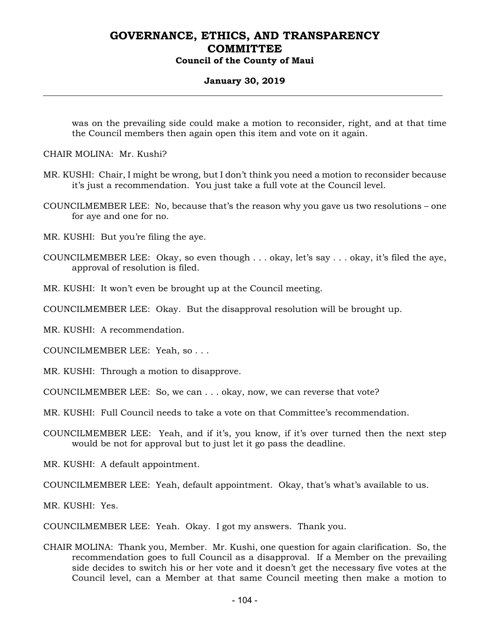#### **January 30, 2019**

was on the prevailing side could make a motion to reconsider, right, and at that time the Council members then again open this item and vote on it again.

CHAIR MOLINA: Mr. Kushi?

- MR. KUSHI: Chair, I might be wrong, but I don't think you need a motion to reconsider because it's just a recommendation. You just take a full vote at the Council level.
- COUNCILMEMBER LEE: No, because that's the reason why you gave us two resolutions one for aye and one for no.
- MR. KUSHI: But you're filing the aye.
- COUNCILMEMBER LEE: Okay, so even though . . . okay, let's say . . . okay, it's filed the aye, approval of resolution is filed.

MR. KUSHI: It won't even be brought up at the Council meeting.

COUNCILMEMBER LEE: Okay. But the disapproval resolution will be brought up.

MR. KUSHI: A recommendation.

COUNCILMEMBER LEE: Yeah, so . . .

- MR. KUSHI: Through a motion to disapprove.
- COUNCILMEMBER LEE: So, we can . . . okay, now, we can reverse that vote?
- MR. KUSHI: Full Council needs to take a vote on that Committee's recommendation.
- COUNCILMEMBER LEE: Yeah, and if it's, you know, if it's over turned then the next step would be not for approval but to just let it go pass the deadline.

MR. KUSHI: A default appointment.

COUNCILMEMBER LEE: Yeah, default appointment. Okay, that's what's available to us.

MR. KUSHI: Yes.

COUNCILMEMBER LEE: Yeah. Okay. I got my answers. Thank you.

CHAIR MOLINA: Thank you, Member. Mr. Kushi, one question for again clarification. So, the recommendation goes to full Council as a disapproval. If a Member on the prevailing side decides to switch his or her vote and it doesn't get the necessary five votes at the Council level, can a Member at that same Council meeting then make a motion to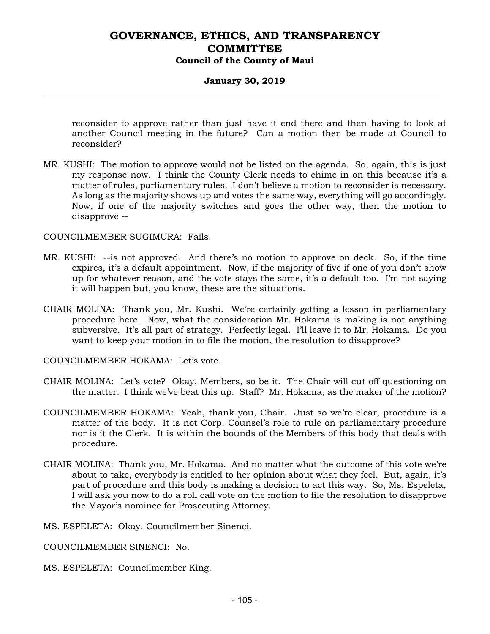### **January 30, 2019**

reconsider to approve rather than just have it end there and then having to look at another Council meeting in the future? Can a motion then be made at Council to reconsider?

MR. KUSHI: The motion to approve would not be listed on the agenda. So, again, this is just my response now. I think the County Clerk needs to chime in on this because it's a matter of rules, parliamentary rules. I don't believe a motion to reconsider is necessary. As long as the majority shows up and votes the same way, everything will go accordingly. Now, if one of the majority switches and goes the other way, then the motion to disapprove --

#### COUNCILMEMBER SUGIMURA: Fails.

- MR. KUSHI: --is not approved. And there's no motion to approve on deck. So, if the time expires, it's a default appointment. Now, if the majority of five if one of you don't show up for whatever reason, and the vote stays the same, it's a default too. I'm not saying it will happen but, you know, these are the situations.
- CHAIR MOLINA: Thank you, Mr. Kushi. We're certainly getting a lesson in parliamentary procedure here. Now, what the consideration Mr. Hokama is making is not anything subversive. It's all part of strategy. Perfectly legal. I'll leave it to Mr. Hokama. Do you want to keep your motion in to file the motion, the resolution to disapprove?
- COUNCILMEMBER HOKAMA: Let's vote.
- CHAIR MOLINA: Let's vote? Okay, Members, so be it. The Chair will cut off questioning on the matter. I think we've beat this up. Staff? Mr. Hokama, as the maker of the motion?
- COUNCILMEMBER HOKAMA: Yeah, thank you, Chair. Just so we're clear, procedure is a matter of the body. It is not Corp. Counsel's role to rule on parliamentary procedure nor is it the Clerk. It is within the bounds of the Members of this body that deals with procedure.
- CHAIR MOLINA: Thank you, Mr. Hokama. And no matter what the outcome of this vote we're about to take, everybody is entitled to her opinion about what they feel. But, again, it's part of procedure and this body is making a decision to act this way. So, Ms. Espeleta, I will ask you now to do a roll call vote on the motion to file the resolution to disapprove the Mayor's nominee for Prosecuting Attorney.
- MS. ESPELETA: Okay. Councilmember Sinenci.
- COUNCILMEMBER SINENCI: No.
- MS. ESPELETA: Councilmember King.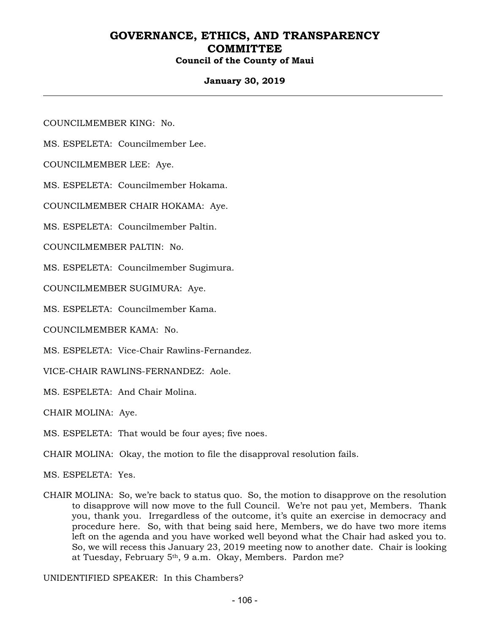### **January 30, 2019**

COUNCILMEMBER KING: No.

MS. ESPELETA: Councilmember Lee.

COUNCILMEMBER LEE: Aye.

MS. ESPELETA: Councilmember Hokama.

COUNCILMEMBER CHAIR HOKAMA: Aye.

MS. ESPELETA: Councilmember Paltin.

COUNCILMEMBER PALTIN: No.

MS. ESPELETA: Councilmember Sugimura.

COUNCILMEMBER SUGIMURA: Aye.

MS. ESPELETA: Councilmember Kama.

COUNCILMEMBER KAMA: No.

MS. ESPELETA: Vice-Chair Rawlins-Fernandez.

VICE-CHAIR RAWLINS-FERNANDEZ: Aole.

MS. ESPELETA: And Chair Molina.

CHAIR MOLINA: Aye.

MS. ESPELETA: That would be four ayes; five noes.

CHAIR MOLINA: Okay, the motion to file the disapproval resolution fails.

MS. ESPELETA: Yes.

CHAIR MOLINA: So, we're back to status quo. So, the motion to disapprove on the resolution to disapprove will now move to the full Council. We're not pau yet, Members. Thank you, thank you. Irregardless of the outcome, it's quite an exercise in democracy and procedure here. So, with that being said here, Members, we do have two more items left on the agenda and you have worked well beyond what the Chair had asked you to. So, we will recess this January 23, 2019 meeting now to another date. Chair is looking at Tuesday, February 5th, 9 a.m. Okay, Members. Pardon me?

UNIDENTIFIED SPEAKER: In this Chambers?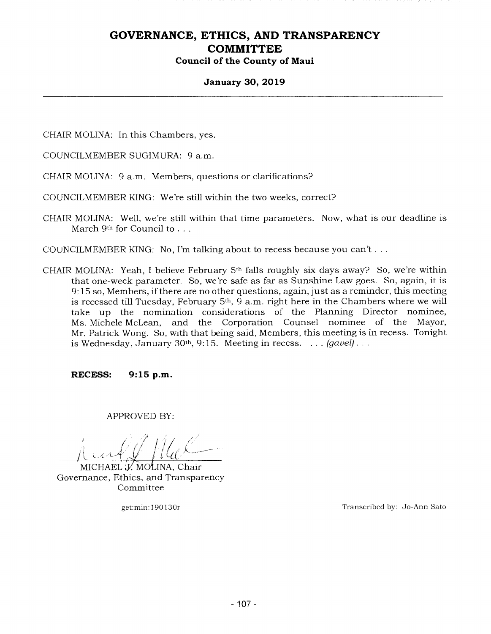# **January 30, 2019**

CHAIR MOLINA: In this Chambers, yes.

COUNCILMEMBER SUGIMURA: 9 a.m.

CHAIR MOLINA: *9* a.m. Members, questions or clarifications?

COUNCILMEMBER KING: We're still within the two weeks, correct?

CHAIR MOLINA: Well, we're still within that time parameters. Now, what is our deadline is March 9<sup>th</sup> for Council to . . .

COUNCILMEMBER KING: No, I'm talking about to recess because you can't...

CHAIR MOLINA: Yeah, I believe February *5th* falls roughly six days away? So, we're within that one-week parameter. So, we're safe as far as Sunshine Law goes. So, again, it is *9:15* so, Members, if there are no other questions, again, just as a reminder, this meeting is recessed till Tuesday, February *5th, 9* a.m. right here in the Chambers where we will take up the nomination considerations of the Planning Director nominee, Ms. Michele McLean, and the Corporation Counsel nominee of the Mayor, Mr. Patrick Wong. So, with that being said, Members, this meeting is in recess. Tonight is Wednesday, January *30th, 9:15.* Meeting in recess. . . . *(gavel).* 

**RECESS: 9:15 p.m.** 

**APPROVED BY:** 

MICHAEL J. MOLINA, Chair Governance, Ethics, and Transparency Committee

get:min: 190130r Transcribed by: Jo-Ann Sato